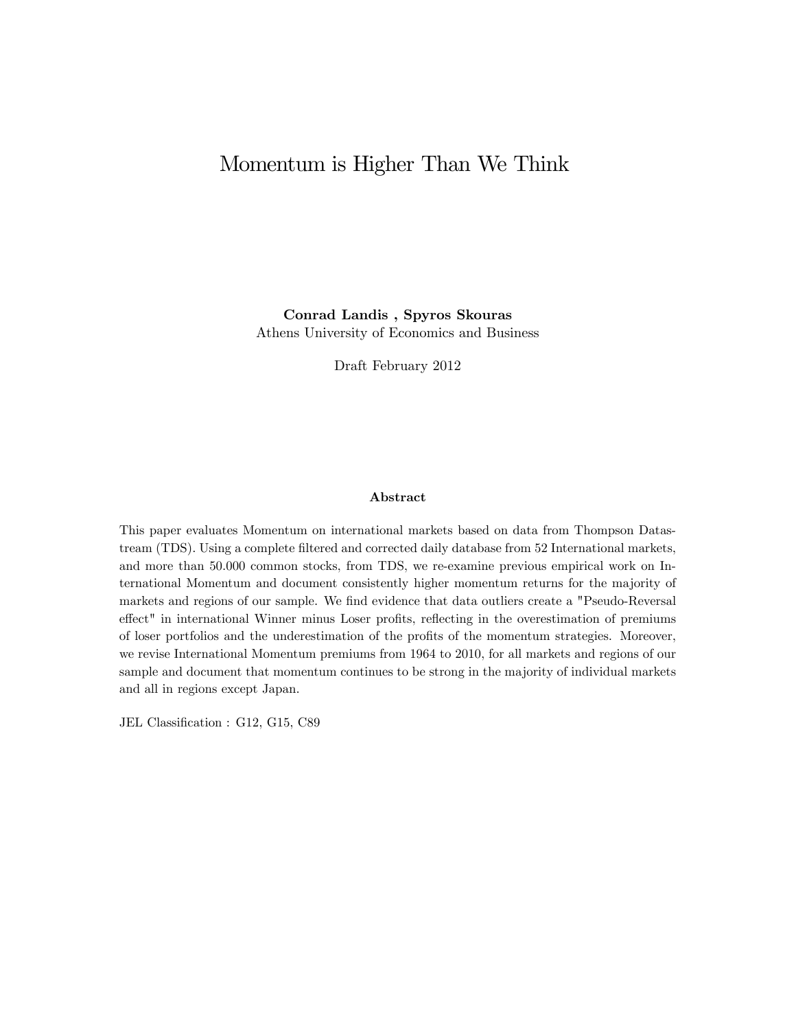# Momentum is Higher Than We Think

Conrad Landis , Spyros Skouras Athens University of Economics and Business

Draft February 2012

### Abstract

This paper evaluates Momentum on international markets based on data from Thompson Datastream (TDS). Using a complete filtered and corrected daily database from 52 International markets, and more than 50.000 common stocks, from TDS, we re-examine previous empirical work on International Momentum and document consistently higher momentum returns for the majority of markets and regions of our sample. We find evidence that data outliers create a "Pseudo-Reversal effect" in international Winner minus Loser profits, reflecting in the overestimation of premiums of loser portfolios and the underestimation of the profits of the momentum strategies. Moreover, we revise International Momentum premiums from 1964 to 2010, for all markets and regions of our sample and document that momentum continues to be strong in the majority of individual markets and all in regions except Japan.

JEL Classification : G12, G15, C89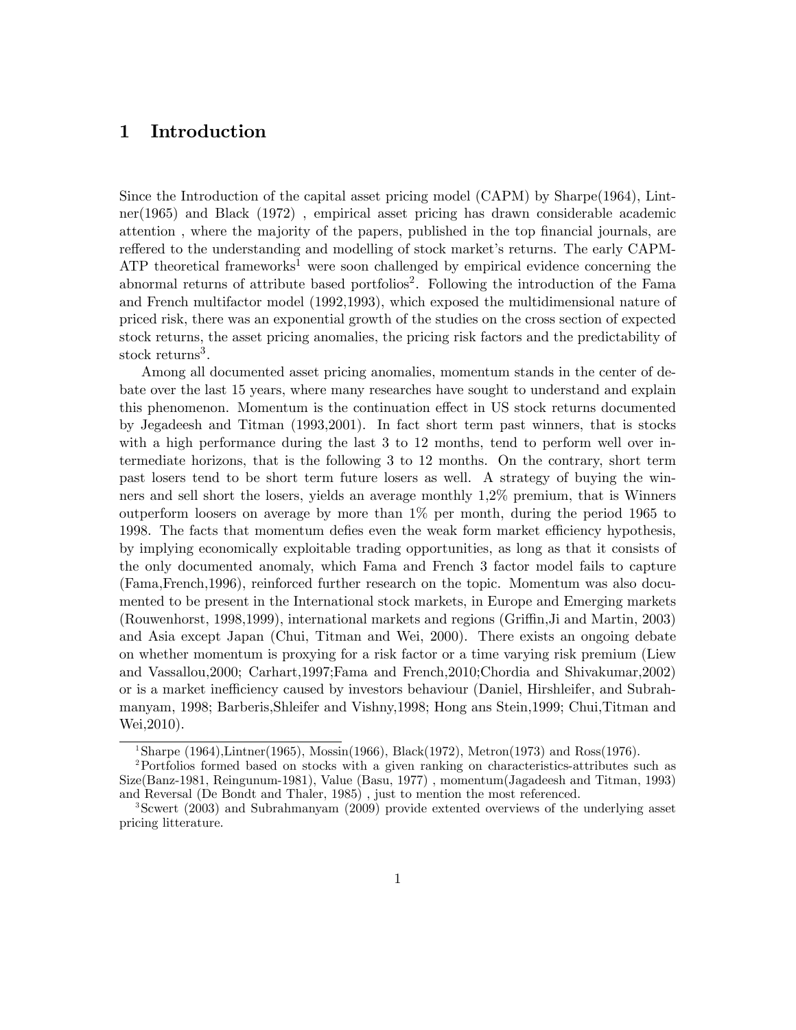# 1 Introduction

Since the Introduction of the capital asset pricing model (CAPM) by Sharpe(1964), Lintner(1965) and Black (1972) , empirical asset pricing has drawn considerable academic attention, where the majority of the papers, published in the top financial journals, are reffered to the understanding and modelling of stock market's returns. The early CAPM-ATP theoretical frameworks<sup>1</sup> were soon challenged by empirical evidence concerning the abnormal returns of attribute based portfolios<sup>2</sup>. Following the introduction of the Fama and French multifactor model (1992,1993), which exposed the multidimensional nature of priced risk, there was an exponential growth of the studies on the cross section of expected stock returns, the asset pricing anomalies, the pricing risk factors and the predictability of stock returns<sup>3</sup>.

Among all documented asset pricing anomalies, momentum stands in the center of debate over the last 15 years, where many researches have sought to understand and explain this phenomenon. Momentum is the continuation effect in US stock returns documented by Jegadeesh and Titman (1993,2001). In fact short term past winners, that is stocks with a high performance during the last 3 to 12 months, tend to perform well over intermediate horizons, that is the following 3 to 12 months. On the contrary, short term past losers tend to be short term future losers as well. A strategy of buying the winners and sell short the losers, yields an average monthly 1,2% premium, that is Winners outperform loosers on average by more than 1% per month, during the period 1965 to 1998. The facts that momentum defies even the weak form market efficiency hypothesis, by implying economically exploitable trading opportunities, as long as that it consists of the only documented anomaly, which Fama and French 3 factor model fails to capture (Fama,French,1996), reinforced further research on the topic. Momentum was also documented to be present in the International stock markets, in Europe and Emerging markets (Rouwenhorst, 1998,1999), international markets and regions (Griffin, Ji and Martin, 2003) and Asia except Japan (Chui, Titman and Wei, 2000). There exists an ongoing debate on whether momentum is proxying for a risk factor or a time varying risk premium (Liew and Vassallou,2000; Carhart,1997;Fama and French,2010;Chordia and Shivakumar,2002) or is a market inefficiency caused by investors behaviour (Daniel, Hirshleifer, and Subrahmanyam, 1998; Barberis,Shleifer and Vishny,1998; Hong ans Stein,1999; Chui,Titman and Wei,2010).

<sup>&</sup>lt;sup>1</sup>Sharpe (1964),Lintner(1965), Mossin(1966), Black(1972), Metron(1973) and Ross(1976).

<sup>2</sup>Portfolios formed based on stocks with a given ranking on characteristics-attributes such as Size(Banz-1981, Reingunum-1981), Value (Basu, 1977) , momentum(Jagadeesh and Titman, 1993) and Reversal (De Bondt and Thaler, 1985) , just to mention the most referenced.

<sup>3</sup>Scwert (2003) and Subrahmanyam (2009) provide extented overviews of the underlying asset pricing litterature.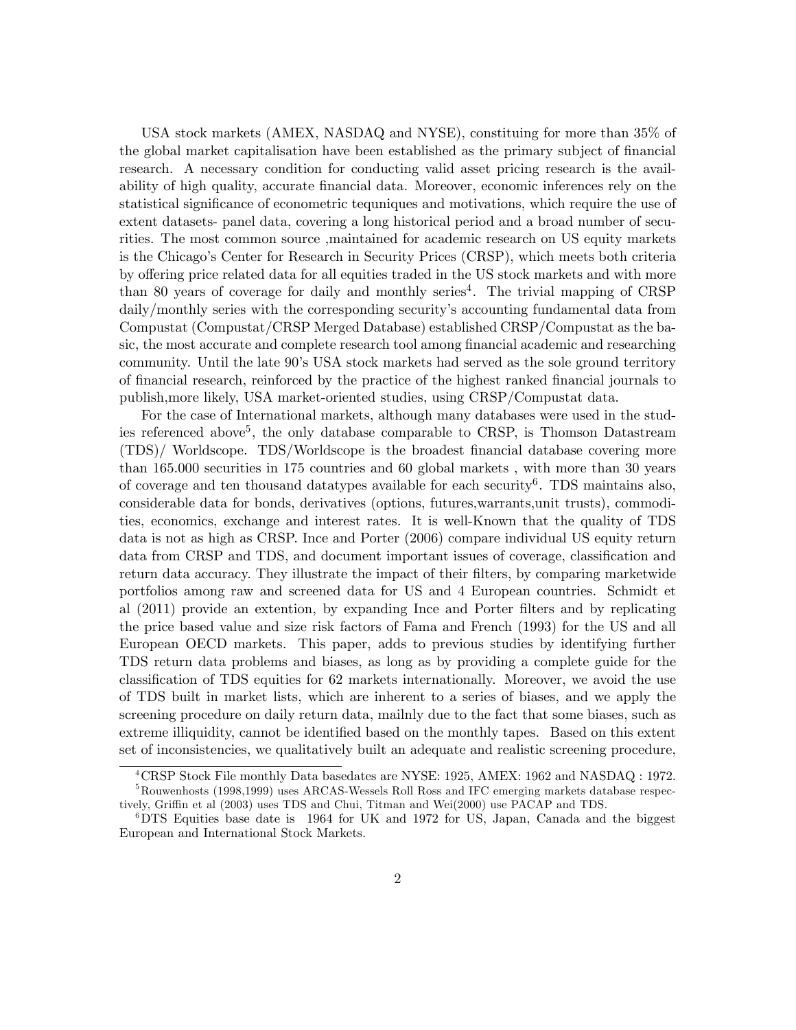USA stock markets (AMEX, NASDAQ and NYSE), constituing for more than 35% of the global market capitalisation have been established as the primary subject of financial research. A necessary condition for conducting valid asset pricing research is the availability of high quality, accurate financial data. Moreover, economic inferences rely on the statistical significance of econometric tequniques and motivations, which require the use of extent datasets- panel data, covering a long historical period and a broad number of securities. The most common source ,maintained for academic research on US equity markets is the Chicago's Center for Research in Security Prices (CRSP), which meets both criteria by offering price related data for all equities traded in the US stock markets and with more than 80 years of coverage for daily and monthly series<sup>4</sup>. The trivial mapping of CRSP daily/monthly series with the corresponding securityís accounting fundamental data from Compustat (Compustat/CRSP Merged Database) established CRSP/Compustat as the basic, the most accurate and complete research tool among financial academic and researching community. Until the late 90ís USA stock markets had served as the sole ground territory of Önancial research, reinforced by the practice of the highest ranked Önancial journals to publish,more likely, USA market-oriented studies, using CRSP/Compustat data.

For the case of International markets, although many databases were used in the studies referenced above<sup>5</sup>, the only database comparable to CRSP, is Thomson Datastream (TDS)/ Worldscope. TDS/Worldscope is the broadest Önancial database covering more than 165.000 securities in 175 countries and 60 global markets , with more than 30 years of coverage and ten thousand datatypes available for each security<sup>6</sup>. TDS maintains also, considerable data for bonds, derivatives (options, futures,warrants,unit trusts), commodities, economics, exchange and interest rates. It is well-Known that the quality of TDS data is not as high as CRSP. Ince and Porter (2006) compare individual US equity return data from CRSP and TDS, and document important issues of coverage, classification and return data accuracy. They illustrate the impact of their filters, by comparing marketwide portfolios among raw and screened data for US and 4 European countries. Schmidt et al (2011) provide an extention, by expanding Ince and Porter Ölters and by replicating the price based value and size risk factors of Fama and French (1993) for the US and all European OECD markets. This paper, adds to previous studies by identifying further TDS return data problems and biases, as long as by providing a complete guide for the classification of TDS equities for 62 markets internationally. Moreover, we avoid the use of TDS built in market lists, which are inherent to a series of biases, and we apply the screening procedure on daily return data, mailnly due to the fact that some biases, such as extreme illiquidity, cannot be identified based on the monthly tapes. Based on this extent set of inconsistencies, we qualitatively built an adequate and realistic screening procedure,

<sup>4</sup>CRSP Stock File monthly Data basedates are NYSE: 1925, AMEX: 1962 and NASDAQ : 1972.

 ${}^{5}$ Rouwenhosts (1998,1999) uses ARCAS-Wessels Roll Ross and IFC emerging markets database respectively, Griffin et al (2003) uses TDS and Chui, Titman and Wei(2000) use PACAP and TDS.

<sup>&</sup>lt;sup>6</sup>DTS Equities base date is 1964 for UK and 1972 for US, Japan, Canada and the biggest European and International Stock Markets.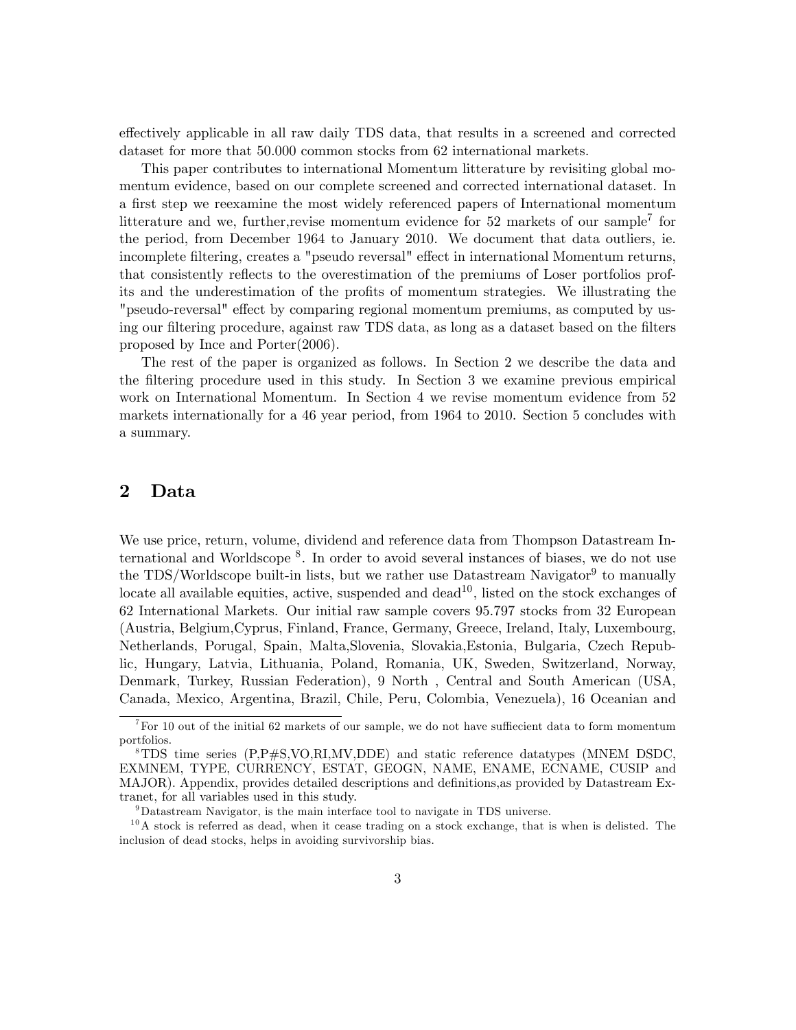effectively applicable in all raw daily TDS data, that results in a screened and corrected dataset for more that 50.000 common stocks from 62 international markets.

This paper contributes to international Momentum litterature by revisiting global momentum evidence, based on our complete screened and corrected international dataset. In a first step we reexamine the most widely referenced papers of International momentum litterature and we, further, revise momentum evidence for 52 markets of our sample<sup>7</sup> for the period, from December 1964 to January 2010. We document that data outliers, ie. incomplete filtering, creates a "pseudo reversal" effect in international Momentum returns, that consistently reflects to the overestimation of the premiums of Loser portfolios profits and the underestimation of the profits of momentum strategies. We illustrating the "pseudo-reversal" effect by comparing regional momentum premiums, as computed by using our filtering procedure, against raw TDS data, as long as a dataset based on the filters proposed by Ince and Porter(2006).

The rest of the paper is organized as follows. In Section 2 we describe the data and the filtering procedure used in this study. In Section 3 we examine previous empirical work on International Momentum. In Section 4 we revise momentum evidence from 52 markets internationally for a 46 year period, from 1964 to 2010. Section 5 concludes with a summary.

# 2 Data

We use price, return, volume, dividend and reference data from Thompson Datastream International and Worldscope <sup>8</sup> . In order to avoid several instances of biases, we do not use the TDS/Worldscope built-in lists, but we rather use Datastream Navigator<sup>9</sup> to manually locate all available equities, active, suspended and dead<sup>10</sup>, listed on the stock exchanges of 62 International Markets. Our initial raw sample covers 95.797 stocks from 32 European (Austria, Belgium,Cyprus, Finland, France, Germany, Greece, Ireland, Italy, Luxembourg, Netherlands, Porugal, Spain, Malta,Slovenia, Slovakia,Estonia, Bulgaria, Czech Republic, Hungary, Latvia, Lithuania, Poland, Romania, UK, Sweden, Switzerland, Norway, Denmark, Turkey, Russian Federation), 9 North , Central and South American (USA, Canada, Mexico, Argentina, Brazil, Chile, Peru, Colombia, Venezuela), 16 Oceanian and

 $^{7}$  For 10 out of the initial 62 markets of our sample, we do not have sufficeient data to form momentum portfolios.

<sup>8</sup>TDS time series (P,P#S,VO,RI,MV,DDE) and static reference datatypes (MNEM DSDC, EXMNEM, TYPE, CURRENCY, ESTAT, GEOGN, NAME, ENAME, ECNAME, CUSIP and MAJOR). Appendix, provides detailed descriptions and definitions, as provided by Datastream Extranet, for all variables used in this study.

<sup>9</sup>Datastream Navigator, is the main interface tool to navigate in TDS universe.

 $10<sup>10</sup>$  A stock is referred as dead, when it cease trading on a stock exchange, that is when is delisted. The inclusion of dead stocks, helps in avoiding survivorship bias.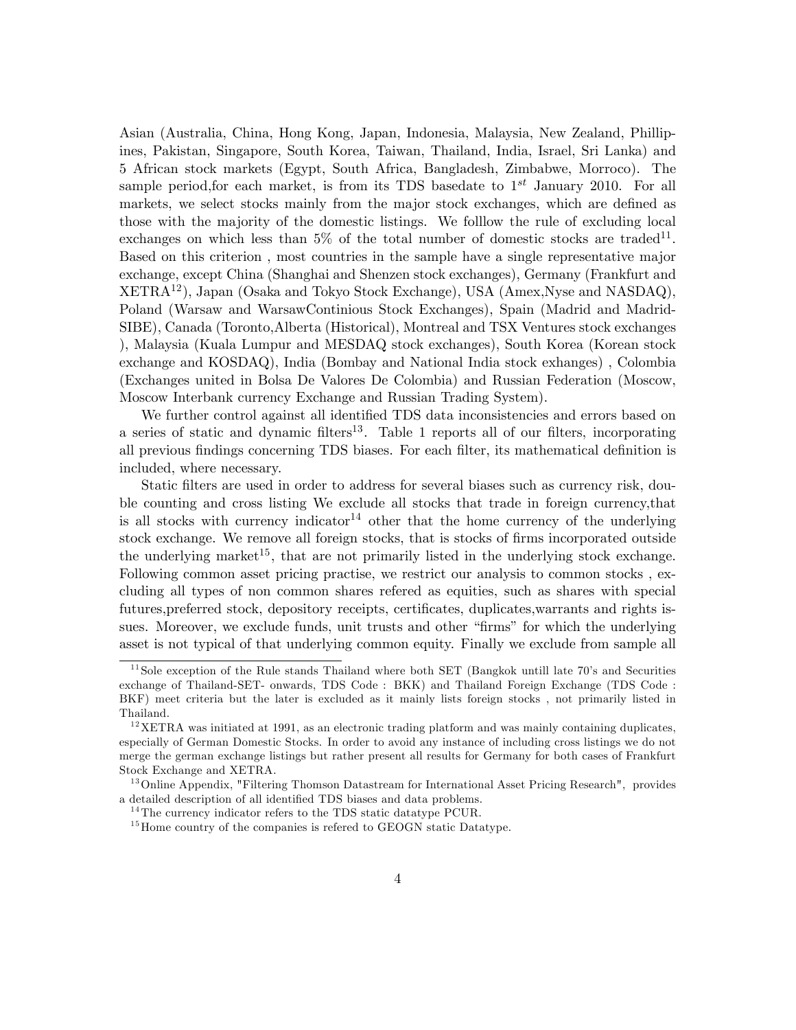Asian (Australia, China, Hong Kong, Japan, Indonesia, Malaysia, New Zealand, Phillipines, Pakistan, Singapore, South Korea, Taiwan, Thailand, India, Israel, Sri Lanka) and 5 African stock markets (Egypt, South Africa, Bangladesh, Zimbabwe, Morroco). The sample period, for each market, is from its TDS basedate to  $1^{st}$  January 2010. For all markets, we select stocks mainly from the major stock exchanges, which are defined as those with the majority of the domestic listings. We folllow the rule of excluding local exchanges on which less than  $5\%$  of the total number of domestic stocks are traded<sup>11</sup>. Based on this criterion , most countries in the sample have a single representative major exchange, except China (Shanghai and Shenzen stock exchanges), Germany (Frankfurt and XETRA12), Japan (Osaka and Tokyo Stock Exchange), USA (Amex,Nyse and NASDAQ), Poland (Warsaw and WarsawContinious Stock Exchanges), Spain (Madrid and Madrid-SIBE), Canada (Toronto,Alberta (Historical), Montreal and TSX Ventures stock exchanges ), Malaysia (Kuala Lumpur and MESDAQ stock exchanges), South Korea (Korean stock exchange and KOSDAQ), India (Bombay and National India stock exhanges) , Colombia (Exchanges united in Bolsa De Valores De Colombia) and Russian Federation (Moscow, Moscow Interbank currency Exchange and Russian Trading System).

We further control against all identified TDS data inconsistencies and errors based on a series of static and dynamic filters<sup>13</sup>. Table 1 reports all of our filters, incorporating all previous findings concerning TDS biases. For each filter, its mathematical definition is included, where necessary.

Static filters are used in order to address for several biases such as currency risk, double counting and cross listing We exclude all stocks that trade in foreign currency,that is all stocks with currency indicator<sup>14</sup> other that the home currency of the underlying stock exchange. We remove all foreign stocks, that is stocks of firms incorporated outside the underlying market<sup>15</sup>, that are not primarily listed in the underlying stock exchange. Following common asset pricing practise, we restrict our analysis to common stocks , excluding all types of non common shares refered as equities, such as shares with special futures, preferred stock, depository receipts, certificates, duplicates, warrants and rights issues. Moreover, we exclude funds, unit trusts and other "firms" for which the underlying asset is not typical of that underlying common equity. Finally we exclude from sample all

 $11$ Sole exception of the Rule stands Thailand where both SET (Bangkok untill late 70's and Securities exchange of Thailand-SET- onwards, TDS Code : BKK) and Thailand Foreign Exchange (TDS Code : BKF) meet criteria but the later is excluded as it mainly lists foreign stocks , not primarily listed in Thailand.

 $12$ XETRA was initiated at 1991, as an electronic trading platform and was mainly containing duplicates, especially of German Domestic Stocks. In order to avoid any instance of including cross listings we do not merge the german exchange listings but rather present all results for Germany for both cases of Frankfurt Stock Exchange and XETRA.

<sup>&</sup>lt;sup>13</sup> Online Appendix, "Filtering Thomson Datastream for International Asset Pricing Research", provides a detailed description of all identified TDS biases and data problems.

 $14$ The currency indicator refers to the TDS static datatype PCUR.

 $15$  Home country of the companies is refered to GEOGN static Datatype.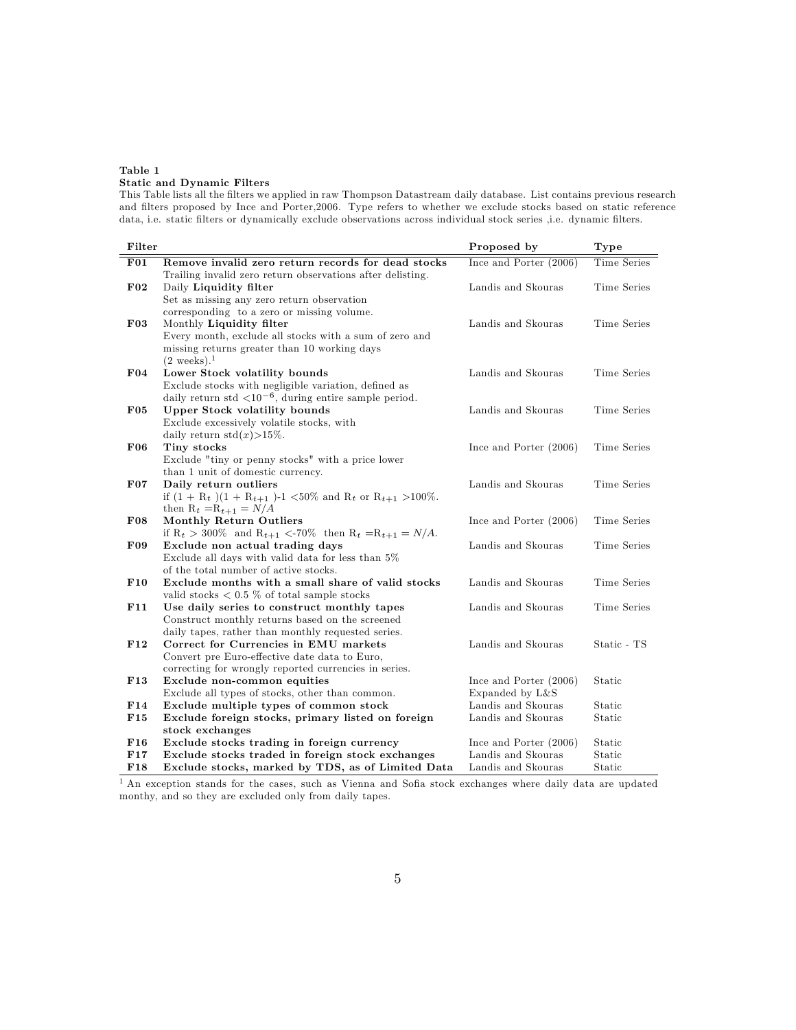### Table 1 Static and Dynamic Filters

This Table lists all the Ölters we applied in raw Thompson Datastream daily database. List contains previous research and filters proposed by Ince and Porter, 2006. Type refers to whether we exclude stocks based on static reference data, i.e. static filters or dynamically exclude observations across individual stock series ,i.e. dynamic filters.

| Filter          |                                                                                             | Proposed by              | Type        |
|-----------------|---------------------------------------------------------------------------------------------|--------------------------|-------------|
| F01             | Remove invalid zero return records for dead stocks                                          | Ince and Porter $(2006)$ | Time Series |
|                 | Trailing invalid zero return observations after delisting.                                  |                          |             |
| $F_{02}$        | Daily Liquidity filter                                                                      | Landis and Skouras       | Time Series |
|                 | Set as missing any zero return observation                                                  |                          |             |
|                 | corresponding to a zero or missing volume.                                                  |                          |             |
| $F_{03}$        | Monthly Liquidity filter                                                                    | Landis and Skouras       | Time Series |
|                 | Every month, exclude all stocks with a sum of zero and                                      |                          |             |
|                 | missing returns greater than 10 working days                                                |                          |             |
|                 | $(2 \text{ weeks})$ . <sup>1</sup>                                                          |                          |             |
| F04             | Lower Stock volatility bounds                                                               | Landis and Skouras       | Time Series |
|                 | Exclude stocks with negligible variation, defined as                                        |                          |             |
|                 | daily return std $\langle 10^{-6}$ , during entire sample period.                           |                          |             |
| $F_{05}$        | <b>Upper Stock volatility bounds</b>                                                        | Landis and Skouras       | Time Series |
|                 | Exclude excessively volatile stocks, with                                                   |                          |             |
|                 | daily return $\text{std}(x) > 15\%$ .                                                       |                          |             |
| F06             | Tiny stocks                                                                                 | Ince and Porter $(2006)$ | Time Series |
|                 | Exclude "tiny or penny stocks" with a price lower                                           |                          |             |
|                 | than 1 unit of domestic currency.                                                           |                          |             |
| $F_{07}$        | Daily return outliers                                                                       | Landis and Skouras       | Time Series |
|                 | if $(1 + R_t)(1 + R_{t+1})$ -1 <50% and $R_t$ or $R_{t+1} > 100\%$ .                        |                          |             |
|                 | then $R_t = R_{t+1} = N/A$                                                                  |                          |             |
| <b>F08</b>      | <b>Monthly Return Outliers</b>                                                              | Ince and Porter (2006)   | Time Series |
|                 | if $R_t > 300\%$ and $R_{t+1} < 70\%$ then $R_t = R_{t+1} = N/A$ .                          |                          |             |
| F09             | Exclude non actual trading days                                                             | Landis and Skouras       | Time Series |
|                 | Exclude all days with valid data for less than 5%                                           |                          |             |
|                 | of the total number of active stocks.                                                       |                          |             |
| F <sub>10</sub> | Exclude months with a small share of valid stocks                                           | Landis and Skouras       | Time Series |
|                 | valid stocks $< 0.5\%$ of total sample stocks                                               |                          |             |
| F11             | Use daily series to construct monthly tapes                                                 | Landis and Skouras       | Time Series |
|                 | Construct monthly returns based on the screened                                             |                          |             |
|                 |                                                                                             |                          |             |
| F12             | daily tapes, rather than monthly requested series.<br>Correct for Currencies in EMU markets | Landis and Skouras       | Static - TS |
|                 |                                                                                             |                          |             |
|                 | Convert pre Euro-effective date data to Euro,                                               |                          |             |
|                 | correcting for wrongly reported currencies in series.                                       |                          |             |
| F <sub>13</sub> | Exclude non-common equities                                                                 | Ince and Porter $(2006)$ | Static      |
|                 | Exclude all types of stocks, other than common.                                             | Expanded by L&S          |             |
| F14             | Exclude multiple types of common stock                                                      | Landis and Skouras       | Static      |
| F15             | Exclude foreign stocks, primary listed on foreign                                           | Landis and Skouras       | Static      |
|                 | stock exchanges                                                                             |                          |             |
| F16             | Exclude stocks trading in foreign currency                                                  | Ince and Porter $(2006)$ | Static      |
| F17             | Exclude stocks traded in foreign stock exchanges                                            | Landis and Skouras       | Static      |
| F <sub>18</sub> | Exclude stocks, marked by TDS, as of Limited Data                                           | Landis and Skouras       | Static      |

<sup>1</sup> An exception stands for the cases, such as Vienna and Sofia stock exchanges where daily data are updated monthy, and so they are excluded only from daily tapes.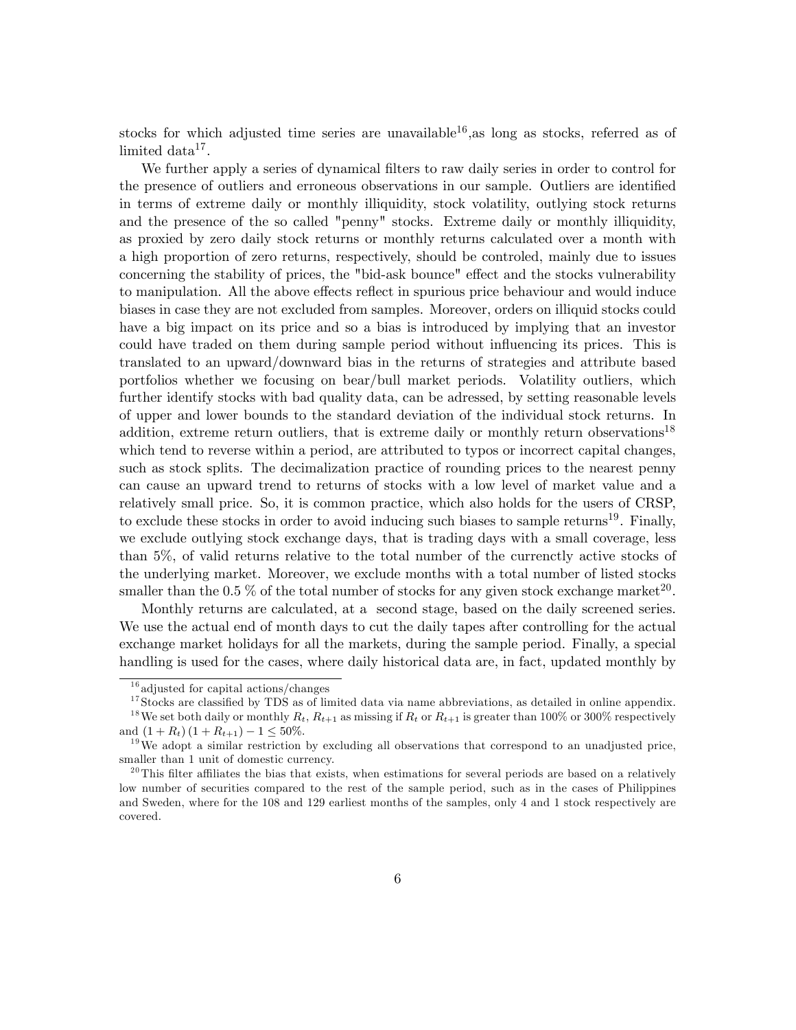stocks for which adjusted time series are unavailable<sup>16</sup>, as long as stocks, referred as of  $\text{limited data}^{17}.$ 

We further apply a series of dynamical filters to raw daily series in order to control for the presence of outliers and erroneous observations in our sample. Outliers are identified in terms of extreme daily or monthly illiquidity, stock volatility, outlying stock returns and the presence of the so called "penny" stocks. Extreme daily or monthly illiquidity, as proxied by zero daily stock returns or monthly returns calculated over a month with a high proportion of zero returns, respectively, should be controled, mainly due to issues concerning the stability of prices, the "bid-ask bounce" effect and the stocks vulnerability to manipulation. All the above effects reflect in spurious price behaviour and would induce biases in case they are not excluded from samples. Moreover, orders on illiquid stocks could have a big impact on its price and so a bias is introduced by implying that an investor could have traded on them during sample period without influencing its prices. This is translated to an upward/downward bias in the returns of strategies and attribute based portfolios whether we focusing on bear/bull market periods. Volatility outliers, which further identify stocks with bad quality data, can be adressed, by setting reasonable levels of upper and lower bounds to the standard deviation of the individual stock returns. In addition, extreme return outliers, that is extreme daily or monthly return observations<sup>18</sup> which tend to reverse within a period, are attributed to typos or incorrect capital changes, such as stock splits. The decimalization practice of rounding prices to the nearest penny can cause an upward trend to returns of stocks with a low level of market value and a relatively small price. So, it is common practice, which also holds for the users of CRSP, to exclude these stocks in order to avoid inducing such biases to sample returns<sup>19</sup>. Finally, we exclude outlying stock exchange days, that is trading days with a small coverage, less than 5%, of valid returns relative to the total number of the currenctly active stocks of the underlying market. Moreover, we exclude months with a total number of listed stocks smaller than the 0.5 % of the total number of stocks for any given stock exchange market<sup>20</sup>.

Monthly returns are calculated, at a second stage, based on the daily screened series. We use the actual end of month days to cut the daily tapes after controlling for the actual exchange market holidays for all the markets, during the sample period. Finally, a special handling is used for the cases, where daily historical data are, in fact, updated monthly by

 $16$  adjusted for capital actions/changes

 $17$  Stocks are classified by TDS as of limited data via name abbreviations, as detailed in online appendix. <sup>18</sup>We set both daily or monthly  $R_t$ ,  $R_{t+1}$  as missing if  $R_t$  or  $R_{t+1}$  is greater than 100% or 300% respectively and  $(1 + R_t)(1 + R_{t+1}) - 1 \leq 50\%$ .

 $19$ We adopt a similar restriction by excluding all observations that correspond to an unadjusted price, smaller than 1 unit of domestic currency.

 $^{20}$ This filter affiliates the bias that exists, when estimations for several periods are based on a relatively low number of securities compared to the rest of the sample period, such as in the cases of Philippines and Sweden, where for the 108 and 129 earliest months of the samples, only 4 and 1 stock respectively are covered.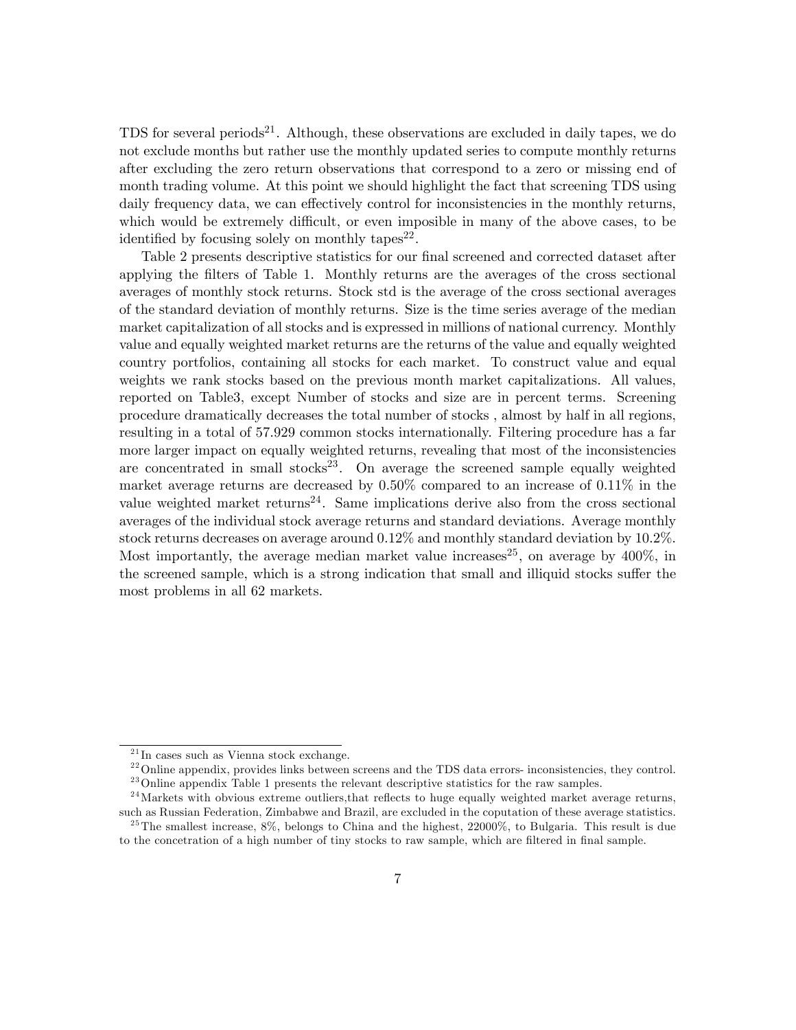TDS for several periods<sup>21</sup>. Although, these observations are excluded in daily tapes, we do not exclude months but rather use the monthly updated series to compute monthly returns after excluding the zero return observations that correspond to a zero or missing end of month trading volume. At this point we should highlight the fact that screening TDS using daily frequency data, we can effectively control for inconsistencies in the monthly returns, which would be extremely difficult, or even imposible in many of the above cases, to be identified by focusing solely on monthly tapes<sup>22</sup>.

Table 2 presents descriptive statistics for our final screened and corrected dataset after applying the Ölters of Table 1. Monthly returns are the averages of the cross sectional averages of monthly stock returns. Stock std is the average of the cross sectional averages of the standard deviation of monthly returns. Size is the time series average of the median market capitalization of all stocks and is expressed in millions of national currency. Monthly value and equally weighted market returns are the returns of the value and equally weighted country portfolios, containing all stocks for each market. To construct value and equal weights we rank stocks based on the previous month market capitalizations. All values, reported on Table3, except Number of stocks and size are in percent terms. Screening procedure dramatically decreases the total number of stocks , almost by half in all regions, resulting in a total of 57.929 common stocks internationally. Filtering procedure has a far more larger impact on equally weighted returns, revealing that most of the inconsistencies are concentrated in small stocks<sup>23</sup>. On average the screened sample equally weighted market average returns are decreased by 0.50% compared to an increase of 0.11% in the value weighted market returns<sup>24</sup>. Same implications derive also from the cross sectional averages of the individual stock average returns and standard deviations. Average monthly stock returns decreases on average around 0.12% and monthly standard deviation by 10.2%. Most importantly, the average median market value increases<sup>25</sup>, on average by  $400\%$ , in the screened sample, which is a strong indication that small and illiquid stocks suffer the most problems in all 62 markets.

 $^{21}$ In cases such as Vienna stock exchange.

 $^{22}$ Online appendix, provides links between screens and the TDS data errors- inconsistencies, they control.

<sup>&</sup>lt;sup>23</sup> Online appendix Table 1 presents the relevant descriptive statistics for the raw samples.  $^{24}$ Markets with obvious extreme outliers, that reflects to huge equally weighted market average returns,

such as Russian Federation, Zimbabwe and Brazil, are excluded in the coputation of these average statistics.  $^{25}$ The smallest increase, 8%, belongs to China and the highest, 22000%, to Bulgaria. This result is due

to the concetration of a high number of tiny stocks to raw sample, which are filtered in final sample.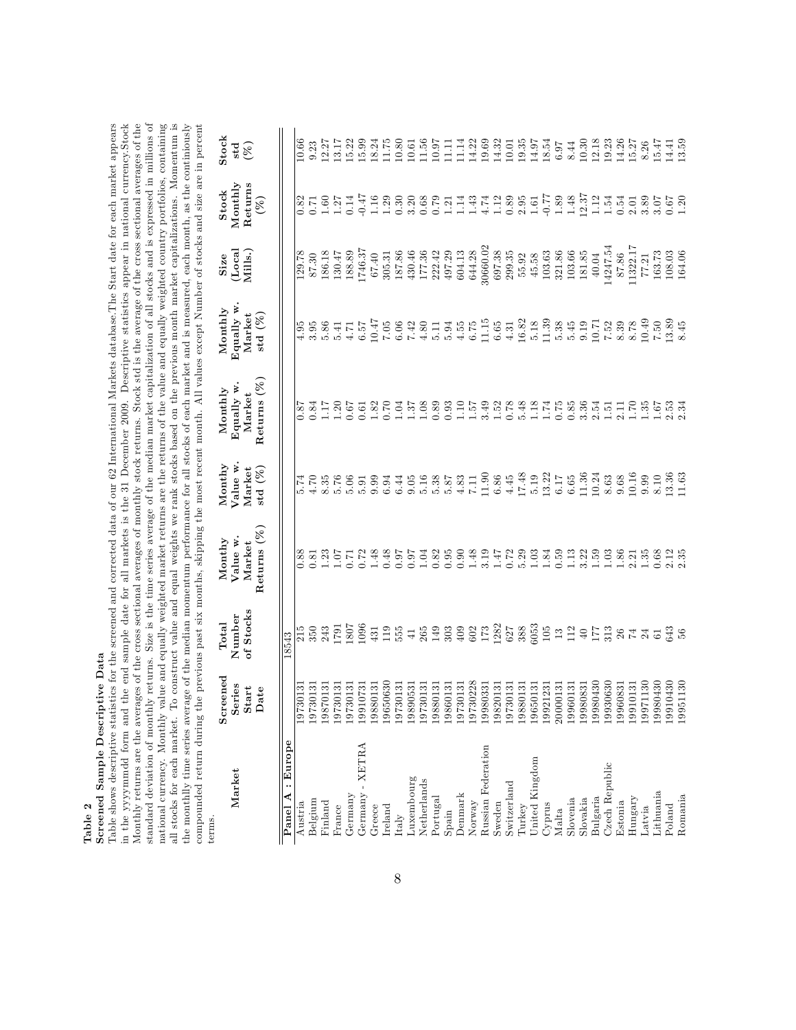| n)          |  |
|-------------|--|
|             |  |
| π<br>٠<br>۱ |  |
|             |  |

# Screened Sample Descriptive Data Screened Sample Descriptive Data

Table shows descriptive statistics for the screened and corrected data of our 62 International Markets database. The Start date for each market appears in the yyyymmdd form and the end sample date for all markets is the 31 December 2009. Descriptive statistics appear in national currency.Stock Monthly returns are the averages of the cross sectional averages of monthly stock returns. Stock std is the average of the cross sectional averages of the standard deviation of monthly returns. Size is the time series average of the median market capitalization of all stocks and is expressed in millions of national currency. Monthly value and equally weighted market returns are the returns of the value and equally weighted country portfolios, containing all stocks for each market. To construct value and equal weights we rank stocks based on the previous month market capitalizations. Momentum is<br>the monthlly time series average of the median momentum performance for all st compounded return during the previous past six months, skipping the most recent month. All values except Number of stocks and size are in percent Table shows descriptive statistics for the screened and corrected data of our 62 International Markets database.The Start date for each market appears in the yyyymmdd form and the end sample date for all markets is the 31 December 2009. Descriptive statistics appear in national currency.Stock Monthly returns are the averages of the cross sectional averages of monthly stock returns. Stock std is the average of the cross sectional averages of the standard deviation of monthly returns. Size is the time series average of the median market capitalization of all stocks and is expressed in millions of national currency. Monthly value and equally weighted market returns are the returns of the value and equally weighted country portfolios, containing all stocks for each market. To construct value and equal weights we rank stocks based on the previous month market capitalizations. Momentum is the monthlly time series average of the median momentum performance for all stocks of each market and is measured, each month, as the continiously compounded return during the previous past six months, skipping the most recent month. All values except Number of stocks and size are in percent terms.

| Market                                    | Screened<br>Series                                                                                                                                                        | of Stocks<br>Total<br>Number         | $M$ ont $hy$<br>Value w<br>Market | Monthy<br>Value w.                  | Equally w<br>Monthly<br>Market                                               | Equally w<br>Monthly<br>Market | $\begin{array}{c} {\bf Size}\\ {\bf (Local}\\ {\bf Mills}. \end{array}$ | Stock<br>Monthly       | $\frac{1}{\text{std}}$<br>(%) |
|-------------------------------------------|---------------------------------------------------------------------------------------------------------------------------------------------------------------------------|--------------------------------------|-----------------------------------|-------------------------------------|------------------------------------------------------------------------------|--------------------------------|-------------------------------------------------------------------------|------------------------|-------------------------------|
|                                           | Start<br>Date                                                                                                                                                             |                                      | Returns $(\%)$                    | ${\bf Market} \\ {\bf std} \; (\%)$ | Returns $(\%)$                                                               | std $(\%)$                     |                                                                         | ${\rm Returns} \ (\%)$ |                               |
| : Europe<br>$\blacktriangleleft$<br>Panel |                                                                                                                                                                           | 8543                                 |                                   |                                     |                                                                              |                                |                                                                         |                        |                               |
| Austria                                   |                                                                                                                                                                           |                                      | $\overline{0.88}$                 |                                     |                                                                              |                                |                                                                         |                        |                               |
| Belgium                                   |                                                                                                                                                                           |                                      |                                   |                                     |                                                                              |                                |                                                                         |                        |                               |
| Finland                                   | $\begin{array}{r} 19730131\\ 19730131\\ 19870131\\ 19870131\\ 19730131\\ 19730131\\ 19730131\\ 19730131\\ 1980131\\ 199010731\\ 1980131\\ 198030\\ 199650630 \end{array}$ | $\frac{15}{350}$<br>$\frac{53}{245}$ |                                   |                                     | マムていてはとのよこののというととのときますでは、エーロックとしていいか。 こうりょう こうしょう こうこう こうこうしょう こうきょうじょうこうじょう |                                |                                                                         |                        |                               |
| France                                    |                                                                                                                                                                           |                                      |                                   |                                     |                                                                              |                                |                                                                         |                        |                               |
| Germany                                   |                                                                                                                                                                           |                                      |                                   |                                     |                                                                              |                                |                                                                         |                        |                               |
| Germany - XETRA                           |                                                                                                                                                                           |                                      |                                   |                                     |                                                                              |                                |                                                                         |                        |                               |
| Greece                                    |                                                                                                                                                                           |                                      |                                   |                                     |                                                                              |                                |                                                                         |                        |                               |
| Ireland                                   |                                                                                                                                                                           |                                      |                                   |                                     |                                                                              |                                |                                                                         |                        |                               |
| Italy                                     |                                                                                                                                                                           |                                      |                                   |                                     |                                                                              |                                |                                                                         |                        |                               |
| Luxembourg                                | 390531<br>198                                                                                                                                                             |                                      |                                   |                                     |                                                                              |                                |                                                                         |                        |                               |
| Netherlands                               | 730131<br>197                                                                                                                                                             |                                      |                                   |                                     |                                                                              |                                |                                                                         |                        |                               |
| Portugal                                  | 19880131<br>19860131                                                                                                                                                      |                                      |                                   |                                     |                                                                              |                                |                                                                         |                        |                               |
| Spain                                     |                                                                                                                                                                           |                                      |                                   |                                     |                                                                              |                                |                                                                         |                        |                               |
| Denmark                                   | 197                                                                                                                                                                       |                                      |                                   |                                     |                                                                              |                                |                                                                         |                        |                               |
| Norway                                    | 197                                                                                                                                                                       |                                      |                                   |                                     |                                                                              |                                |                                                                         |                        |                               |
| Russian Federation                        | 199                                                                                                                                                                       |                                      |                                   |                                     |                                                                              |                                |                                                                         |                        |                               |
| Sweden                                    | 198                                                                                                                                                                       |                                      |                                   |                                     |                                                                              |                                |                                                                         |                        |                               |
| Switzerland                               | $\begin{array}{l} 730131 \\ 730228 \\ 730231 \\ 730331 \\ 820131 \\ 730131 \\ 730131 \\ 880131 \\ 580131 \\ 931231 \end{array}$<br>197                                    |                                      |                                   |                                     |                                                                              |                                |                                                                         |                        |                               |
| Turkey                                    | 198                                                                                                                                                                       |                                      |                                   |                                     |                                                                              |                                |                                                                         |                        |                               |
| United Kingdom                            | 196                                                                                                                                                                       |                                      |                                   |                                     |                                                                              |                                |                                                                         |                        |                               |
| Cyprus                                    | 199                                                                                                                                                                       |                                      |                                   |                                     |                                                                              |                                |                                                                         |                        |                               |
| Malta                                     | 2000013                                                                                                                                                                   |                                      |                                   |                                     |                                                                              |                                |                                                                         |                        |                               |
| Slovenia                                  | 1996013                                                                                                                                                                   |                                      |                                   |                                     |                                                                              |                                |                                                                         |                        |                               |
| Slovakia                                  | 180831<br>199                                                                                                                                                             |                                      |                                   |                                     |                                                                              |                                |                                                                         |                        |                               |
| Bulgaria                                  | 980430<br>089086<br>199                                                                                                                                                   |                                      |                                   |                                     |                                                                              |                                |                                                                         |                        |                               |
| Czech Republic                            | 199                                                                                                                                                                       |                                      |                                   |                                     |                                                                              |                                |                                                                         |                        |                               |
| Estonia                                   | 06831<br>199                                                                                                                                                              |                                      |                                   |                                     |                                                                              |                                |                                                                         |                        |                               |
| Hungary                                   |                                                                                                                                                                           |                                      |                                   |                                     |                                                                              |                                |                                                                         |                        |                               |
| Latvia                                    |                                                                                                                                                                           |                                      |                                   |                                     |                                                                              |                                |                                                                         |                        |                               |
| Lithuania                                 |                                                                                                                                                                           |                                      |                                   |                                     |                                                                              |                                |                                                                         |                        |                               |
| Poland                                    | $\begin{array}{l} 19910131 \\ 19971130 \\ 1980430 \\ 19910430 \\ 19910430 \end{array}$                                                                                    |                                      |                                   |                                     |                                                                              |                                |                                                                         |                        |                               |
| Romania                                   |                                                                                                                                                                           |                                      |                                   |                                     |                                                                              |                                |                                                                         |                        |                               |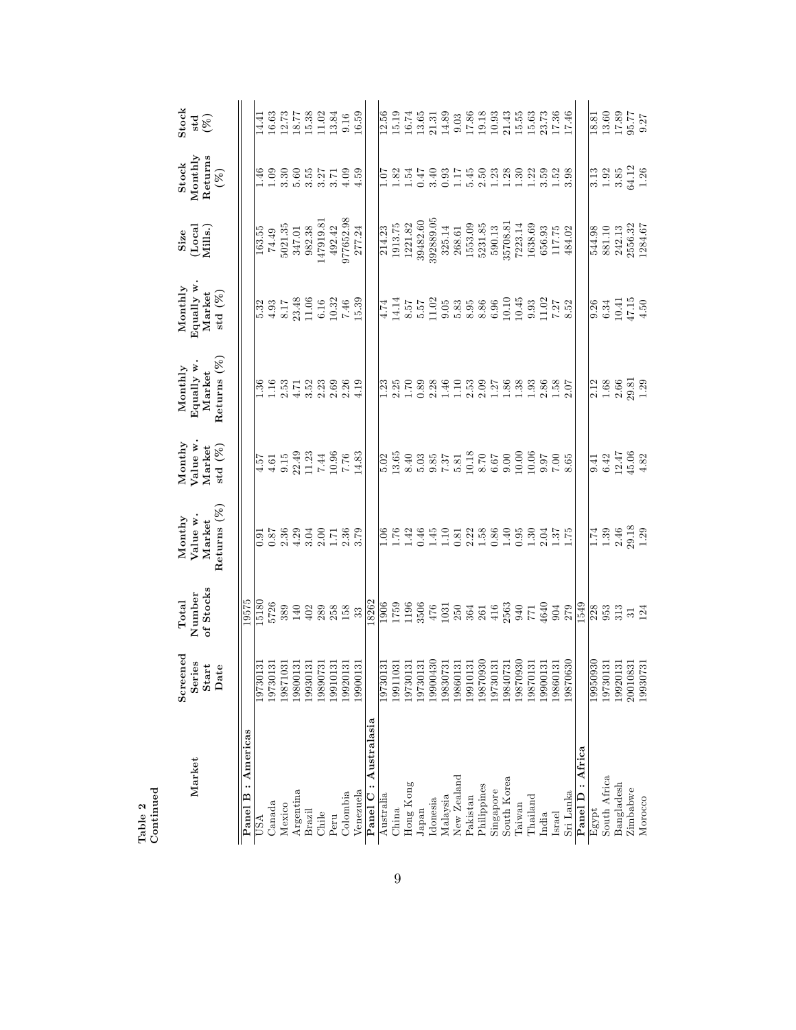| Market      | Screened<br>Series<br>Start<br>$_{\rm \textbf{Date}}$                                                                                                                                                                                                  | of Stocks<br>Number<br>Total | Returns $(\%$<br>$M$ ont $hy$<br>Value w<br>Market                                                                                                                                                                                                                             | $M$ ont $hy$<br>Value w<br>std $(\%)$<br>Market                                                                                                                                                                                                                                             | Returns (%<br>Equally w<br>$M$ onthly<br>Market                                    | Equally w<br>Monthly<br>Market<br>std $(\%)$                                                                                                                                                                                                                                                                  | $\begin{array}{c} {\bf Size}\\ {\bf (Local}\\ {\bf Mills}. \end{array}$                                                                                                                                      | Stock<br>Monthly<br>${\rm Returns} \ (\%)$        | $\frac{\text{Stock}}{\text{std}}$                                                                               |
|-------------|--------------------------------------------------------------------------------------------------------------------------------------------------------------------------------------------------------------------------------------------------------|------------------------------|--------------------------------------------------------------------------------------------------------------------------------------------------------------------------------------------------------------------------------------------------------------------------------|---------------------------------------------------------------------------------------------------------------------------------------------------------------------------------------------------------------------------------------------------------------------------------------------|------------------------------------------------------------------------------------|---------------------------------------------------------------------------------------------------------------------------------------------------------------------------------------------------------------------------------------------------------------------------------------------------------------|--------------------------------------------------------------------------------------------------------------------------------------------------------------------------------------------------------------|---------------------------------------------------|-----------------------------------------------------------------------------------------------------------------|
| Americas    |                                                                                                                                                                                                                                                        | 19575                        |                                                                                                                                                                                                                                                                                |                                                                                                                                                                                                                                                                                             |                                                                                    |                                                                                                                                                                                                                                                                                                               |                                                                                                                                                                                                              |                                                   |                                                                                                                 |
|             |                                                                                                                                                                                                                                                        |                              |                                                                                                                                                                                                                                                                                |                                                                                                                                                                                                                                                                                             |                                                                                    |                                                                                                                                                                                                                                                                                                               |                                                                                                                                                                                                              |                                                   |                                                                                                                 |
|             | $\frac{19730131}{19730131}$<br>19730131<br>19871031<br>19800131<br>19930131<br>19910131                                                                                                                                                                | 5726                         | $\begin{array}{cccc}\n 0.55 & 0.75 & 0.75 & 0.75 & 0.75 & 0.75 & 0.75 & 0.75 & 0.75 & 0.75 & 0.75 & 0.75 & 0.75 & 0.75 & 0.75 & 0.75 & 0.75 & 0.75 & 0.75 & 0.75 & 0.75 & 0.75 & 0.75 & 0.75 & 0.75 & 0.75 & 0.75 & 0.75 & 0.75 & 0.75 & 0.75 & 0.75 & 0.75 & 0.75 & 0.75 & 0$ |                                                                                                                                                                                                                                                                                             |                                                                                    |                                                                                                                                                                                                                                                                                                               |                                                                                                                                                                                                              |                                                   |                                                                                                                 |
|             |                                                                                                                                                                                                                                                        |                              |                                                                                                                                                                                                                                                                                |                                                                                                                                                                                                                                                                                             |                                                                                    |                                                                                                                                                                                                                                                                                                               |                                                                                                                                                                                                              |                                                   |                                                                                                                 |
|             |                                                                                                                                                                                                                                                        |                              |                                                                                                                                                                                                                                                                                |                                                                                                                                                                                                                                                                                             |                                                                                    |                                                                                                                                                                                                                                                                                                               |                                                                                                                                                                                                              |                                                   |                                                                                                                 |
|             |                                                                                                                                                                                                                                                        |                              |                                                                                                                                                                                                                                                                                |                                                                                                                                                                                                                                                                                             |                                                                                    |                                                                                                                                                                                                                                                                                                               |                                                                                                                                                                                                              |                                                   |                                                                                                                 |
|             |                                                                                                                                                                                                                                                        |                              |                                                                                                                                                                                                                                                                                |                                                                                                                                                                                                                                                                                             |                                                                                    |                                                                                                                                                                                                                                                                                                               |                                                                                                                                                                                                              |                                                   |                                                                                                                 |
|             |                                                                                                                                                                                                                                                        |                              |                                                                                                                                                                                                                                                                                |                                                                                                                                                                                                                                                                                             |                                                                                    |                                                                                                                                                                                                                                                                                                               |                                                                                                                                                                                                              |                                                   |                                                                                                                 |
|             | 1992013                                                                                                                                                                                                                                                |                              |                                                                                                                                                                                                                                                                                |                                                                                                                                                                                                                                                                                             |                                                                                    |                                                                                                                                                                                                                                                                                                               |                                                                                                                                                                                                              |                                                   |                                                                                                                 |
|             | 1990013                                                                                                                                                                                                                                                |                              |                                                                                                                                                                                                                                                                                | $\begin{array}{r} \n 4.57 \\  4.61 \\  9.15 \\  22.49 \\  11.23 \\  14.46 \\  16.66 \\  17.76 \\  14.83 \\  14.83\n \end{array}$                                                                                                                                                            |                                                                                    | $\begin{array}{c} 3.3 \\ 5.33 \\ 4.817 \\ 8.17 \\ 8.348 \\ 11.06 \\ 10.32 \\ 14.39 \\ 15.39 \\ 17.48 \\ 18.39 \\ 19.32 \\ 14.33 \\ 15.39 \\ 15.39 \\ 16.39 \\ 17.48 \\ 18.39 \\ 19.39 \\ 14.39 \\ 15.39 \\ 16.39 \\ 17.39 \\ 18.39 \\ 19.39 \\ 19.39 \\ 19.39 \\ 19.39 \\ 19.39 \\ 19.39 \\ 19.39 \\$         | $\begin{array}{r} 163.55 \\ 74.49 \\ 5021.35 \\ 347.01 \\ 347.01 \\ 982.38 \\ 14791.9.81 \\ 492.42 \\ 492.42 \\ 377652.98 \end{array}$                                                                       |                                                   | $\begin{array}{l} 14.41 \\ 16.63 \\ 16.77 \\ 18.77 \\ 19.38 \\ 10.02 \\ 10.54 \\ 16.59 \\ 16.59 \\ \end{array}$ |
| Australasia |                                                                                                                                                                                                                                                        |                              |                                                                                                                                                                                                                                                                                |                                                                                                                                                                                                                                                                                             |                                                                                    |                                                                                                                                                                                                                                                                                                               |                                                                                                                                                                                                              |                                                   |                                                                                                                 |
|             |                                                                                                                                                                                                                                                        |                              |                                                                                                                                                                                                                                                                                |                                                                                                                                                                                                                                                                                             |                                                                                    |                                                                                                                                                                                                                                                                                                               |                                                                                                                                                                                                              |                                                   |                                                                                                                 |
|             |                                                                                                                                                                                                                                                        |                              |                                                                                                                                                                                                                                                                                |                                                                                                                                                                                                                                                                                             |                                                                                    |                                                                                                                                                                                                                                                                                                               |                                                                                                                                                                                                              |                                                   |                                                                                                                 |
|             |                                                                                                                                                                                                                                                        |                              |                                                                                                                                                                                                                                                                                |                                                                                                                                                                                                                                                                                             |                                                                                    |                                                                                                                                                                                                                                                                                                               |                                                                                                                                                                                                              |                                                   |                                                                                                                 |
|             | $\frac{119730131}{11911031}$<br>$\frac{11911031}{19730131}$<br>$\frac{119730131}{19730131}$<br>$\frac{119300430}{1980771}$<br>$\frac{119830731}{1980131}$<br>$\frac{19870930}{19730131}$<br>$\frac{19870930}{19840731}$<br>$\frac{19840731}{19840731}$ |                              |                                                                                                                                                                                                                                                                                |                                                                                                                                                                                                                                                                                             |                                                                                    |                                                                                                                                                                                                                                                                                                               | $\begin{array}{r} 214.23 \\ 11913.75 \\ 11921.82 \\ 39482.60 \\ 39589.05 \\ 325.14 \\ 1221.82 \\ 39589.05 \\ 325.14 \\ 1533.09 \\ 590.13 \\ 590.13 \\ 590.13 \\ 7223.14 \\ 1638.69 \\ 168.69 \\ \end{array}$ |                                                   |                                                                                                                 |
|             |                                                                                                                                                                                                                                                        |                              |                                                                                                                                                                                                                                                                                |                                                                                                                                                                                                                                                                                             |                                                                                    |                                                                                                                                                                                                                                                                                                               |                                                                                                                                                                                                              |                                                   |                                                                                                                 |
|             |                                                                                                                                                                                                                                                        |                              |                                                                                                                                                                                                                                                                                |                                                                                                                                                                                                                                                                                             |                                                                                    |                                                                                                                                                                                                                                                                                                               |                                                                                                                                                                                                              |                                                   |                                                                                                                 |
|             |                                                                                                                                                                                                                                                        |                              |                                                                                                                                                                                                                                                                                |                                                                                                                                                                                                                                                                                             |                                                                                    |                                                                                                                                                                                                                                                                                                               |                                                                                                                                                                                                              |                                                   |                                                                                                                 |
|             |                                                                                                                                                                                                                                                        |                              |                                                                                                                                                                                                                                                                                |                                                                                                                                                                                                                                                                                             |                                                                                    |                                                                                                                                                                                                                                                                                                               |                                                                                                                                                                                                              |                                                   |                                                                                                                 |
|             |                                                                                                                                                                                                                                                        |                              |                                                                                                                                                                                                                                                                                |                                                                                                                                                                                                                                                                                             |                                                                                    |                                                                                                                                                                                                                                                                                                               |                                                                                                                                                                                                              |                                                   |                                                                                                                 |
|             |                                                                                                                                                                                                                                                        |                              |                                                                                                                                                                                                                                                                                |                                                                                                                                                                                                                                                                                             |                                                                                    |                                                                                                                                                                                                                                                                                                               |                                                                                                                                                                                                              |                                                   |                                                                                                                 |
|             |                                                                                                                                                                                                                                                        |                              |                                                                                                                                                                                                                                                                                |                                                                                                                                                                                                                                                                                             |                                                                                    |                                                                                                                                                                                                                                                                                                               |                                                                                                                                                                                                              |                                                   |                                                                                                                 |
|             |                                                                                                                                                                                                                                                        |                              |                                                                                                                                                                                                                                                                                |                                                                                                                                                                                                                                                                                             |                                                                                    |                                                                                                                                                                                                                                                                                                               |                                                                                                                                                                                                              |                                                   |                                                                                                                 |
|             | 1987013                                                                                                                                                                                                                                                |                              |                                                                                                                                                                                                                                                                                |                                                                                                                                                                                                                                                                                             |                                                                                    |                                                                                                                                                                                                                                                                                                               |                                                                                                                                                                                                              |                                                   |                                                                                                                 |
|             | 1990013                                                                                                                                                                                                                                                |                              |                                                                                                                                                                                                                                                                                |                                                                                                                                                                                                                                                                                             |                                                                                    |                                                                                                                                                                                                                                                                                                               |                                                                                                                                                                                                              |                                                   |                                                                                                                 |
|             | 1986013                                                                                                                                                                                                                                                |                              |                                                                                                                                                                                                                                                                                |                                                                                                                                                                                                                                                                                             |                                                                                    |                                                                                                                                                                                                                                                                                                               |                                                                                                                                                                                                              |                                                   |                                                                                                                 |
|             | 19870630                                                                                                                                                                                                                                               |                              |                                                                                                                                                                                                                                                                                | $\begin{array}{l} 2000 \\ 0.0000 \\ 0.0000 \\ 0.0000 \\ 0.0000 \\ 0.0000 \\ 0.0000 \\ 0.0000 \\ 0.0000 \\ 0.0000 \\ 0.0000 \\ 0.0000 \\ 0.0000 \\ 0.0000 \\ 0.0000 \\ 0.0000 \\ 0.0000 \\ 0.0000 \\ 0.0000 \\ 0.0000 \\ 0.0000 \\ 0.0000 \\ 0.0000 \\ 0.0000 \\ 0.0000 \\ 0.0000 \\ 0.0000$ |                                                                                    |                                                                                                                                                                                                                                                                                                               | $\begin{array}{c} 656.93 \\ 117.75 \\ 484.02 \end{array}$                                                                                                                                                    |                                                   |                                                                                                                 |
| Africa      |                                                                                                                                                                                                                                                        |                              |                                                                                                                                                                                                                                                                                |                                                                                                                                                                                                                                                                                             |                                                                                    |                                                                                                                                                                                                                                                                                                               |                                                                                                                                                                                                              |                                                   |                                                                                                                 |
|             | 19950930                                                                                                                                                                                                                                               |                              |                                                                                                                                                                                                                                                                                |                                                                                                                                                                                                                                                                                             |                                                                                    |                                                                                                                                                                                                                                                                                                               |                                                                                                                                                                                                              |                                                   |                                                                                                                 |
|             | 19730131                                                                                                                                                                                                                                               |                              |                                                                                                                                                                                                                                                                                |                                                                                                                                                                                                                                                                                             |                                                                                    |                                                                                                                                                                                                                                                                                                               |                                                                                                                                                                                                              |                                                   |                                                                                                                 |
|             | 1992013                                                                                                                                                                                                                                                |                              |                                                                                                                                                                                                                                                                                |                                                                                                                                                                                                                                                                                             |                                                                                    |                                                                                                                                                                                                                                                                                                               |                                                                                                                                                                                                              |                                                   |                                                                                                                 |
|             |                                                                                                                                                                                                                                                        |                              |                                                                                                                                                                                                                                                                                |                                                                                                                                                                                                                                                                                             |                                                                                    |                                                                                                                                                                                                                                                                                                               |                                                                                                                                                                                                              |                                                   |                                                                                                                 |
|             | 20010831<br>19930731                                                                                                                                                                                                                                   |                              | $\frac{1}{1}$<br>$\frac{39}{2}$<br>$\frac{46}{2}$<br>$\frac{8}{2}$<br>$\frac{1}{2}$<br>$\frac{1}{2}$<br>$\frac{1}{2}$<br>$\frac{1}{2}$<br>$\frac{1}{2}$                                                                                                                        | $\frac{1}{9}$<br>6.42<br>12.47<br>45.06<br>4.82                                                                                                                                                                                                                                             | $\frac{12}{2.188}$<br>$\frac{168}{2.81}$<br>$\frac{12}{2.81}$<br>$\frac{12}{2.81}$ | $\begin{array}{r} 0.34 \\ 0.34 \\ 0.04 \\ 0.41 \\ 0.50 \\ 0.44 \\ 0.00 \\ 0.00 \\ 0.00 \\ 0.00 \\ 0.00 \\ 0.00 \\ 0.00 \\ 0.00 \\ 0.00 \\ 0.00 \\ 0.00 \\ 0.00 \\ 0.00 \\ 0.00 \\ 0.00 \\ 0.00 \\ 0.00 \\ 0.00 \\ 0.00 \\ 0.00 \\ 0.00 \\ 0.00 \\ 0.00 \\ 0.00 \\ 0.00 \\ 0.00 \\ 0.00 \\ 0.00 \\ 0.00 \\ 0.$ | 544.98<br>881.10<br>881.13<br>242.13<br>2556.32<br>1284.67                                                                                                                                                   | $\frac{13}{3.92}$<br>1.92<br>3.85<br>3.12<br>1.26 | $\begin{array}{r} \n \overline{18.81} \\  13.60 \\  17.89 \\  95.77 \\  9.27\n \end{array}$                     |
|             |                                                                                                                                                                                                                                                        |                              |                                                                                                                                                                                                                                                                                |                                                                                                                                                                                                                                                                                             |                                                                                    |                                                                                                                                                                                                                                                                                                               |                                                                                                                                                                                                              |                                                   |                                                                                                                 |

Table 2 Continued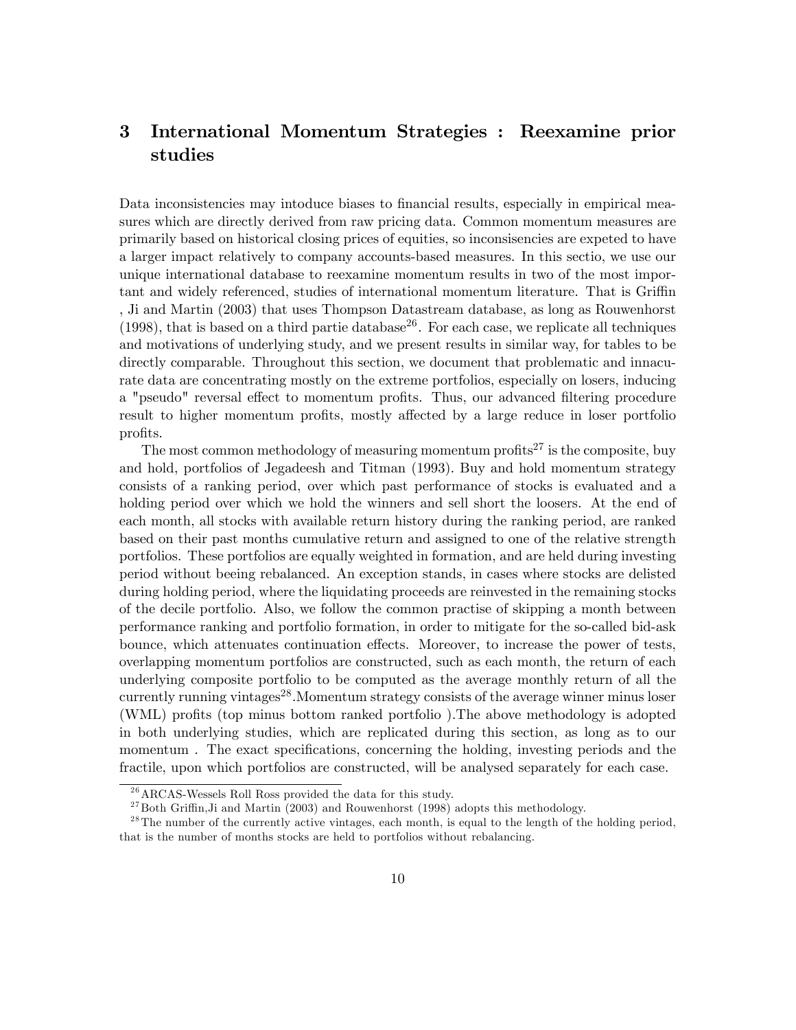# 3 International Momentum Strategies : Reexamine prior studies

Data inconsistencies may intoduce biases to financial results, especially in empirical measures which are directly derived from raw pricing data. Common momentum measures are primarily based on historical closing prices of equities, so inconsisencies are expeted to have a larger impact relatively to company accounts-based measures. In this sectio, we use our unique international database to reexamine momentum results in two of the most important and widely referenced, studies of international momentum literature. That is Griffin , Ji and Martin (2003) that uses Thompson Datastream database, as long as Rouwenhorst  $(1998)$ , that is based on a third partie database<sup>26</sup>. For each case, we replicate all techniques and motivations of underlying study, and we present results in similar way, for tables to be directly comparable. Throughout this section, we document that problematic and innacurate data are concentrating mostly on the extreme portfolios, especially on losers, inducing a "pseudo" reversal effect to momentum profits. Thus, our advanced filtering procedure result to higher momentum profits, mostly affected by a large reduce in loser portfolio profits.

The most common methodology of measuring momentum profits<sup>27</sup> is the composite, buy and hold, portfolios of Jegadeesh and Titman (1993). Buy and hold momentum strategy consists of a ranking period, over which past performance of stocks is evaluated and a holding period over which we hold the winners and sell short the loosers. At the end of each month, all stocks with available return history during the ranking period, are ranked based on their past months cumulative return and assigned to one of the relative strength portfolios. These portfolios are equally weighted in formation, and are held during investing period without beeing rebalanced. An exception stands, in cases where stocks are delisted during holding period, where the liquidating proceeds are reinvested in the remaining stocks of the decile portfolio. Also, we follow the common practise of skipping a month between performance ranking and portfolio formation, in order to mitigate for the so-called bid-ask bounce, which attenuates continuation effects. Moreover, to increase the power of tests, overlapping momentum portfolios are constructed, such as each month, the return of each underlying composite portfolio to be computed as the average monthly return of all the currently running vintages<sup>28</sup>. Momentum strategy consists of the average winner minus loser (WML) profits (top minus bottom ranked portfolio). The above methodology is adopted in both underlying studies, which are replicated during this section, as long as to our momentum. The exact specifications, concerning the holding, investing periods and the fractile, upon which portfolios are constructed, will be analysed separately for each case.

 $26$  ARCAS-Wessels Roll Ross provided the data for this study.

 $27$  Both Griffin, Ji and Martin (2003) and Rouwenhorst (1998) adopts this methodology.

 $^{28}$ The number of the currently active vintages, each month, is equal to the length of the holding period, that is the number of months stocks are held to portfolios without rebalancing.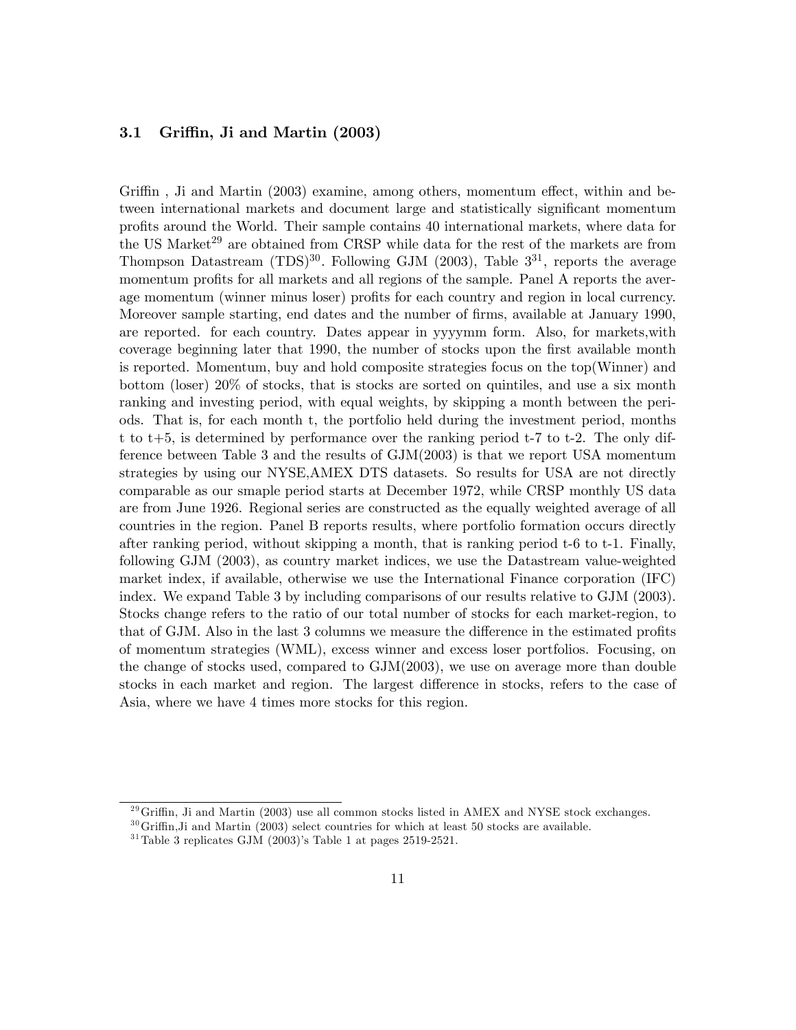# 3.1 Griffin, Ji and Martin (2003)

Griffin, Ji and Martin  $(2003)$  examine, among others, momentum effect, within and between international markets and document large and statistically significant momentum profits around the World. Their sample contains 40 international markets, where data for the US Market<sup>29</sup> are obtained from CRSP while data for the rest of the markets are from Thompson Datastream  $(TDS)^{30}$ . Following GJM (2003), Table  $3^{31}$ , reports the average momentum profits for all markets and all regions of the sample. Panel A reports the average momentum (winner minus loser) profits for each country and region in local currency. Moreover sample starting, end dates and the number of firms, available at January 1990, are reported. for each country. Dates appear in yyyymm form. Also, for markets,with coverage beginning later that 1990, the number of stocks upon the first available month is reported. Momentum, buy and hold composite strategies focus on the top(Winner) and bottom (loser) 20% of stocks, that is stocks are sorted on quintiles, and use a six month ranking and investing period, with equal weights, by skipping a month between the periods. That is, for each month t, the portfolio held during the investment period, months t to t+5, is determined by performance over the ranking period t-7 to t-2. The only difference between Table 3 and the results of GJM(2003) is that we report USA momentum strategies by using our NYSE,AMEX DTS datasets. So results for USA are not directly comparable as our smaple period starts at December 1972, while CRSP monthly US data are from June 1926. Regional series are constructed as the equally weighted average of all countries in the region. Panel B reports results, where portfolio formation occurs directly after ranking period, without skipping a month, that is ranking period t-6 to t-1. Finally, following GJM (2003), as country market indices, we use the Datastream value-weighted market index, if available, otherwise we use the International Finance corporation (IFC) index. We expand Table 3 by including comparisons of our results relative to GJM (2003). Stocks change refers to the ratio of our total number of stocks for each market-region, to that of GJM. Also in the last 3 columns we measure the difference in the estimated profits of momentum strategies (WML), excess winner and excess loser portfolios. Focusing, on the change of stocks used, compared to GJM(2003), we use on average more than double stocks in each market and region. The largest difference in stocks, refers to the case of Asia, where we have 4 times more stocks for this region.

 $^{29}$ Griffin, Ji and Martin (2003) use all common stocks listed in AMEX and NYSE stock exchanges.

 $30$  Griffin, Ji and Martin (2003) select countries for which at least 50 stocks are available.

<sup>&</sup>lt;sup>31</sup>Table 3 replicates GJM  $(2003)$ 's Table 1 at pages 2519-2521.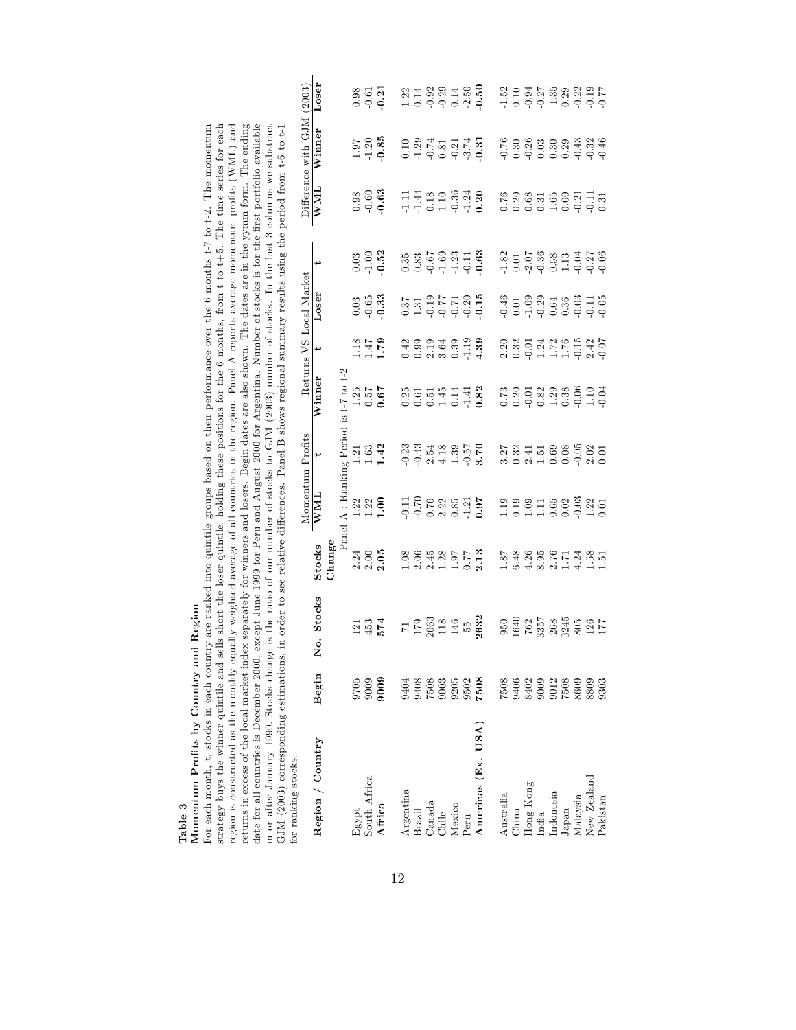| тели в и руссея писк и посы при мераталей у предлагает на свои с совержителя на своим на своим на своим на своим полни предлагает на своим на своим на своим на своим на своим на своим на<br>in or after January 1990. Stocks change is the ratio of our number of stocks to GJM (2003) number of stocks. In the last 3 columns we substract<br>date for all countries is December 2000, |                                                     | except June 1999 for Peru and August 2000 for Argentina. Number of stocks is for the first portfolio available |                                                                                                                                                                                                                                                                                       |                                                                          |                                                                    |                                                                                                                                                                                                                                                                                                               |                                                                                                                                                                                                                                                                                                               |                                                                                         |                                                                                   |                                                     |                            |                                                                                                     |
|-------------------------------------------------------------------------------------------------------------------------------------------------------------------------------------------------------------------------------------------------------------------------------------------------------------------------------------------------------------------------------------------|-----------------------------------------------------|----------------------------------------------------------------------------------------------------------------|---------------------------------------------------------------------------------------------------------------------------------------------------------------------------------------------------------------------------------------------------------------------------------------|--------------------------------------------------------------------------|--------------------------------------------------------------------|---------------------------------------------------------------------------------------------------------------------------------------------------------------------------------------------------------------------------------------------------------------------------------------------------------------|---------------------------------------------------------------------------------------------------------------------------------------------------------------------------------------------------------------------------------------------------------------------------------------------------------------|-----------------------------------------------------------------------------------------|-----------------------------------------------------------------------------------|-----------------------------------------------------|----------------------------|-----------------------------------------------------------------------------------------------------|
| GJM (2003) corresponding estimations,<br>for ranking stocks.                                                                                                                                                                                                                                                                                                                              |                                                     | in order to see relative differences. Panel B shows regional summary results using the period from t-6 to t-1  |                                                                                                                                                                                                                                                                                       |                                                                          |                                                                    |                                                                                                                                                                                                                                                                                                               |                                                                                                                                                                                                                                                                                                               |                                                                                         |                                                                                   |                                                     |                            |                                                                                                     |
|                                                                                                                                                                                                                                                                                                                                                                                           |                                                     |                                                                                                                |                                                                                                                                                                                                                                                                                       |                                                                          | Momentum Profits                                                   |                                                                                                                                                                                                                                                                                                               |                                                                                                                                                                                                                                                                                                               | Returns VS Local Market                                                                 |                                                                                   |                                                     | Difference with GJM (2003) |                                                                                                     |
| Region / Country                                                                                                                                                                                                                                                                                                                                                                          | Begin                                               | <b>Stocks</b><br>å.                                                                                            | Stocks                                                                                                                                                                                                                                                                                | WML                                                                      | ↔                                                                  | $\rm{Winner}$                                                                                                                                                                                                                                                                                                 | ↔                                                                                                                                                                                                                                                                                                             | Loser                                                                                   | پ                                                                                 | WML                                                 | Winner                     | resor                                                                                               |
|                                                                                                                                                                                                                                                                                                                                                                                           |                                                     |                                                                                                                | Change                                                                                                                                                                                                                                                                                |                                                                          |                                                                    |                                                                                                                                                                                                                                                                                                               |                                                                                                                                                                                                                                                                                                               |                                                                                         |                                                                                   |                                                     |                            |                                                                                                     |
|                                                                                                                                                                                                                                                                                                                                                                                           |                                                     |                                                                                                                |                                                                                                                                                                                                                                                                                       | Panel A : Ranking Period is t-7 to t-2                                   |                                                                    |                                                                                                                                                                                                                                                                                                               |                                                                                                                                                                                                                                                                                                               |                                                                                         |                                                                                   |                                                     |                            |                                                                                                     |
| Egypt                                                                                                                                                                                                                                                                                                                                                                                     | 9705                                                |                                                                                                                | 2.24                                                                                                                                                                                                                                                                                  |                                                                          | $1.\overline{2}1$                                                  |                                                                                                                                                                                                                                                                                                               | 1.18                                                                                                                                                                                                                                                                                                          | 0.03                                                                                    | 0.03                                                                              | 0.98                                                |                            | 0.98                                                                                                |
| South Africa                                                                                                                                                                                                                                                                                                                                                                              | 9009                                                | $121$<br>$453$                                                                                                 | 2.00                                                                                                                                                                                                                                                                                  | $\frac{1}{1}$ .<br>$\frac{2}{1}$ .<br>$\frac{1}{1}$ .<br>$\frac{1}{1}$   | $1.63$<br>1.42                                                     | $\frac{1.25}{0.57}$                                                                                                                                                                                                                                                                                           | 67.1                                                                                                                                                                                                                                                                                                          | $-0.65$                                                                                 | $-1.00$                                                                           | $-0.60$<br>$0.63$                                   | $\frac{1.97}{-1.20}$       | $-0.61$                                                                                             |
| Africa                                                                                                                                                                                                                                                                                                                                                                                    | 9009                                                | 574                                                                                                            | 2.05                                                                                                                                                                                                                                                                                  |                                                                          |                                                                    |                                                                                                                                                                                                                                                                                                               |                                                                                                                                                                                                                                                                                                               | 0.33                                                                                    | 0.52                                                                              |                                                     |                            | 0.21                                                                                                |
| Argentina                                                                                                                                                                                                                                                                                                                                                                                 | 9404                                                |                                                                                                                |                                                                                                                                                                                                                                                                                       |                                                                          |                                                                    |                                                                                                                                                                                                                                                                                                               |                                                                                                                                                                                                                                                                                                               |                                                                                         | 0.35                                                                              |                                                     |                            |                                                                                                     |
| Brazil                                                                                                                                                                                                                                                                                                                                                                                    | 9408                                                |                                                                                                                | $\frac{1.08}{2.06}$                                                                                                                                                                                                                                                                   |                                                                          |                                                                    |                                                                                                                                                                                                                                                                                                               |                                                                                                                                                                                                                                                                                                               |                                                                                         |                                                                                   |                                                     |                            |                                                                                                     |
| Canada                                                                                                                                                                                                                                                                                                                                                                                    | 7508                                                |                                                                                                                |                                                                                                                                                                                                                                                                                       |                                                                          |                                                                    |                                                                                                                                                                                                                                                                                                               |                                                                                                                                                                                                                                                                                                               |                                                                                         |                                                                                   |                                                     |                            |                                                                                                     |
| Chile                                                                                                                                                                                                                                                                                                                                                                                     | 9003                                                | $719063$<br>$2063$<br>$146$                                                                                    | $\begin{array}{c} 1.28 \\ 1.97 \\ 0.77 \\ 2.13 \end{array}$                                                                                                                                                                                                                           | $112223351$<br>$-0.723351$<br>$-1.31$<br>$-1.31$                         | $0.23$<br>$0.43$<br>$0.43$<br>$0.43$<br>$0.43$<br>$0.43$<br>$0.39$ | $0.82$<br>$0.6144$<br>$0.82$<br>$0.614$<br>$0.82$                                                                                                                                                                                                                                                             |                                                                                                                                                                                                                                                                                                               | $\begin{array}{c} 0.37 \\ 1.31 \\ -0.19 \\ 77 \\ -0.71 \\ 0.20 \\ -0.20 \\ \end{array}$ | $\begin{array}{c} 0.83 \\ -0.67 \\ -1.23 \\ -1.11 \\ \end{array}$                 | $11480$<br>$1480$<br>$-1980$<br>$-1980$<br>$-10.30$ |                            | $1.22$<br>$0.14$<br>$0.92$<br>$0.29$<br>$0.14$                                                      |
| Mexico                                                                                                                                                                                                                                                                                                                                                                                    | 9205                                                |                                                                                                                |                                                                                                                                                                                                                                                                                       |                                                                          |                                                                    |                                                                                                                                                                                                                                                                                                               |                                                                                                                                                                                                                                                                                                               |                                                                                         |                                                                                   |                                                     |                            |                                                                                                     |
| Peru                                                                                                                                                                                                                                                                                                                                                                                      | 9502                                                | ЪĎ                                                                                                             |                                                                                                                                                                                                                                                                                       |                                                                          | $-0.57$<br>3.70                                                    |                                                                                                                                                                                                                                                                                                               |                                                                                                                                                                                                                                                                                                               |                                                                                         |                                                                                   |                                                     |                            | $-2.50$                                                                                             |
| Americas (Ex. USA)                                                                                                                                                                                                                                                                                                                                                                        | 7508                                                | 2632                                                                                                           |                                                                                                                                                                                                                                                                                       |                                                                          |                                                                    |                                                                                                                                                                                                                                                                                                               |                                                                                                                                                                                                                                                                                                               |                                                                                         | 0.63                                                                              |                                                     |                            | 0.50                                                                                                |
| Australia                                                                                                                                                                                                                                                                                                                                                                                 | 7508                                                | 950                                                                                                            | 1.87                                                                                                                                                                                                                                                                                  |                                                                          | 3.27                                                               |                                                                                                                                                                                                                                                                                                               |                                                                                                                                                                                                                                                                                                               |                                                                                         | 1.82                                                                              | 0.76                                                |                            | $-1.52$                                                                                             |
| China                                                                                                                                                                                                                                                                                                                                                                                     | 9406                                                | 1640                                                                                                           | 6.48                                                                                                                                                                                                                                                                                  | $\begin{array}{c} 1.9 \\ 1.0 \\ 0.1 \\ 1.1 \\ 0.0 \\ 0.0 \\ \end{array}$ | 0.32                                                               | $\begin{array}{c} 73 \\ 0.20 \\ 0.30 \\ 0.40 \\ 0.50 \\ 0.60 \\ 0.73 \\ 0.60 \\ 0.01 \\ 0.01 \\ 0.01 \\ 0.01 \\ 0.01 \\ 0.01 \\ 0.01 \\ 0.01 \\ 0.01 \\ 0.01 \\ 0.01 \\ 0.01 \\ 0.01 \\ 0.01 \\ 0.01 \\ 0.01 \\ 0.01 \\ 0.01 \\ 0.01 \\ 0.01 \\ 0.01 \\ 0.01 \\ 0.01 \\ 0.01 \\ 0.01 \\ 0.01 \\ 0.01 \\ 0.01$ | $\begin{array}{c} 2.20 \\ 2.32 \\ 0.91 \\ 0.17 \\ 0.17 \\ 0.17 \\ 0.19 \\ 0.07 \\ 0.07 \\ 0.07 \\ 0.07 \\ 0.07 \\ 0.07 \\ 0.07 \\ 0.07 \\ 0.07 \\ 0.07 \\ 0.07 \\ 0.07 \\ 0.07 \\ 0.07 \\ 0.07 \\ 0.07 \\ 0.07 \\ 0.07 \\ 0.07 \\ 0.07 \\ 0.07 \\ 0.07 \\ 0.07 \\ 0.07 \\ 0.07 \\ 0.07 \\ 0.07 \\ 0.07 \\ 0.$ | $-0.46$<br>$-0.03$<br>$-1.03$<br>$-0.38$<br>$-0.38$<br>$-0.03$<br>$-0.03$<br>$-0.05$    |                                                                                   |                                                     |                            |                                                                                                     |
| Hong Kong                                                                                                                                                                                                                                                                                                                                                                                 | 8402                                                |                                                                                                                |                                                                                                                                                                                                                                                                                       |                                                                          | $2.41$<br>$1.51$<br>$0.69$                                         |                                                                                                                                                                                                                                                                                                               |                                                                                                                                                                                                                                                                                                               |                                                                                         |                                                                                   |                                                     |                            |                                                                                                     |
| India                                                                                                                                                                                                                                                                                                                                                                                     |                                                     |                                                                                                                |                                                                                                                                                                                                                                                                                       |                                                                          |                                                                    |                                                                                                                                                                                                                                                                                                               |                                                                                                                                                                                                                                                                                                               |                                                                                         |                                                                                   |                                                     |                            |                                                                                                     |
| Indonesia                                                                                                                                                                                                                                                                                                                                                                                 | $\begin{array}{c} 9009 \\ 9012 \\ 7508 \end{array}$ | 762<br>3357<br>268<br>3245<br>305<br>17                                                                        | $\begin{array}{c} 0.0000 \\ 0.00000 \\ 0.000000 \\ 0.000000 \\ 0.00000 \\ 0.00000 \\ 0.00000 \\ 0.00000 \\ 0.00000 \\ 0.00000 \\ 0.00000 \\ 0.00000 \\ 0.00000 \\ 0.00000 \\ 0.00000 \\ 0.00000 \\ 0.00000 \\ 0.00000 \\ 0.00000 \\ 0.00000 \\ 0.00000 \\ 0.00000 \\ 0.00000 \\ 0.00$ |                                                                          |                                                                    |                                                                                                                                                                                                                                                                                                               |                                                                                                                                                                                                                                                                                                               |                                                                                         | $\begin{array}{c} 0.01 \\ -2.07 \\ 0.58 \\ 0.13 \\ -1.19 \\ -0.27 \\ \end{array}$ | 0.38<br>0.631<br>0.0.0.0.0.0.0.0                    |                            | $\begin{array}{c} 0.10 \\ -0.94 \\ -0.27 \\ -1.35 \\ 0.29 \\ -0.21 \\ 0.19 \\ -0.77 \\ \end{array}$ |
| Japan                                                                                                                                                                                                                                                                                                                                                                                     |                                                     |                                                                                                                |                                                                                                                                                                                                                                                                                       |                                                                          | 0.08                                                               |                                                                                                                                                                                                                                                                                                               |                                                                                                                                                                                                                                                                                                               |                                                                                         |                                                                                   |                                                     |                            |                                                                                                     |
| Malaysia                                                                                                                                                                                                                                                                                                                                                                                  | 8609                                                |                                                                                                                |                                                                                                                                                                                                                                                                                       |                                                                          | $-0.05$                                                            |                                                                                                                                                                                                                                                                                                               |                                                                                                                                                                                                                                                                                                               |                                                                                         |                                                                                   |                                                     |                            |                                                                                                     |
| New Zealand                                                                                                                                                                                                                                                                                                                                                                               | 808                                                 |                                                                                                                |                                                                                                                                                                                                                                                                                       |                                                                          | 2.02                                                               |                                                                                                                                                                                                                                                                                                               |                                                                                                                                                                                                                                                                                                               |                                                                                         |                                                                                   |                                                     |                            |                                                                                                     |
| Pakistan                                                                                                                                                                                                                                                                                                                                                                                  | 9303                                                |                                                                                                                |                                                                                                                                                                                                                                                                                       |                                                                          | 0.01                                                               |                                                                                                                                                                                                                                                                                                               |                                                                                                                                                                                                                                                                                                               |                                                                                         |                                                                                   |                                                     |                            |                                                                                                     |

Table 3<br>Momentum Profits by Country and Region<br>For each month, t, stocks in each country are ranked into quintile groups based on their performance over the 6 months t-7 to t-2. The momentum<br>For each month, t, stocks in ea Momentum ProÖts by Country and Region For each month, t, stocks in each country are ranked into quintile groups based on their performance over the 6 months t-7 to t-2. The momentum<br>during the momentum control and collect the local distribution of the control strategy buys the winner quintile and sells short the loser quintile, holding these positions for the 6 months, from t to t+5. The time series for each

region is constructed as the monthly equally weighted average of all countries in the region. Panel A reports average momentum profits (WML) and returns in excess of the local market index separately for winners and losers. Begin dates are also shown. The dates are in the yymm form. The ending date for all countries is December 2000, except June 1999 for Peru and August 2000 for Argentina. Number of stocks is for the Örst portfolio available

region is constructed as the monthly equally weighted average of all countries in the region. Panel A reports average momentum profits (WML) and<br>returns in excess of the local market index separately for wimners and losers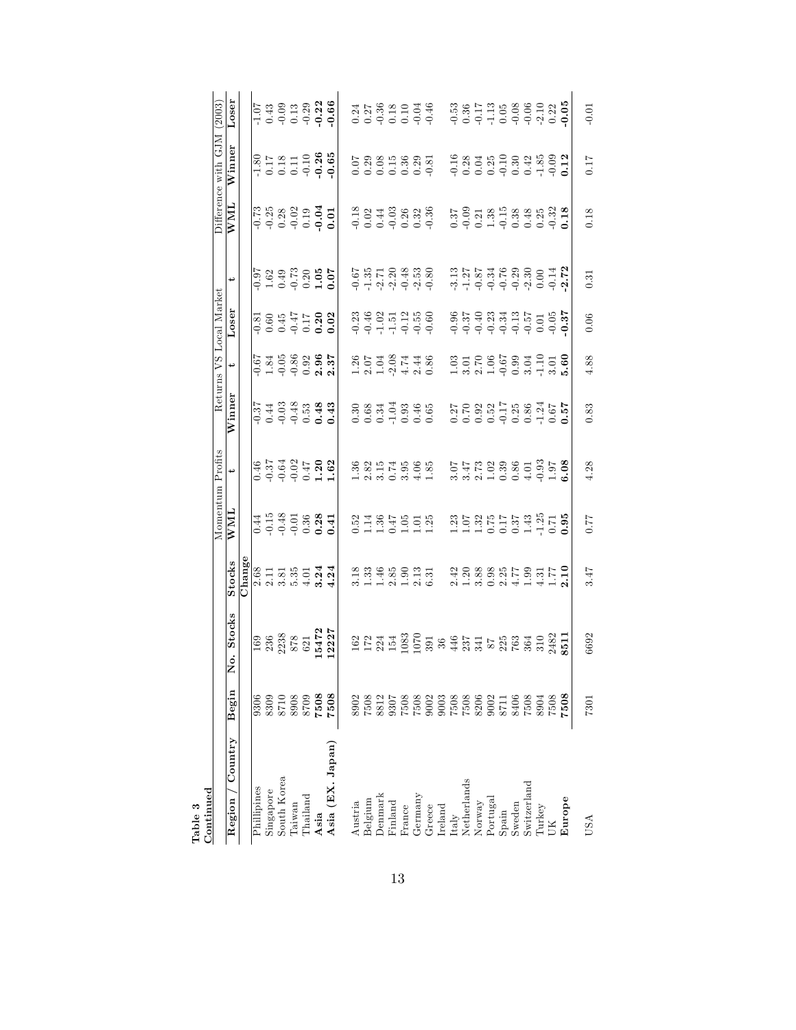| Pable 3                                                                                          |                                                                  |                                                                                                                                                                                                                                                                                                               |                                                                                                                 |                                                                                                                                                                                                                                                                                |                                                                                                                                                                                                                                                                                                               |                                                                                                                                                                                                                                                                                |                                                                                                                                                                            |                                                                                                                                                                                                                                                                                                     |                                                                                                                                             |                      |                                                                                                                                                                                                                                                                                |                                                                                                                                                                                                                                                                               |
|--------------------------------------------------------------------------------------------------|------------------------------------------------------------------|---------------------------------------------------------------------------------------------------------------------------------------------------------------------------------------------------------------------------------------------------------------------------------------------------------------|-----------------------------------------------------------------------------------------------------------------|--------------------------------------------------------------------------------------------------------------------------------------------------------------------------------------------------------------------------------------------------------------------------------|---------------------------------------------------------------------------------------------------------------------------------------------------------------------------------------------------------------------------------------------------------------------------------------------------------------|--------------------------------------------------------------------------------------------------------------------------------------------------------------------------------------------------------------------------------------------------------------------------------|----------------------------------------------------------------------------------------------------------------------------------------------------------------------------|-----------------------------------------------------------------------------------------------------------------------------------------------------------------------------------------------------------------------------------------------------------------------------------------------------|---------------------------------------------------------------------------------------------------------------------------------------------|----------------------|--------------------------------------------------------------------------------------------------------------------------------------------------------------------------------------------------------------------------------------------------------------------------------|-------------------------------------------------------------------------------------------------------------------------------------------------------------------------------------------------------------------------------------------------------------------------------|
| $\footnotesize \texttt{Continued}$                                                               |                                                                  |                                                                                                                                                                                                                                                                                                               |                                                                                                                 |                                                                                                                                                                                                                                                                                | Momentum Profits                                                                                                                                                                                                                                                                                              |                                                                                                                                                                                                                                                                                |                                                                                                                                                                            | Returns VS Local Market                                                                                                                                                                                                                                                                             |                                                                                                                                             |                      | Difference with GJM                                                                                                                                                                                                                                                            | (2003)                                                                                                                                                                                                                                                                        |
| Country<br>Region                                                                                | Begin                                                            | <b>Stocks</b><br>$\dot{\circ}$<br>Ž                                                                                                                                                                                                                                                                           | <b>Stocks</b>                                                                                                   | WMI                                                                                                                                                                                                                                                                            |                                                                                                                                                                                                                                                                                                               | Winner                                                                                                                                                                                                                                                                         |                                                                                                                                                                            | Loser                                                                                                                                                                                                                                                                                               | ىب                                                                                                                                          | WML                  | Winner                                                                                                                                                                                                                                                                         | Loser                                                                                                                                                                                                                                                                         |
|                                                                                                  |                                                                  |                                                                                                                                                                                                                                                                                                               | Chang                                                                                                           |                                                                                                                                                                                                                                                                                |                                                                                                                                                                                                                                                                                                               |                                                                                                                                                                                                                                                                                |                                                                                                                                                                            |                                                                                                                                                                                                                                                                                                     |                                                                                                                                             |                      |                                                                                                                                                                                                                                                                                |                                                                                                                                                                                                                                                                               |
| Phillipines                                                                                      | 9306                                                             |                                                                                                                                                                                                                                                                                                               |                                                                                                                 |                                                                                                                                                                                                                                                                                |                                                                                                                                                                                                                                                                                                               |                                                                                                                                                                                                                                                                                |                                                                                                                                                                            |                                                                                                                                                                                                                                                                                                     |                                                                                                                                             |                      |                                                                                                                                                                                                                                                                                |                                                                                                                                                                                                                                                                               |
| Singapore                                                                                        | 8309                                                             |                                                                                                                                                                                                                                                                                                               |                                                                                                                 |                                                                                                                                                                                                                                                                                |                                                                                                                                                                                                                                                                                                               |                                                                                                                                                                                                                                                                                |                                                                                                                                                                            |                                                                                                                                                                                                                                                                                                     |                                                                                                                                             |                      |                                                                                                                                                                                                                                                                                |                                                                                                                                                                                                                                                                               |
| South Korea                                                                                      | 8710                                                             |                                                                                                                                                                                                                                                                                                               |                                                                                                                 |                                                                                                                                                                                                                                                                                |                                                                                                                                                                                                                                                                                                               |                                                                                                                                                                                                                                                                                |                                                                                                                                                                            |                                                                                                                                                                                                                                                                                                     |                                                                                                                                             |                      |                                                                                                                                                                                                                                                                                |                                                                                                                                                                                                                                                                               |
| Taiwan                                                                                           | 8008<br>8008                                                     |                                                                                                                                                                                                                                                                                                               |                                                                                                                 |                                                                                                                                                                                                                                                                                |                                                                                                                                                                                                                                                                                                               |                                                                                                                                                                                                                                                                                |                                                                                                                                                                            |                                                                                                                                                                                                                                                                                                     |                                                                                                                                             |                      |                                                                                                                                                                                                                                                                                |                                                                                                                                                                                                                                                                               |
| Thailand                                                                                         |                                                                  |                                                                                                                                                                                                                                                                                                               |                                                                                                                 |                                                                                                                                                                                                                                                                                |                                                                                                                                                                                                                                                                                                               |                                                                                                                                                                                                                                                                                |                                                                                                                                                                            |                                                                                                                                                                                                                                                                                                     |                                                                                                                                             |                      |                                                                                                                                                                                                                                                                                |                                                                                                                                                                                                                                                                               |
|                                                                                                  | 7508                                                             |                                                                                                                                                                                                                                                                                                               |                                                                                                                 |                                                                                                                                                                                                                                                                                |                                                                                                                                                                                                                                                                                                               |                                                                                                                                                                                                                                                                                |                                                                                                                                                                            |                                                                                                                                                                                                                                                                                                     |                                                                                                                                             |                      |                                                                                                                                                                                                                                                                                |                                                                                                                                                                                                                                                                               |
| Asia<br>Asia (EX. Japan)                                                                         | 7508                                                             | $\begin{array}{l} 169 \\ 236 \\ 2238 \\ 878 \\ 621 \\ 6472 \\ 1472 \\ 2227 \end{array}$                                                                                                                                                                                                                       | $\frac{8}{8}$ $\frac{1}{2}$ $\frac{3}{8}$ $\frac{3}{8}$ $\frac{1}{9}$ $\frac{4}{9}$ $\frac{3}{4}$ $\frac{4}{9}$ | $0.14$<br>$-0.15$<br>$0.36$<br>$0.36$<br>$0.36$<br>$0.44$                                                                                                                                                                                                                      | $\begin{array}{c} 0.46 \\ -0.37 \\ 0.64 \\ 0.47 \\ -0.50 \\ 1.82 \\ \hline \end{array}$                                                                                                                                                                                                                       | $\frac{12}{10}$<br>$\frac{12}{10}$<br>$\frac{12}{10}$<br>$\frac{12}{10}$<br>$\frac{12}{10}$<br>$\frac{12}{10}$<br>$\frac{12}{10}$<br>$\frac{12}{10}$                                                                                                                           | $\frac{67}{9}$<br>$\frac{34}{9}$<br>$\frac{66}{9}$<br>$\frac{68}{9}$<br>$\frac{6}{9}$<br>$\frac{6}{9}$<br>$\frac{6}{9}$<br>$\frac{6}{9}$<br>$\frac{6}{9}$<br>$\frac{6}{9}$ | $-0.81$<br>0.60<br>0.45<br>0.20<br>0.02<br>0.02                                                                                                                                                                                                                                                     | $\frac{57}{91}$<br>$\frac{29}{91}$<br>$\frac{37}{9}$<br>$\frac{30}{9}$<br>$\frac{30}{9}$<br>$\frac{1}{9}$<br>$\frac{1}{9}$<br>$\frac{1}{9}$ | 73<br>0333<br>000000 |                                                                                                                                                                                                                                                                                | $\frac{1}{1}$<br>$\frac{1}{9}$<br>$\frac{43}{9}$<br>$\frac{0}{9}$<br>$\frac{13}{9}$<br>$\frac{23}{9}$<br>$\frac{22}{9}$<br>$\frac{1}{9}$                                                                                                                                      |
| Austria                                                                                          | 8902                                                             |                                                                                                                                                                                                                                                                                                               | $\begin{array}{c} 1.8 \\ 1.3 \\ 1.4 \\ 2.5 \\ 3.5 \\ 4.6 \\ 5.7 \\ 6.6 \\ \end{array}$                          |                                                                                                                                                                                                                                                                                | $368257568$<br>$1.3505841$                                                                                                                                                                                                                                                                                    | $\begin{array}{cccc}\n 3.88 & 3.84 & 3.84 & 3.85 & 3.87 & 3.87 & 3.87 & 3.87 & 3.87 & 3.87 & 3.87 & 3.87 & 3.87 & 3.87 & 3.87 & 3.87 & 3.87 & 3.87 & 3.87 & 3.87 & 3.87 & 3.87 & 3.87 & 3.87 & 3.87 & 3.87 & 3.87 & 3.87 & 3.87 & 3.87 & 3.87 & 3.87 & 3.87 & 3.87 & 3.87 & 3$ | $1.26$<br>$2.07$<br>$1.04$<br>$1.74$<br>$2.08$<br>$1.44$<br>$0.86$                                                                                                         | $23.46$<br>$-9.46$<br>$-1.79$<br>$-9.56$<br>$-1.79$<br>$-9.60$                                                                                                                                                                                                                                      | $-1.72838$<br>$-1.728338$<br>$-1.99999$                                                                                                     |                      | $\begin{array}{l} 0.07 \\ 0.29 \\ 0.08 \\ 0.15 \\ 0.03 \\ 0.03 \\ 0.03 \\ \end{array}$                                                                                                                                                                                         | $\begin{array}{cccc} 0.24 & 0.27 & 0.28 & 0.29 & 0.29 & 0.29 & 0.29 & 0.29 & 0.29 & 0.29 & 0.29 & 0.29 & 0.29 & 0.29 & 0.29 & 0.29 & 0.29 & 0.29 & 0.29 & 0.29 & 0.29 & 0.29 & 0.29 & 0.29 & 0.29 & 0.29 & 0.29 & 0.29 & 0.29 & 0.29 & 0.29 & 0.29 & 0.29 & 0.29 & 0.29 & 0.$ |
| Belgium                                                                                          | 7508                                                             |                                                                                                                                                                                                                                                                                                               |                                                                                                                 |                                                                                                                                                                                                                                                                                |                                                                                                                                                                                                                                                                                                               |                                                                                                                                                                                                                                                                                |                                                                                                                                                                            |                                                                                                                                                                                                                                                                                                     |                                                                                                                                             |                      |                                                                                                                                                                                                                                                                                |                                                                                                                                                                                                                                                                               |
| Denmark                                                                                          |                                                                  |                                                                                                                                                                                                                                                                                                               |                                                                                                                 |                                                                                                                                                                                                                                                                                |                                                                                                                                                                                                                                                                                                               |                                                                                                                                                                                                                                                                                |                                                                                                                                                                            |                                                                                                                                                                                                                                                                                                     |                                                                                                                                             |                      |                                                                                                                                                                                                                                                                                |                                                                                                                                                                                                                                                                               |
| Finland                                                                                          |                                                                  |                                                                                                                                                                                                                                                                                                               |                                                                                                                 |                                                                                                                                                                                                                                                                                |                                                                                                                                                                                                                                                                                                               |                                                                                                                                                                                                                                                                                |                                                                                                                                                                            |                                                                                                                                                                                                                                                                                                     |                                                                                                                                             |                      |                                                                                                                                                                                                                                                                                |                                                                                                                                                                                                                                                                               |
| $\label{eq:Frame} \begin{minipage}{.4\linewidth} \vspace{-0.5cm} \textbf{France} \end{minipage}$ | 8812<br>9307<br>9508 2508<br>9507 7508<br>9507 7508<br>9508 7508 | $\begin{array}{l} 1674 \\ 1774 \\ 1880 \\ 1090 \\ 1090 \\ 1090 \\ 1090 \\ 1090 \\ 1090 \\ 1090 \\ 1090 \\ 1090 \\ 1090 \\ 1090 \\ 1090 \\ 1090 \\ 1090 \\ 1090 \\ 1090 \\ 1090 \\ 1090 \\ 1090 \\ 1090 \\ 1090 \\ 1090 \\ 1090 \\ 1090 \\ 1090 \\ 1090 \\ 1090 \\ 1090 \\ 1090 \\ 1090 \\ 1090 \\ 1090 \\ 10$ |                                                                                                                 | $0.5148$<br>$0.476$<br>$0.476$<br>$1.36$<br>$1.5$<br>$1.5$                                                                                                                                                                                                                     |                                                                                                                                                                                                                                                                                                               |                                                                                                                                                                                                                                                                                |                                                                                                                                                                            |                                                                                                                                                                                                                                                                                                     |                                                                                                                                             |                      |                                                                                                                                                                                                                                                                                |                                                                                                                                                                                                                                                                               |
| $\rm{Gemany}$                                                                                    |                                                                  |                                                                                                                                                                                                                                                                                                               |                                                                                                                 |                                                                                                                                                                                                                                                                                |                                                                                                                                                                                                                                                                                                               |                                                                                                                                                                                                                                                                                |                                                                                                                                                                            |                                                                                                                                                                                                                                                                                                     |                                                                                                                                             |                      |                                                                                                                                                                                                                                                                                |                                                                                                                                                                                                                                                                               |
| Greece                                                                                           |                                                                  |                                                                                                                                                                                                                                                                                                               |                                                                                                                 |                                                                                                                                                                                                                                                                                |                                                                                                                                                                                                                                                                                                               |                                                                                                                                                                                                                                                                                |                                                                                                                                                                            |                                                                                                                                                                                                                                                                                                     |                                                                                                                                             |                      |                                                                                                                                                                                                                                                                                |                                                                                                                                                                                                                                                                               |
| Ireland                                                                                          |                                                                  |                                                                                                                                                                                                                                                                                                               |                                                                                                                 |                                                                                                                                                                                                                                                                                |                                                                                                                                                                                                                                                                                                               |                                                                                                                                                                                                                                                                                |                                                                                                                                                                            |                                                                                                                                                                                                                                                                                                     |                                                                                                                                             |                      |                                                                                                                                                                                                                                                                                |                                                                                                                                                                                                                                                                               |
|                                                                                                  |                                                                  |                                                                                                                                                                                                                                                                                                               |                                                                                                                 |                                                                                                                                                                                                                                                                                |                                                                                                                                                                                                                                                                                                               |                                                                                                                                                                                                                                                                                |                                                                                                                                                                            |                                                                                                                                                                                                                                                                                                     |                                                                                                                                             |                      |                                                                                                                                                                                                                                                                                |                                                                                                                                                                                                                                                                               |
| ${\rm Italy} \atop {\rm Netherlands}$                                                            |                                                                  |                                                                                                                                                                                                                                                                                                               |                                                                                                                 |                                                                                                                                                                                                                                                                                |                                                                                                                                                                                                                                                                                                               |                                                                                                                                                                                                                                                                                |                                                                                                                                                                            |                                                                                                                                                                                                                                                                                                     |                                                                                                                                             |                      |                                                                                                                                                                                                                                                                                |                                                                                                                                                                                                                                                                               |
| Normay                                                                                           |                                                                  |                                                                                                                                                                                                                                                                                                               |                                                                                                                 |                                                                                                                                                                                                                                                                                |                                                                                                                                                                                                                                                                                                               |                                                                                                                                                                                                                                                                                |                                                                                                                                                                            |                                                                                                                                                                                                                                                                                                     |                                                                                                                                             |                      |                                                                                                                                                                                                                                                                                |                                                                                                                                                                                                                                                                               |
| Portugal                                                                                         |                                                                  |                                                                                                                                                                                                                                                                                                               | $\begin{array}{cccc}\n 48888887597777 \\  24988887597777 \\  24998887797777\n \end{array}$                      | $\begin{array}{cccc}\n 1.35 & 0.00 & 0.00 & 0.00 & 0.00 & 0.00 & 0.00 & 0.00 & 0.00 & 0.00 & 0.00 & 0.00 & 0.00 & 0.00 & 0.00 & 0.00 & 0.00 & 0.00 & 0.00 & 0.00 & 0.00 & 0.00 & 0.00 & 0.00 & 0.00 & 0.00 & 0.00 & 0.00 & 0.00 & 0.00 & 0.00 & 0.00 & 0.00 & 0.00 & 0.00 & 0$ |                                                                                                                                                                                                                                                                                                               |                                                                                                                                                                                                                                                                                |                                                                                                                                                                            | $\begin{array}{l} 69.57 \\ 99.57 \\ 99.57 \\ 99.57 \\ 99.57 \\ 99.57 \\ 99.57 \\ 99.57 \\ 99.57 \\ 99.57 \\ 99.57 \\ 99.57 \\ 99.57 \\ 99.57 \\ 99.57 \\ 99.57 \\ 99.57 \\ 99.57 \\ 99.57 \\ 99.57 \\ 99.57 \\ 99.57 \\ 99.57 \\ 99.57 \\ 99.57 \\ 99.57 \\ 99.57 \\ 99.57 \\ 99.57 \\ 99.57 \\ 99$ |                                                                                                                                             |                      |                                                                                                                                                                                                                                                                                |                                                                                                                                                                                                                                                                               |
| $S$ pain                                                                                         | 871.                                                             |                                                                                                                                                                                                                                                                                                               |                                                                                                                 |                                                                                                                                                                                                                                                                                |                                                                                                                                                                                                                                                                                                               |                                                                                                                                                                                                                                                                                |                                                                                                                                                                            |                                                                                                                                                                                                                                                                                                     |                                                                                                                                             |                      |                                                                                                                                                                                                                                                                                |                                                                                                                                                                                                                                                                               |
| Sweden                                                                                           | $8087 \\ 7508$                                                   |                                                                                                                                                                                                                                                                                                               |                                                                                                                 |                                                                                                                                                                                                                                                                                |                                                                                                                                                                                                                                                                                                               |                                                                                                                                                                                                                                                                                |                                                                                                                                                                            |                                                                                                                                                                                                                                                                                                     |                                                                                                                                             |                      |                                                                                                                                                                                                                                                                                |                                                                                                                                                                                                                                                                               |
| Switzerland                                                                                      |                                                                  |                                                                                                                                                                                                                                                                                                               |                                                                                                                 |                                                                                                                                                                                                                                                                                |                                                                                                                                                                                                                                                                                                               |                                                                                                                                                                                                                                                                                |                                                                                                                                                                            |                                                                                                                                                                                                                                                                                                     |                                                                                                                                             |                      |                                                                                                                                                                                                                                                                                |                                                                                                                                                                                                                                                                               |
| Turkey                                                                                           | 8904                                                             |                                                                                                                                                                                                                                                                                                               |                                                                                                                 |                                                                                                                                                                                                                                                                                |                                                                                                                                                                                                                                                                                                               |                                                                                                                                                                                                                                                                                |                                                                                                                                                                            |                                                                                                                                                                                                                                                                                                     |                                                                                                                                             |                      |                                                                                                                                                                                                                                                                                |                                                                                                                                                                                                                                                                               |
|                                                                                                  | 7508                                                             |                                                                                                                                                                                                                                                                                                               |                                                                                                                 |                                                                                                                                                                                                                                                                                |                                                                                                                                                                                                                                                                                                               |                                                                                                                                                                                                                                                                                |                                                                                                                                                                            |                                                                                                                                                                                                                                                                                                     |                                                                                                                                             |                      |                                                                                                                                                                                                                                                                                |                                                                                                                                                                                                                                                                               |
| Europe                                                                                           | 7508                                                             |                                                                                                                                                                                                                                                                                                               |                                                                                                                 |                                                                                                                                                                                                                                                                                | $\begin{array}{l} 0.71 \\ 0.71 \\ 0.71 \\ 0.83 \\ 0.98 \\ 0.01 \\ 0.03 \\ 0.01 \\ 0.03 \\ 0.01 \\ 0.03 \\ 0.01 \\ 0.03 \\ 0.03 \\ 0.03 \\ 0.03 \\ 0.03 \\ 0.03 \\ 0.03 \\ 0.03 \\ 0.03 \\ 0.03 \\ 0.03 \\ 0.03 \\ 0.03 \\ 0.03 \\ 0.03 \\ 0.03 \\ 0.03 \\ 0.03 \\ 0.03 \\ 0.03 \\ 0.03 \\ 0.03 \\ 0.03 \\ 0.$ |                                                                                                                                                                                                                                                                                |                                                                                                                                                                            |                                                                                                                                                                                                                                                                                                     | $7.137$ $7.277$ $7.378$ $7.378$ $7.378$ $7.378$ $7.378$ $7.378$ $7.378$ $7.378$ $7.378$ $7.378$ $7.378$ $7.378$ $7.378$ $7.378$             |                      | $\begin{array}{cccc}\n 0.16 & 0.28 & 0.00 & 0.00 & 0.00 & 0.00 & 0.00 & 0.00 & 0.00 & 0.00 & 0.00 & 0.00 & 0.00 & 0.00 & 0.00 & 0.00 & 0.00 & 0.00 & 0.00 & 0.00 & 0.00 & 0.00 & 0.00 & 0.00 & 0.00 & 0.00 & 0.00 & 0.00 & 0.00 & 0.00 & 0.00 & 0.00 & 0.00 & 0.00 & 0.00 & 0$ |                                                                                                                                                                                                                                                                               |
| USA                                                                                              | 7301                                                             | 6692                                                                                                                                                                                                                                                                                                          | 3.47                                                                                                            | 77.0                                                                                                                                                                                                                                                                           | 4.28                                                                                                                                                                                                                                                                                                          | 0.83                                                                                                                                                                                                                                                                           | 4.88                                                                                                                                                                       | $0.06\,$                                                                                                                                                                                                                                                                                            | 0.31                                                                                                                                        | 0.18                 | 0.17                                                                                                                                                                                                                                                                           | $-0.01$                                                                                                                                                                                                                                                                       |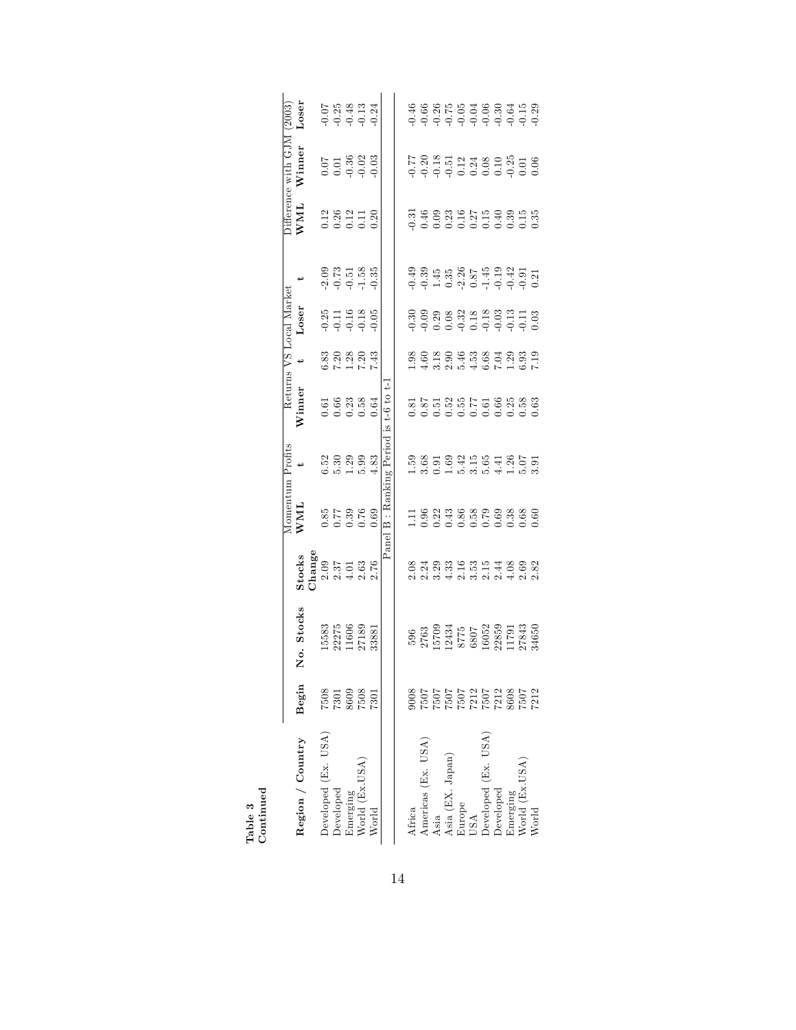|                                  |                                                                        |                                                                                                                                                                      |                                                                                                                                                               |                                                   | Momentum Profits                                                                                                                                                                                                                                                                                                              |                                        |                           | Returns VS Local Market |                                                                                                 |                                                           | Difference with GJM                | (2003)                               |
|----------------------------------|------------------------------------------------------------------------|----------------------------------------------------------------------------------------------------------------------------------------------------------------------|---------------------------------------------------------------------------------------------------------------------------------------------------------------|---------------------------------------------------|-------------------------------------------------------------------------------------------------------------------------------------------------------------------------------------------------------------------------------------------------------------------------------------------------------------------------------|----------------------------------------|---------------------------|-------------------------|-------------------------------------------------------------------------------------------------|-----------------------------------------------------------|------------------------------------|--------------------------------------|
| Region / Country                 | Begin                                                                  | Stocks<br>.<br>Š                                                                                                                                                     | <b>Stocks</b>                                                                                                                                                 | WML                                               |                                                                                                                                                                                                                                                                                                                               | $\rm{Winner}$                          |                           | Loser                   |                                                                                                 | WML                                                       | $W$ inner                          | $_{\text{loser}}$                    |
|                                  |                                                                        |                                                                                                                                                                      |                                                                                                                                                               |                                                   |                                                                                                                                                                                                                                                                                                                               |                                        |                           |                         |                                                                                                 |                                                           |                                    |                                      |
| Developed (Ex. USA)              |                                                                        |                                                                                                                                                                      |                                                                                                                                                               |                                                   |                                                                                                                                                                                                                                                                                                                               |                                        |                           |                         |                                                                                                 |                                                           |                                    |                                      |
| Developed                        | $\begin{array}{c} 7508 \\ 7301 \\ 8609 \\ 7508 \\ 7301 \\ \end{array}$ | 15583<br>22275<br>11606<br>27189<br>27189                                                                                                                            | $\begin{array}{l} \texttt{Change} \ \texttt{0.09} \ \texttt{2.03} \ \texttt{1.4} \ \texttt{2.76} \ \texttt{3.77} \ \texttt{4.13} \ \texttt{2.76} \end{array}$ | 697.69<br>027.67.18<br>0.0.0.0                    | $\begin{smallmatrix} 0 & 0 & 0 & 0 & 0 & 0 \\ 0 & 0 & 0 & 0 & 0 & 0 \\ 0 & 0 & 0 & 0 & 0 & 0 \\ 0 & 0 & 0 & 0 & 0 & 0 \\ 0 & 0 & 0 & 0 & 0 & 0 \\ 0 & 0 & 0 & 0 & 0 & 0 \\ 0 & 0 & 0 & 0 & 0 & 0 \\ 0 & 0 & 0 & 0 & 0 & 0 \\ 0 & 0 & 0 & 0 & 0 & 0 \\ 0 & 0 & 0 & 0 & 0 & 0 \\ 0 & 0 & 0 & 0 & 0 & 0 \\ 0 & 0 & 0 & 0 & 0 & $ | 5<br>5 5 8 8 9<br>0 0 0 0 0<br>0 0 0 0 | 820803<br>820804<br>82021 | 8311<br>0.000<br>0.000  | $2000$<br>$2073$<br>$-0.51$<br>$-0.55$<br>$-0.55$                                               | 12<br>0.221<br>0.0.120                                    | $0.778803$<br>$0.9903$<br>$0.9903$ | $0.25$<br>$0.48$<br>$0.13$<br>$0.24$ |
| Emerging                         |                                                                        |                                                                                                                                                                      |                                                                                                                                                               |                                                   |                                                                                                                                                                                                                                                                                                                               |                                        |                           |                         |                                                                                                 |                                                           |                                    |                                      |
| Vorld (Ex.USA)                   |                                                                        |                                                                                                                                                                      |                                                                                                                                                               |                                                   |                                                                                                                                                                                                                                                                                                                               |                                        |                           |                         |                                                                                                 |                                                           |                                    |                                      |
| World                            |                                                                        |                                                                                                                                                                      |                                                                                                                                                               |                                                   |                                                                                                                                                                                                                                                                                                                               |                                        |                           |                         |                                                                                                 |                                                           |                                    |                                      |
|                                  |                                                                        |                                                                                                                                                                      |                                                                                                                                                               |                                                   | Panel B : Ranking Period                                                                                                                                                                                                                                                                                                      | $18t-6t$ to $t-$                       |                           |                         |                                                                                                 |                                                           |                                    |                                      |
|                                  |                                                                        |                                                                                                                                                                      |                                                                                                                                                               |                                                   |                                                                                                                                                                                                                                                                                                                               |                                        |                           |                         |                                                                                                 |                                                           |                                    |                                      |
| Africa                           |                                                                        |                                                                                                                                                                      |                                                                                                                                                               |                                                   |                                                                                                                                                                                                                                                                                                                               |                                        |                           |                         |                                                                                                 |                                                           |                                    |                                      |
| Americas (Ex. USA)               |                                                                        |                                                                                                                                                                      |                                                                                                                                                               |                                                   |                                                                                                                                                                                                                                                                                                                               |                                        |                           |                         |                                                                                                 |                                                           |                                    |                                      |
| Asia                             |                                                                        |                                                                                                                                                                      |                                                                                                                                                               |                                                   |                                                                                                                                                                                                                                                                                                                               |                                        |                           |                         |                                                                                                 |                                                           |                                    |                                      |
| Asia (EX. Japan)                 |                                                                        |                                                                                                                                                                      |                                                                                                                                                               |                                                   |                                                                                                                                                                                                                                                                                                                               |                                        |                           |                         |                                                                                                 |                                                           |                                    |                                      |
| Europe<br>USA                    |                                                                        |                                                                                                                                                                      |                                                                                                                                                               |                                                   |                                                                                                                                                                                                                                                                                                                               |                                        |                           |                         |                                                                                                 |                                                           |                                    |                                      |
|                                  |                                                                        |                                                                                                                                                                      |                                                                                                                                                               |                                                   |                                                                                                                                                                                                                                                                                                                               |                                        |                           |                         |                                                                                                 |                                                           |                                    |                                      |
| Developed (Ex. USA)<br>Developed |                                                                        |                                                                                                                                                                      |                                                                                                                                                               |                                                   |                                                                                                                                                                                                                                                                                                                               |                                        |                           |                         |                                                                                                 |                                                           |                                    |                                      |
|                                  |                                                                        |                                                                                                                                                                      |                                                                                                                                                               |                                                   |                                                                                                                                                                                                                                                                                                                               |                                        |                           |                         |                                                                                                 |                                                           |                                    |                                      |
| Emerging                         |                                                                        |                                                                                                                                                                      |                                                                                                                                                               |                                                   |                                                                                                                                                                                                                                                                                                                               |                                        |                           |                         |                                                                                                 |                                                           |                                    |                                      |
| Vorld (Ex.USA)                   | 212222243<br>2002122424242424242<br>200212242424242424242424242        | $\begin{array}{l} 596 \\ 2763 \\ 15709 \\ 12434 \\ 8775 \\ 807 \\ 6807 \\ 1605 \\ 22859 \\ 11791 \\ 17943 \\ 27843 \\ 1791 \\ 1791 \\ 27843 \\ 27843 \\ \end{array}$ | 0 8 4 8 8 9 9 8 9 9 4 8 9 8 9<br>0 8 9 8 9 9 9 9 9 9 9 9 9<br>0 8 9 9 9 9 9 9 9 9 9 9                                                                         | 1196238909880<br>11962386509880<br>11000000000000 |                                                                                                                                                                                                                                                                                                                               |                                        |                           |                         | $-0.49$<br>$-0.39$<br>$-1.45$<br>$-0.87$<br>$-0.87$<br>$-0.49$<br>$-0.31$<br>$-0.21$<br>$-0.21$ | 5<br>5 4 8 8 8 9 8 9 9 9 9 9<br>5 9 8 9 9 9 9 9 9 9 9 9 9 |                                    |                                      |
| World                            |                                                                        |                                                                                                                                                                      |                                                                                                                                                               |                                                   |                                                                                                                                                                                                                                                                                                                               |                                        |                           |                         |                                                                                                 |                                                           |                                    |                                      |

Table 3 Continued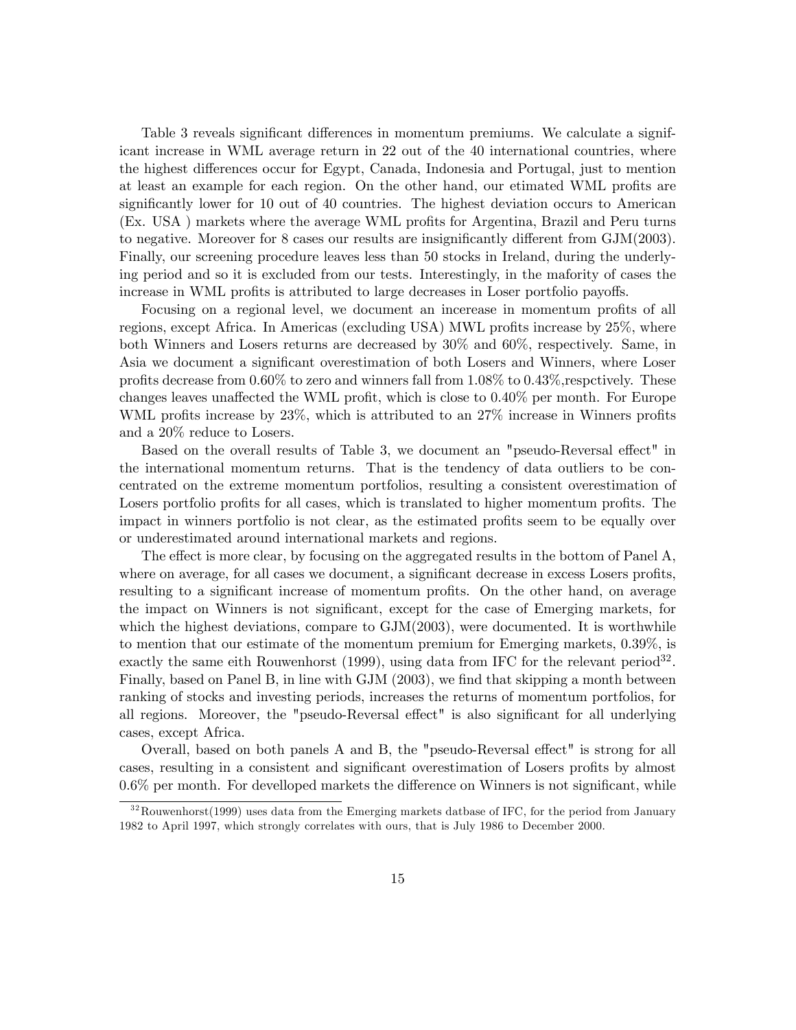Table 3 reveals significant differences in momentum premiums. We calculate a significant increase in WML average return in 22 out of the 40 international countries, where the highest differences occur for Egypt, Canada, Indonesia and Portugal, just to mention at least an example for each region. On the other hand, our etimated WML profits are significantly lower for 10 out of 40 countries. The highest deviation occurs to American (Ex. USA) markets where the average WML profits for Argentina, Brazil and Peru turns to negative. Moreover for 8 cases our results are insignificantly different from  $GJM(2003)$ . Finally, our screening procedure leaves less than 50 stocks in Ireland, during the underlying period and so it is excluded from our tests. Interestingly, in the mafority of cases the increase in WML profits is attributed to large decreases in Loser portfolio payoffs.

Focusing on a regional level, we document an incerease in momentum profits of all regions, except Africa. In Americas (excluding USA) MWL profits increase by 25%, where both Winners and Losers returns are decreased by 30% and 60%, respectively. Same, in Asia we document a significant overestimation of both Losers and Winners, where Loser profits decrease from  $0.60\%$  to zero and winners fall from  $1.08\%$  to  $0.43\%$ , respectively. These changes leaves unaffected the WML profit, which is close to  $0.40\%$  per month. For Europe WML profits increase by  $23\%$ , which is attributed to an  $27\%$  increase in Winners profits and a 20% reduce to Losers.

Based on the overall results of Table 3, we document an "pseudo-Reversal effect" in the international momentum returns. That is the tendency of data outliers to be concentrated on the extreme momentum portfolios, resulting a consistent overestimation of Losers portfolio profits for all cases, which is translated to higher momentum profits. The impact in winners portfolio is not clear, as the estimated profits seem to be equally over or underestimated around international markets and regions.

The effect is more clear, by focusing on the aggregated results in the bottom of Panel  $A$ , where on average, for all cases we document, a significant decrease in excess Losers profits, resulting to a significant increase of momentum profits. On the other hand, on average the impact on Winners is not significant, except for the case of Emerging markets, for which the highest deviations, compare to GJM(2003), were documented. It is worthwhile to mention that our estimate of the momentum premium for Emerging markets, 0.39%, is exactly the same eith Rouwenhorst (1999), using data from IFC for the relevant period<sup>32</sup>. Finally, based on Panel B, in line with  $GJM$  (2003), we find that skipping a month between ranking of stocks and investing periods, increases the returns of momentum portfolios, for all regions. Moreover, the "pseudo-Reversal effect" is also significant for all underlying cases, except Africa.

Overall, based on both panels A and B, the "pseudo-Reversal effect" is strong for all cases, resulting in a consistent and significant overestimation of Losers profits by almost  $0.6\%$  per month. For develloped markets the difference on Winners is not significant, while

 $32$ Rouwenhorst(1999) uses data from the Emerging markets datbase of IFC, for the period from January 1982 to April 1997, which strongly correlates with ours, that is July 1986 to December 2000.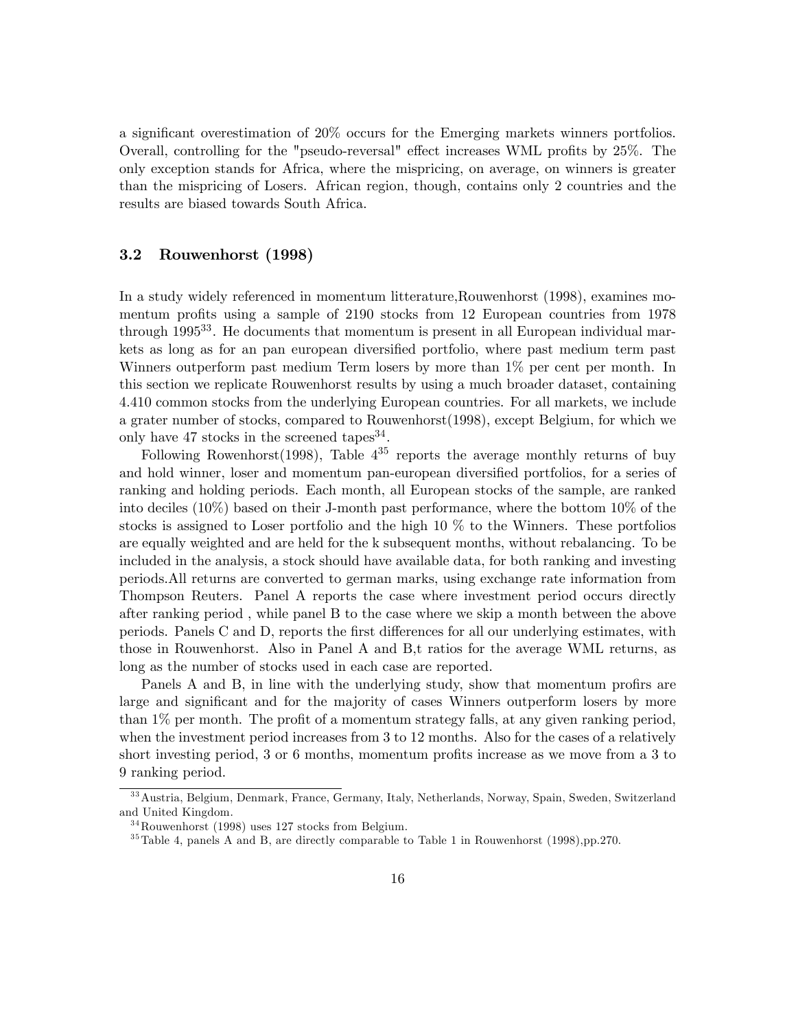a significant overestimation of  $20\%$  occurs for the Emerging markets winners portfolios. Overall, controlling for the "pseudo-reversal" effect increases WML profits by 25%. The only exception stands for Africa, where the mispricing, on average, on winners is greater than the mispricing of Losers. African region, though, contains only 2 countries and the results are biased towards South Africa.

## 3.2 Rouwenhorst (1998)

In a study widely referenced in momentum litterature,Rouwenhorst (1998), examines momentum profits using a sample of 2190 stocks from 12 European countries from 1978 through 1995<sup>33</sup>. He documents that momentum is present in all European individual markets as long as for an pan european diversified portfolio, where past medium term past Winners outperform past medium Term losers by more than 1% per cent per month. In this section we replicate Rouwenhorst results by using a much broader dataset, containing 4.410 common stocks from the underlying European countries. For all markets, we include a grater number of stocks, compared to Rouwenhorst(1998), except Belgium, for which we only have  $47$  stocks in the screened tapes<sup>34</sup>.

Following Rowenhorst(1998), Table  $4^{35}$  reports the average monthly returns of buy and hold winner, loser and momentum pan-european diversified portfolios, for a series of ranking and holding periods. Each month, all European stocks of the sample, are ranked into deciles (10%) based on their J-month past performance, where the bottom 10% of the stocks is assigned to Loser portfolio and the high 10 % to the Winners. These portfolios are equally weighted and are held for the k subsequent months, without rebalancing. To be included in the analysis, a stock should have available data, for both ranking and investing periods.All returns are converted to german marks, using exchange rate information from Thompson Reuters. Panel A reports the case where investment period occurs directly after ranking period , while panel B to the case where we skip a month between the above periods. Panels C and D, reports the first differences for all our underlying estimates, with those in Rouwenhorst. Also in Panel A and B,t ratios for the average WML returns, as long as the number of stocks used in each case are reported.

Panels A and B, in line with the underlying study, show that momentum profirs are large and significant and for the majority of cases Winners outperform losers by more than  $1\%$  per month. The profit of a momentum strategy falls, at any given ranking period, when the investment period increases from 3 to 12 months. Also for the cases of a relatively short investing period,  $3 \text{ or } 6$  months, momentum profits increase as we move from a  $3 \text{ to } 3$ 9 ranking period.

<sup>3 3</sup>Austria, Belgium, Denmark, France, Germany, Italy, Netherlands, Norway, Spain, Sweden, Switzerland and United Kingdom.

 $34$ Rouwenhorst (1998) uses 127 stocks from Belgium.

<sup>&</sup>lt;sup>35</sup>Table 4, panels A and B, are directly comparable to Table 1 in Rouwenhorst (1998),pp.270.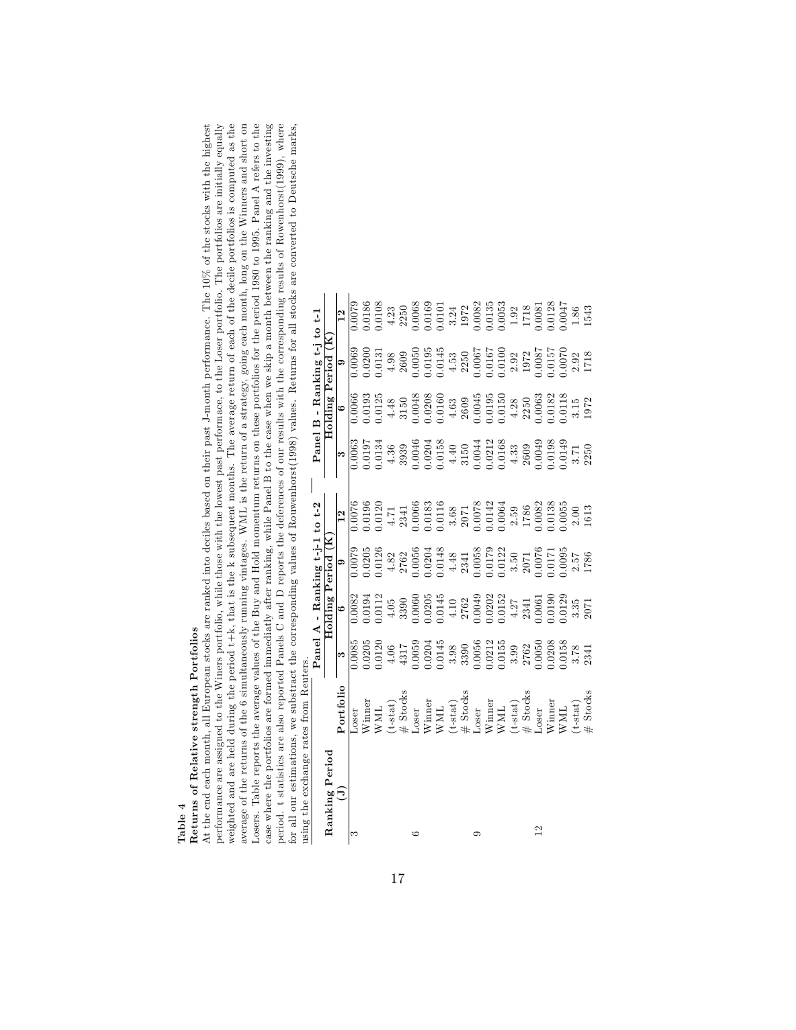Table 4 Returns of Relative strength Portfolios

performance are assigned to the Winers portfolio, while those with the lowest past performace, to the Loser portfolio. The portfolios are initially equally weighted and are held during the period  $t+k$ , that is the k subsequent months. The average return of each of the decile portfolios is computed as the average of the returns of the 6 simultaneously running vintages. WML is case where the portfolios are formed immediatly after ranking, while Panel B to the case when we skip a month between the ranking and the investing period. t statistics are also reported Panels C and D reports the deferences of our results with the corresponding results of Rowenhorst(1999), where<br>for all our estimations, we substract the corresponding values of Rouwen At the end each month, all European stocks are ranked into deciles based on their past J-month performance. The 10% of the stocks with the highest performance are assigned to the Winers portfolio, while those with the lowest past performace, to the Loser portfolio. The portfolios are initially equally weighted and are held during the period t+k, that is the k subsequent months. The average return of each of the decile portfolios is computed as the average of the returns of the 6 simultaneously running vintages. WML is the return of a strategy, going each month, long on the Winners and short on Losers. Table reports the average values of the Buy and Hold momentum returns on these portfolios for the period 1980 to 1995. Panel A refers to the case where the portfolios are formed immediatly after ranking, while Panel B to the case when we skip a month between the ranking and the investing period. t statistics are also reported Panels C and D reports the deferences of our results with the corresponding results of Rowenhorst(1999), where At the end each month, all European stocks are ranked into deciles based on their past J-month performance. The 10% of the stocks with the highest for all our estimations, we substract the corresponding values of Rouwenhorst(1998) values. Returns for all stocks are converted to Deutsche marks, using the exchange rates from Reuters.

| using the exchange rates from Reuters. |                                                                                                                                                                                                                                                                                                                                                                                                                                                                           |                                                                                                                                                                         |                                                                                                                                                                                                                                                                                                 |                                                                                                                                                                                                                                                                            |                                                                                                                                                                                                                                                                                                                                                                                                                                                                 |                                                                                                                                                                                                                                                                   |                                                                                                                                                                                                                                                                                               |                                                                                                                                                                                                                                                                   |                                                                                                                                                                                                                                                                                             |
|----------------------------------------|---------------------------------------------------------------------------------------------------------------------------------------------------------------------------------------------------------------------------------------------------------------------------------------------------------------------------------------------------------------------------------------------------------------------------------------------------------------------------|-------------------------------------------------------------------------------------------------------------------------------------------------------------------------|-------------------------------------------------------------------------------------------------------------------------------------------------------------------------------------------------------------------------------------------------------------------------------------------------|----------------------------------------------------------------------------------------------------------------------------------------------------------------------------------------------------------------------------------------------------------------------------|-----------------------------------------------------------------------------------------------------------------------------------------------------------------------------------------------------------------------------------------------------------------------------------------------------------------------------------------------------------------------------------------------------------------------------------------------------------------|-------------------------------------------------------------------------------------------------------------------------------------------------------------------------------------------------------------------------------------------------------------------|-----------------------------------------------------------------------------------------------------------------------------------------------------------------------------------------------------------------------------------------------------------------------------------------------|-------------------------------------------------------------------------------------------------------------------------------------------------------------------------------------------------------------------------------------------------------------------|---------------------------------------------------------------------------------------------------------------------------------------------------------------------------------------------------------------------------------------------------------------------------------------------|
|                                        |                                                                                                                                                                                                                                                                                                                                                                                                                                                                           |                                                                                                                                                                         |                                                                                                                                                                                                                                                                                                 | Panel A - Ranking t-j-1 to t-2                                                                                                                                                                                                                                             |                                                                                                                                                                                                                                                                                                                                                                                                                                                                 |                                                                                                                                                                                                                                                                   |                                                                                                                                                                                                                                                                                               | Panel B - Ranking t-j to t-1                                                                                                                                                                                                                                      |                                                                                                                                                                                                                                                                                             |
| Ranking Period                         |                                                                                                                                                                                                                                                                                                                                                                                                                                                                           |                                                                                                                                                                         | Holding                                                                                                                                                                                                                                                                                         | Period (                                                                                                                                                                                                                                                                   |                                                                                                                                                                                                                                                                                                                                                                                                                                                                 |                                                                                                                                                                                                                                                                   |                                                                                                                                                                                                                                                                                               | Holding Period (K                                                                                                                                                                                                                                                 |                                                                                                                                                                                                                                                                                             |
| $\Xi$                                  | Portfolio                                                                                                                                                                                                                                                                                                                                                                                                                                                                 | $\bullet$                                                                                                                                                               | $\circ$                                                                                                                                                                                                                                                                                         | $\circ$                                                                                                                                                                                                                                                                    | $\overline{12}$                                                                                                                                                                                                                                                                                                                                                                                                                                                 | ಣ                                                                                                                                                                                                                                                                 | $\circ$                                                                                                                                                                                                                                                                                       | $\bullet$                                                                                                                                                                                                                                                         | $\frac{2}{1}$                                                                                                                                                                                                                                                                               |
| ಌ                                      | Loser                                                                                                                                                                                                                                                                                                                                                                                                                                                                     | $\frac{0.0085}{2}$                                                                                                                                                      | $\frac{82}{2}$                                                                                                                                                                                                                                                                                  |                                                                                                                                                                                                                                                                            |                                                                                                                                                                                                                                                                                                                                                                                                                                                                 |                                                                                                                                                                                                                                                                   | $0.\overline{0066}$                                                                                                                                                                                                                                                                           |                                                                                                                                                                                                                                                                   |                                                                                                                                                                                                                                                                                             |
|                                        | Winner                                                                                                                                                                                                                                                                                                                                                                                                                                                                    |                                                                                                                                                                         |                                                                                                                                                                                                                                                                                                 |                                                                                                                                                                                                                                                                            |                                                                                                                                                                                                                                                                                                                                                                                                                                                                 |                                                                                                                                                                                                                                                                   |                                                                                                                                                                                                                                                                                               | 0060<br>0070'C                                                                                                                                                                                                                                                    |                                                                                                                                                                                                                                                                                             |
|                                        |                                                                                                                                                                                                                                                                                                                                                                                                                                                                           | 0.0205                                                                                                                                                                  | $0.0194$<br>$0.0112$<br>$0.05$<br>$0.3390$                                                                                                                                                                                                                                                      | $\frac{1}{0.0205}$<br>$\frac{0.0205}{0.0126}$<br>$\frac{4.82}{2762}$                                                                                                                                                                                                       |                                                                                                                                                                                                                                                                                                                                                                                                                                                                 | 0.0063<br>70.0197<br>9.0134                                                                                                                                                                                                                                       | 0.0193<br>0.0125                                                                                                                                                                                                                                                                              | 0.131                                                                                                                                                                                                                                                             |                                                                                                                                                                                                                                                                                             |
|                                        |                                                                                                                                                                                                                                                                                                                                                                                                                                                                           | $\begin{array}{c} 4.06 \\ 4317 \end{array}$                                                                                                                             |                                                                                                                                                                                                                                                                                                 |                                                                                                                                                                                                                                                                            |                                                                                                                                                                                                                                                                                                                                                                                                                                                                 |                                                                                                                                                                                                                                                                   |                                                                                                                                                                                                                                                                                               |                                                                                                                                                                                                                                                                   |                                                                                                                                                                                                                                                                                             |
|                                        |                                                                                                                                                                                                                                                                                                                                                                                                                                                                           |                                                                                                                                                                         |                                                                                                                                                                                                                                                                                                 |                                                                                                                                                                                                                                                                            |                                                                                                                                                                                                                                                                                                                                                                                                                                                                 | $\frac{4.36}{3939}$                                                                                                                                                                                                                                               |                                                                                                                                                                                                                                                                                               | $4.98$<br>2609                                                                                                                                                                                                                                                    |                                                                                                                                                                                                                                                                                             |
|                                        |                                                                                                                                                                                                                                                                                                                                                                                                                                                                           |                                                                                                                                                                         |                                                                                                                                                                                                                                                                                                 |                                                                                                                                                                                                                                                                            |                                                                                                                                                                                                                                                                                                                                                                                                                                                                 |                                                                                                                                                                                                                                                                   |                                                                                                                                                                                                                                                                                               |                                                                                                                                                                                                                                                                   |                                                                                                                                                                                                                                                                                             |
|                                        |                                                                                                                                                                                                                                                                                                                                                                                                                                                                           |                                                                                                                                                                         |                                                                                                                                                                                                                                                                                                 |                                                                                                                                                                                                                                                                            |                                                                                                                                                                                                                                                                                                                                                                                                                                                                 |                                                                                                                                                                                                                                                                   |                                                                                                                                                                                                                                                                                               |                                                                                                                                                                                                                                                                   |                                                                                                                                                                                                                                                                                             |
|                                        |                                                                                                                                                                                                                                                                                                                                                                                                                                                                           |                                                                                                                                                                         |                                                                                                                                                                                                                                                                                                 |                                                                                                                                                                                                                                                                            |                                                                                                                                                                                                                                                                                                                                                                                                                                                                 |                                                                                                                                                                                                                                                                   |                                                                                                                                                                                                                                                                                               |                                                                                                                                                                                                                                                                   |                                                                                                                                                                                                                                                                                             |
|                                        |                                                                                                                                                                                                                                                                                                                                                                                                                                                                           |                                                                                                                                                                         |                                                                                                                                                                                                                                                                                                 |                                                                                                                                                                                                                                                                            |                                                                                                                                                                                                                                                                                                                                                                                                                                                                 |                                                                                                                                                                                                                                                                   |                                                                                                                                                                                                                                                                                               |                                                                                                                                                                                                                                                                   |                                                                                                                                                                                                                                                                                             |
|                                        |                                                                                                                                                                                                                                                                                                                                                                                                                                                                           |                                                                                                                                                                         |                                                                                                                                                                                                                                                                                                 |                                                                                                                                                                                                                                                                            |                                                                                                                                                                                                                                                                                                                                                                                                                                                                 |                                                                                                                                                                                                                                                                   |                                                                                                                                                                                                                                                                                               |                                                                                                                                                                                                                                                                   |                                                                                                                                                                                                                                                                                             |
|                                        |                                                                                                                                                                                                                                                                                                                                                                                                                                                                           |                                                                                                                                                                         |                                                                                                                                                                                                                                                                                                 |                                                                                                                                                                                                                                                                            |                                                                                                                                                                                                                                                                                                                                                                                                                                                                 |                                                                                                                                                                                                                                                                   |                                                                                                                                                                                                                                                                                               |                                                                                                                                                                                                                                                                   |                                                                                                                                                                                                                                                                                             |
|                                        |                                                                                                                                                                                                                                                                                                                                                                                                                                                                           |                                                                                                                                                                         |                                                                                                                                                                                                                                                                                                 |                                                                                                                                                                                                                                                                            |                                                                                                                                                                                                                                                                                                                                                                                                                                                                 |                                                                                                                                                                                                                                                                   |                                                                                                                                                                                                                                                                                               |                                                                                                                                                                                                                                                                   |                                                                                                                                                                                                                                                                                             |
|                                        |                                                                                                                                                                                                                                                                                                                                                                                                                                                                           |                                                                                                                                                                         |                                                                                                                                                                                                                                                                                                 |                                                                                                                                                                                                                                                                            |                                                                                                                                                                                                                                                                                                                                                                                                                                                                 |                                                                                                                                                                                                                                                                   |                                                                                                                                                                                                                                                                                               |                                                                                                                                                                                                                                                                   |                                                                                                                                                                                                                                                                                             |
|                                        | $\begin{array}{l} \text{WML} \\ \text{(t-stat)} \\ \text{# Stock} \\ \text{Winner} \\ \text{WML} \\ \text{WML} \\ \text{WML} \\ \text{WML} \\ \text{WML} \\ \text{WML} \\ \text{WML} \\ \text{WML} \\ \text{WML} \\ \text{WML} \\ \text{WML} \\ \text{WML} \\ \text{WML} \\ \text{WML} \\ \text{WML} \\ \text{WML} \\ \text{WML} \\ \text{WML} \\ \text{WML} \\ \text{WML} \\ \text{WML} \\ \text{WML} \\ \text{WML} \\ \text{WML} \\ \text{WML} \\ \text{WML} \\ \text{$ | $\begin{array}{l} 0.0059\\ 0.0204\\ 0.0145\\ 3.98\\ 0.0056\\ 0.0056\\ 0.00155\\ 0.01155\\ 0.0155\\ 2762\\ 2762\\ 0.0050\\ 0.0050\\ 0.00158\\ 3.78\\ 3.78\\ \end{array}$ | $\begin{array}{l} 0.0060\\ -0.0205\\ -0.1145\\ -4.10\\ 2762\\ 2.0049\\ -2.0049\\ -1.0049\\ -1.0152\\ -1.0152\\ -4.27\\ -4.27\\ -1.019\\ -1.019\\ -1.019\\ -1.019\\ -1.019\\ -1.019\\ -1.019\\ -1.019\\ -1.019\\ -1.019\\ -1.019\\ -1.019\\ -1.019\\ -1.019\\ -1.019\\ -1.019\\ -1.019\\ -1.019$ | $\begin{array}{l} 0.0056\\ 0.0204\\ -4.48\\ 2341\\ 2341\\ 0.0058\\ 0.0179\\ 0.0179\\ 3.50\\ 2071\\ 3.50\\ 2076\\ 2.57\\ 2.57\\ 2.57\\ 2.6\\ 1786\\ 1786\\ 1786\\ 1786\\ 1786\\ 1786\\ 1786\\ 1786\\ 1786\\ 1786\\ 1786\\ 1786\\ 1786\\ 1786\\ 1786\\ 1786\\ 1786\\ 1786\\$ | $\begin{array}{l} \vspace{2mm} \begin{array}{l} \vspace{2mm} \textcolor{blue}{0.0076} \\ \textcolor{blue}{0.0196} \\ \textcolor{blue}{0.0190} \\ \textcolor{blue}{0.0100} \\ \textcolor{blue}{0.0006} \\ \textcolor{blue}{0.0000} \\ \textcolor{blue}{0.0000} \\ \textcolor{blue}{0.0000} \\ \textcolor{blue}{0.0000} \\ \textcolor{blue}{0.0000} \\ \textcolor{blue}{0.0000} \\ \textcolor{blue}{0.0000} \\ \textcolor{blue}{0.0000} \\ \textcolor{blue}{0.00$ | $\begin{array}{l} 0.0046\\ 0.0204\\ 0.0158\\ 0.0044\\ 0.0044\\ 0.00136\\ 0.00136\\ 0.0004\\ 0.0004\\ 0.0004\\ 0.0004\\ 0.0004\\ 0.0013\\ 0.0136\\ 0.0014\\ 0.0136\\ 0.0014\\ 0.0149\\ 0.0140\\ 0.0140\\ 0.0140\\ 0.0140\\ 0.0140\\ 0.0140\\ 0.0140\\ 0.0140\\ 0.$ | $\begin{array}{l} 4.48 \\ 4.50 \\ 0.0048 \\ 0.0160 \\ 0.0160 \\ 0.0160 \\ 0.0045 \\ 0.0045 \\ 0.0045 \\ 0.0050 \\ 0.0032 \\ 0.0018 \\ 0.0003 \\ 0.0018 \\ 0.0018 \\ 0.0018 \\ 0.0018 \\ 0.0018 \\ 0.0018 \\ 0.0018 \\ 0.0018 \\ 0.0018 \\ 0.0018 \\ 0.0018 \\ 0.0018 \\ 0.0018 \\ 0.0018 \\ $ | $\begin{array}{l} 0.0050\\ 0.0195\\ 0.0145\\ 0.0067\\ 2.250\\ 0.0067\\ 0.00167\\ 0.0010\\ 0.0107\\ 0.0087\\ 1972\\ 1972\\ 0.0087\\ 100\\ 0.0070\\ 0.0070\\ 0.0070\\ 0.0070\\ 0.0070\\ 0.0070\\ 0.0070\\ 0.00070\\ 0.00070\\ 0.00070\\ 0.00070\\ 0.00070\\ 0.0007$ | $\begin{array}{l} 0.0186\\ -0.0108\\ -4.23\\ 2.250\\ -0.0106\\ -0.0101\\ -1.0082\\ -1.0083\\ -1.0083\\ -1.0083\\ -1.0083\\ -1.0083\\ -1.0083\\ -1.0081\\ -1.0081\\ -1.0081\\ -1.0081\\ -1.0081\\ -1.0081\\ -1.0081\\ -1.0081\\ -1.0081\\ -1.0081\\ -1.0081\\ -1.0081\\ -1.0081\\ -1.0081\\$ |
|                                        |                                                                                                                                                                                                                                                                                                                                                                                                                                                                           |                                                                                                                                                                         |                                                                                                                                                                                                                                                                                                 |                                                                                                                                                                                                                                                                            |                                                                                                                                                                                                                                                                                                                                                                                                                                                                 |                                                                                                                                                                                                                                                                   |                                                                                                                                                                                                                                                                                               |                                                                                                                                                                                                                                                                   |                                                                                                                                                                                                                                                                                             |
| $\overline{2}$                         |                                                                                                                                                                                                                                                                                                                                                                                                                                                                           |                                                                                                                                                                         |                                                                                                                                                                                                                                                                                                 |                                                                                                                                                                                                                                                                            |                                                                                                                                                                                                                                                                                                                                                                                                                                                                 |                                                                                                                                                                                                                                                                   |                                                                                                                                                                                                                                                                                               |                                                                                                                                                                                                                                                                   |                                                                                                                                                                                                                                                                                             |
|                                        |                                                                                                                                                                                                                                                                                                                                                                                                                                                                           |                                                                                                                                                                         |                                                                                                                                                                                                                                                                                                 |                                                                                                                                                                                                                                                                            |                                                                                                                                                                                                                                                                                                                                                                                                                                                                 |                                                                                                                                                                                                                                                                   |                                                                                                                                                                                                                                                                                               |                                                                                                                                                                                                                                                                   |                                                                                                                                                                                                                                                                                             |
|                                        |                                                                                                                                                                                                                                                                                                                                                                                                                                                                           |                                                                                                                                                                         |                                                                                                                                                                                                                                                                                                 |                                                                                                                                                                                                                                                                            |                                                                                                                                                                                                                                                                                                                                                                                                                                                                 |                                                                                                                                                                                                                                                                   |                                                                                                                                                                                                                                                                                               |                                                                                                                                                                                                                                                                   |                                                                                                                                                                                                                                                                                             |
|                                        | $(t-stat)$<br>$# 5tocks$                                                                                                                                                                                                                                                                                                                                                                                                                                                  |                                                                                                                                                                         |                                                                                                                                                                                                                                                                                                 |                                                                                                                                                                                                                                                                            |                                                                                                                                                                                                                                                                                                                                                                                                                                                                 |                                                                                                                                                                                                                                                                   |                                                                                                                                                                                                                                                                                               |                                                                                                                                                                                                                                                                   |                                                                                                                                                                                                                                                                                             |
|                                        |                                                                                                                                                                                                                                                                                                                                                                                                                                                                           |                                                                                                                                                                         |                                                                                                                                                                                                                                                                                                 |                                                                                                                                                                                                                                                                            |                                                                                                                                                                                                                                                                                                                                                                                                                                                                 |                                                                                                                                                                                                                                                                   |                                                                                                                                                                                                                                                                                               |                                                                                                                                                                                                                                                                   |                                                                                                                                                                                                                                                                                             |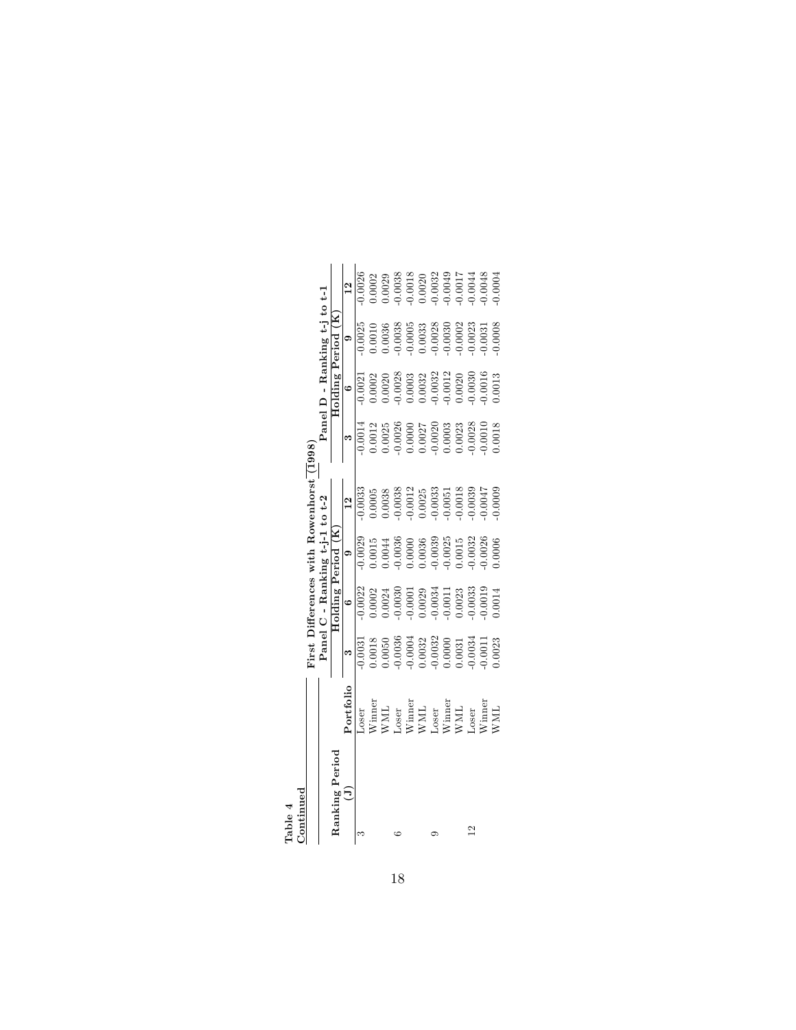| <b>Fable</b>            |                                                                                                                                                                                                                                                                                                                                                                                                                                                                                                                                                                             |                                                                                                          |                                                                                                |                                                                                                                  |                                                                                                                     |                                                                                                                                        |                                                                                                                                                            |                                                                                                                                 |                                                                                                                                                                      |
|-------------------------|-----------------------------------------------------------------------------------------------------------------------------------------------------------------------------------------------------------------------------------------------------------------------------------------------------------------------------------------------------------------------------------------------------------------------------------------------------------------------------------------------------------------------------------------------------------------------------|----------------------------------------------------------------------------------------------------------|------------------------------------------------------------------------------------------------|------------------------------------------------------------------------------------------------------------------|---------------------------------------------------------------------------------------------------------------------|----------------------------------------------------------------------------------------------------------------------------------------|------------------------------------------------------------------------------------------------------------------------------------------------------------|---------------------------------------------------------------------------------------------------------------------------------|----------------------------------------------------------------------------------------------------------------------------------------------------------------------|
| <i><b>Continuec</b></i> |                                                                                                                                                                                                                                                                                                                                                                                                                                                                                                                                                                             | First 1                                                                                                  |                                                                                                |                                                                                                                  | Differences with Rowenhorst (1998)                                                                                  |                                                                                                                                        |                                                                                                                                                            |                                                                                                                                 |                                                                                                                                                                      |
|                         |                                                                                                                                                                                                                                                                                                                                                                                                                                                                                                                                                                             |                                                                                                          |                                                                                                | Panel C - Ranking t-j-1 to t-2                                                                                   |                                                                                                                     |                                                                                                                                        |                                                                                                                                                            | Panel $D$ - Ranking $t$ -j $t_0$ $t$ -1                                                                                         |                                                                                                                                                                      |
| anking Period           |                                                                                                                                                                                                                                                                                                                                                                                                                                                                                                                                                                             |                                                                                                          | Holding Period (K                                                                              |                                                                                                                  |                                                                                                                     |                                                                                                                                        | Holding Period (K                                                                                                                                          |                                                                                                                                 |                                                                                                                                                                      |
| Ξ                       | Portfolio                                                                                                                                                                                                                                                                                                                                                                                                                                                                                                                                                                   |                                                                                                          | $\circ$                                                                                        | $\circ$                                                                                                          |                                                                                                                     |                                                                                                                                        | $\circ$                                                                                                                                                    | G                                                                                                                               |                                                                                                                                                                      |
|                         | <b>JOSET</b>                                                                                                                                                                                                                                                                                                                                                                                                                                                                                                                                                                | 0.0031                                                                                                   | 0.0022                                                                                         | 0.0029                                                                                                           | 0.0033                                                                                                              | $-0.0014$                                                                                                                              | 0.0021                                                                                                                                                     | 0.0025                                                                                                                          | 0.0026                                                                                                                                                               |
|                         |                                                                                                                                                                                                                                                                                                                                                                                                                                                                                                                                                                             | 0.0018                                                                                                   | 0.0002                                                                                         | 1.0015                                                                                                           | 1.0005                                                                                                              | $\begin{array}{c} 0.0012 \\ 0.0025 \\ -0.0026 \\ 0.0000 \\ 0.0000 \\ -0.0027 \\ -0.0020 \\ 0.0003 \\ 0.0003 \\ -0.0028 \\ \end{array}$ | 0.0002                                                                                                                                                     | 0.0010                                                                                                                          | $\begin{array}{l} 0.0002\\ 0.0029\\ 0.0038\\ 0.0038\\ 0.0038\\ 0.0038\\ 0.0032\\ 0.001\\ 0.0020\\ 0.0032\\ 0.0049\\ 0.0044\\ 0.0044\\ 0.0044\\ 0.0048\\ \end{array}$ |
|                         |                                                                                                                                                                                                                                                                                                                                                                                                                                                                                                                                                                             | 0.0050                                                                                                   | 0.0024                                                                                         | 1.0044                                                                                                           |                                                                                                                     |                                                                                                                                        |                                                                                                                                                            |                                                                                                                                 |                                                                                                                                                                      |
|                         |                                                                                                                                                                                                                                                                                                                                                                                                                                                                                                                                                                             | $-0.0036$                                                                                                | 0.0030                                                                                         |                                                                                                                  |                                                                                                                     |                                                                                                                                        |                                                                                                                                                            |                                                                                                                                 |                                                                                                                                                                      |
|                         | $\begin{array}{l} \text{Winner}\\ \text{WML}\\ \text{User}\\ \text{Winner}\\ \text{WML}\\ \text{WML}\\ \text{Winner}\\ \text{Winner}\\ \text{WML}\\ \text{Loser}\\ \text{Loser}\\ \text{Loser}\\ \text{Loser}\\ \text{Winner}\\ \text{Loser}\\ \text{Loser}\\ \text{Winner}\\ \text{Winner}\\ \text{Winner}\\ \text{Winner}\\ \text{Winner}\\ \text{Winner}\\ \text{Winner}\\ \text{Winner}\\ \text{Winner}\\ \text{Winner}\\ \text{Winner}\\ \text{Winner}\\ \text{Winner}\\ \text{Winner}\\ \text{Winner}\\ \text{Winner}\\ \text{Winner}\\ \text{Winner}\\ \text{Winner$ | $\begin{array}{c} -0.0004 \\ 0.0032 \\ -0.0032 \\ 0.0000 \\ 0.0001 \\ -0.0034 \\ -0.0034 \\ \end{array}$ | 0.0001                                                                                         | $\begin{array}{c} 0.0036 \\ 0.0000 \\ 0.0036 \\ 0.0039 \\ -0.0025 \\ 0.0015 \\ 0.0015 \\ -0.0015 \\ \end{array}$ | $\begin{array}{r} 0.0038 \\ -0.0038 \\ -0.0012 \\ 0.0025 \\ 0.0025 \\ -0.0033 \\ -0.0051 \\ -0.0018 \\ \end{array}$ |                                                                                                                                        | $\begin{array}{c} 0.0020 \\ -0.0028 \\ 0.0003 \\ 0.0032 \\ 0.0032 \\ -0.0032 \\ -0.0012 \\ 0.0020 \\ -0.0030 \\ 0.0030 \\ 0.0030 \\ 0.0016 \\ \end{array}$ | $\begin{array}{c} 0.0036 \\ -0.0038 \\ -0.0005 \\ 0.00033 \\ 0.0033 \\ -0.0030 \\ -0.0030 \\ -0.0002 \\ -0.0033 \\ \end{array}$ |                                                                                                                                                                      |
|                         |                                                                                                                                                                                                                                                                                                                                                                                                                                                                                                                                                                             |                                                                                                          | $\begin{array}{c} 0.0029 \\ -0.0034 \\ -0.0011 \\ 0.0023 \\ -0.0033 \\ -0.0033 \\ \end{array}$ |                                                                                                                  |                                                                                                                     |                                                                                                                                        |                                                                                                                                                            |                                                                                                                                 |                                                                                                                                                                      |
|                         |                                                                                                                                                                                                                                                                                                                                                                                                                                                                                                                                                                             |                                                                                                          |                                                                                                |                                                                                                                  |                                                                                                                     |                                                                                                                                        |                                                                                                                                                            |                                                                                                                                 |                                                                                                                                                                      |
|                         |                                                                                                                                                                                                                                                                                                                                                                                                                                                                                                                                                                             |                                                                                                          |                                                                                                |                                                                                                                  |                                                                                                                     |                                                                                                                                        |                                                                                                                                                            |                                                                                                                                 |                                                                                                                                                                      |
|                         |                                                                                                                                                                                                                                                                                                                                                                                                                                                                                                                                                                             |                                                                                                          |                                                                                                |                                                                                                                  |                                                                                                                     |                                                                                                                                        |                                                                                                                                                            |                                                                                                                                 |                                                                                                                                                                      |
| $\mathbf{\Omega}$       |                                                                                                                                                                                                                                                                                                                                                                                                                                                                                                                                                                             |                                                                                                          |                                                                                                |                                                                                                                  |                                                                                                                     |                                                                                                                                        |                                                                                                                                                            |                                                                                                                                 |                                                                                                                                                                      |
|                         |                                                                                                                                                                                                                                                                                                                                                                                                                                                                                                                                                                             |                                                                                                          |                                                                                                | 0.0026                                                                                                           |                                                                                                                     |                                                                                                                                        |                                                                                                                                                            |                                                                                                                                 |                                                                                                                                                                      |
|                         | <b>NNL</b>                                                                                                                                                                                                                                                                                                                                                                                                                                                                                                                                                                  | 0.0023                                                                                                   | 0.0014                                                                                         | 0.0006                                                                                                           | 0.000£                                                                                                              | 0.0018                                                                                                                                 |                                                                                                                                                            | 0.0008                                                                                                                          | 0.0004                                                                                                                                                               |
|                         |                                                                                                                                                                                                                                                                                                                                                                                                                                                                                                                                                                             |                                                                                                          |                                                                                                |                                                                                                                  |                                                                                                                     |                                                                                                                                        |                                                                                                                                                            |                                                                                                                                 |                                                                                                                                                                      |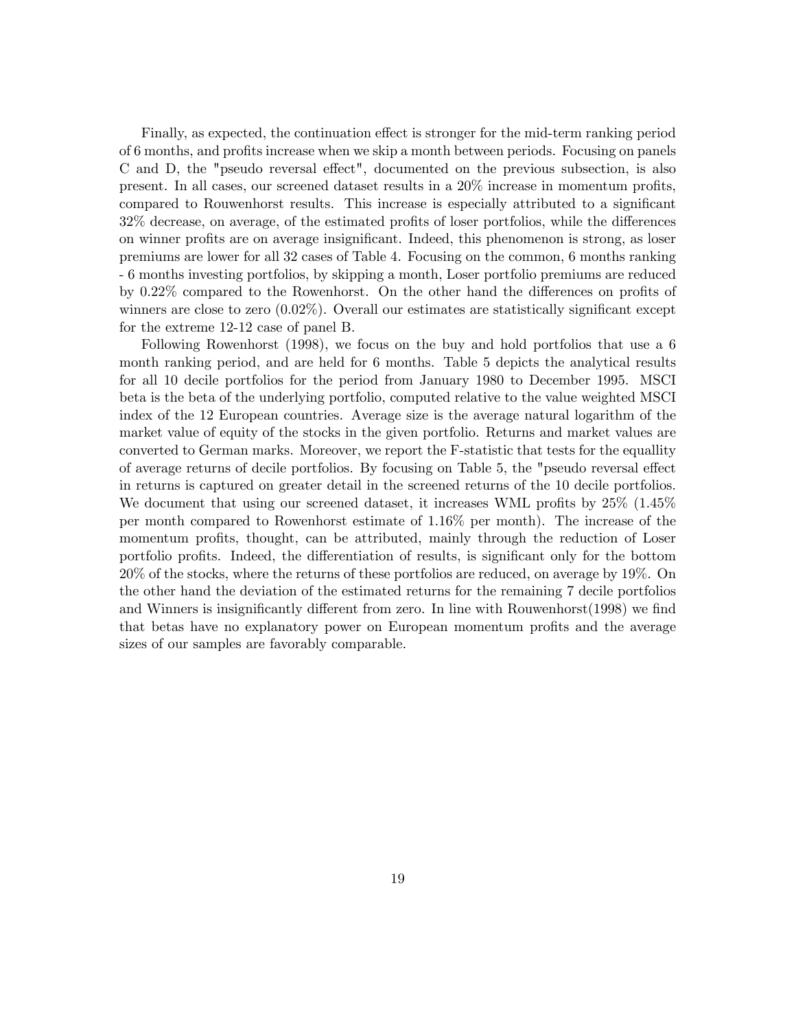Finally, as expected, the continuation effect is stronger for the mid-term ranking period of 6 months, and profits increase when we skip a month between periods. Focusing on panels C and D, the "pseudo reversal effect", documented on the previous subsection, is also present. In all cases, our screened dataset results in a  $20\%$  increase in momentum profits, compared to Rouwenhorst results. This increase is especially attributed to a significant  $32\%$  decrease, on average, of the estimated profits of loser portfolios, while the differences on winner profits are on average insignificant. Indeed, this phenomenon is strong, as loser premiums are lower for all 32 cases of Table 4. Focusing on the common, 6 months ranking - 6 months investing portfolios, by skipping a month, Loser portfolio premiums are reduced by  $0.22\%$  compared to the Rowenhorst. On the other hand the differences on profits of winners are close to zero  $(0.02\%)$ . Overall our estimates are statistically significant except for the extreme 12-12 case of panel B.

Following Rowenhorst (1998), we focus on the buy and hold portfolios that use a 6 month ranking period, and are held for 6 months. Table 5 depicts the analytical results for all 10 decile portfolios for the period from January 1980 to December 1995. MSCI beta is the beta of the underlying portfolio, computed relative to the value weighted MSCI index of the 12 European countries. Average size is the average natural logarithm of the market value of equity of the stocks in the given portfolio. Returns and market values are converted to German marks. Moreover, we report the F-statistic that tests for the equallity of average returns of decile portfolios. By focusing on Table 5, the "pseudo reversal effect in returns is captured on greater detail in the screened returns of the 10 decile portfolios. We document that using our screened dataset, it increases WML profits by  $25\%$  (1.45%) per month compared to Rowenhorst estimate of 1.16% per month). The increase of the momentum profits, thought, can be attributed, mainly through the reduction of Loser portfolio profits. Indeed, the differentiation of results, is significant only for the bottom 20% of the stocks, where the returns of these portfolios are reduced, on average by 19%. On the other hand the deviation of the estimated returns for the remaining 7 decile portfolios and Winners is insignificantly different from zero. In line with Rouwenhorst $(1998)$  we find that betas have no explanatory power on European momentum profits and the average sizes of our samples are favorably comparable.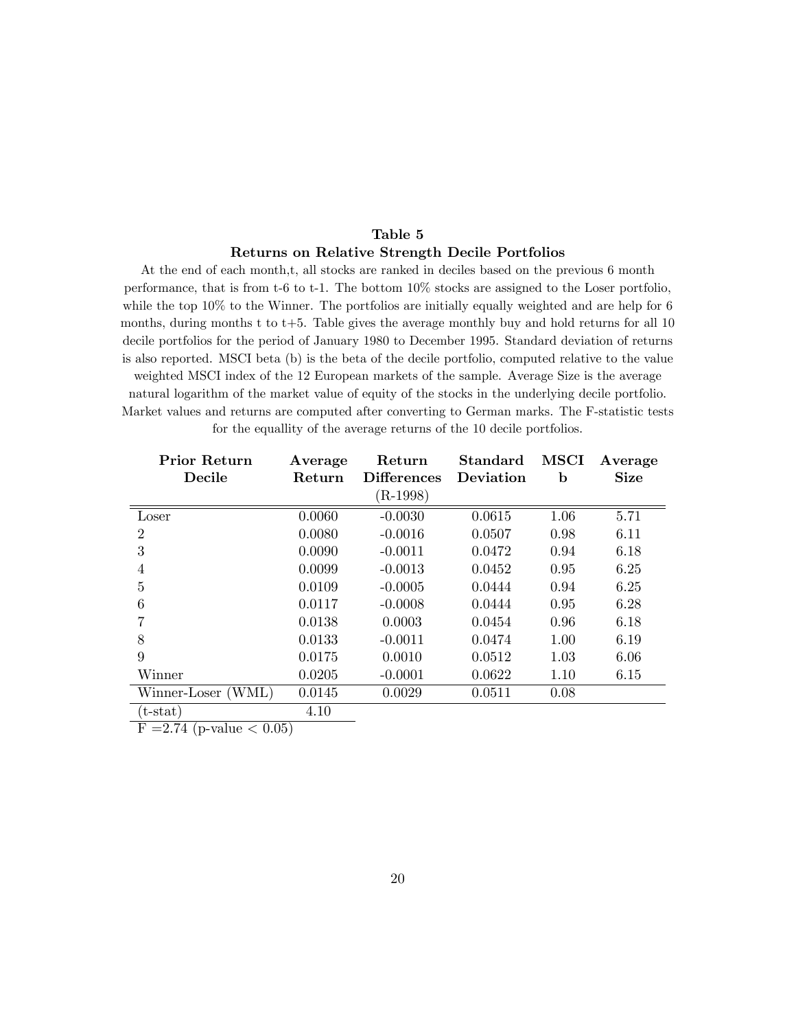# Table 5 Returns on Relative Strength Decile Portfolios

At the end of each month,t, all stocks are ranked in deciles based on the previous 6 month performance, that is from t-6 to t-1. The bottom 10% stocks are assigned to the Loser portfolio, while the top 10% to the Winner. The portfolios are initially equally weighted and are help for 6 months, during months t to  $t+5$ . Table gives the average monthly buy and hold returns for all 10 decile portfolios for the period of January 1980 to December 1995. Standard deviation of returns is also reported. MSCI beta (b) is the beta of the decile portfolio, computed relative to the value weighted MSCI index of the 12 European markets of the sample. Average Size is the average natural logarithm of the market value of equity of the stocks in the underlying decile portfolio. Market values and returns are computed after converting to German marks. The F-statistic tests

| <b>Prior Return</b><br>Decile | Average<br>Return | Return<br><b>Differences</b> | <b>Standard</b><br>Deviation | <b>MSCI</b><br>b | Average<br><b>Size</b> |
|-------------------------------|-------------------|------------------------------|------------------------------|------------------|------------------------|
|                               |                   | $(R-1998)$                   |                              |                  |                        |
| Loser                         | 0.0060            | $-0.0030$                    | 0.0615                       | 1.06             | 5.71                   |
| $\overline{2}$                | 0.0080            | $-0.0016$                    | 0.0507                       | 0.98             | 6.11                   |
| 3                             | 0.0090            | $-0.0011$                    | 0.0472                       | 0.94             | 6.18                   |
| 4                             | 0.0099            | $-0.0013$                    | 0.0452                       | 0.95             | 6.25                   |
| 5                             | 0.0109            | $-0.0005$                    | 0.0444                       | 0.94             | 6.25                   |
| 6                             | 0.0117            | $-0.0008$                    | 0.0444                       | 0.95             | 6.28                   |
| 7                             | 0.0138            | 0.0003                       | 0.0454                       | 0.96             | 6.18                   |
| 8                             | 0.0133            | $-0.0011$                    | 0.0474                       | 1.00             | 6.19                   |
| 9                             | 0.0175            | 0.0010                       | 0.0512                       | 1.03             | 6.06                   |
| Winner                        | 0.0205            | $-0.0001$                    | 0.0622                       | 1.10             | 6.15                   |
| Winner-Loser (WML)            | 0.0145            | 0.0029                       | 0.0511                       | 0.08             |                        |
| $(t - stat)$                  | 4.10              |                              |                              |                  |                        |

for the equallity of the average returns of the 10 decile portfolios.

 $F = 2.74$  (p-value  $< 0.05$ )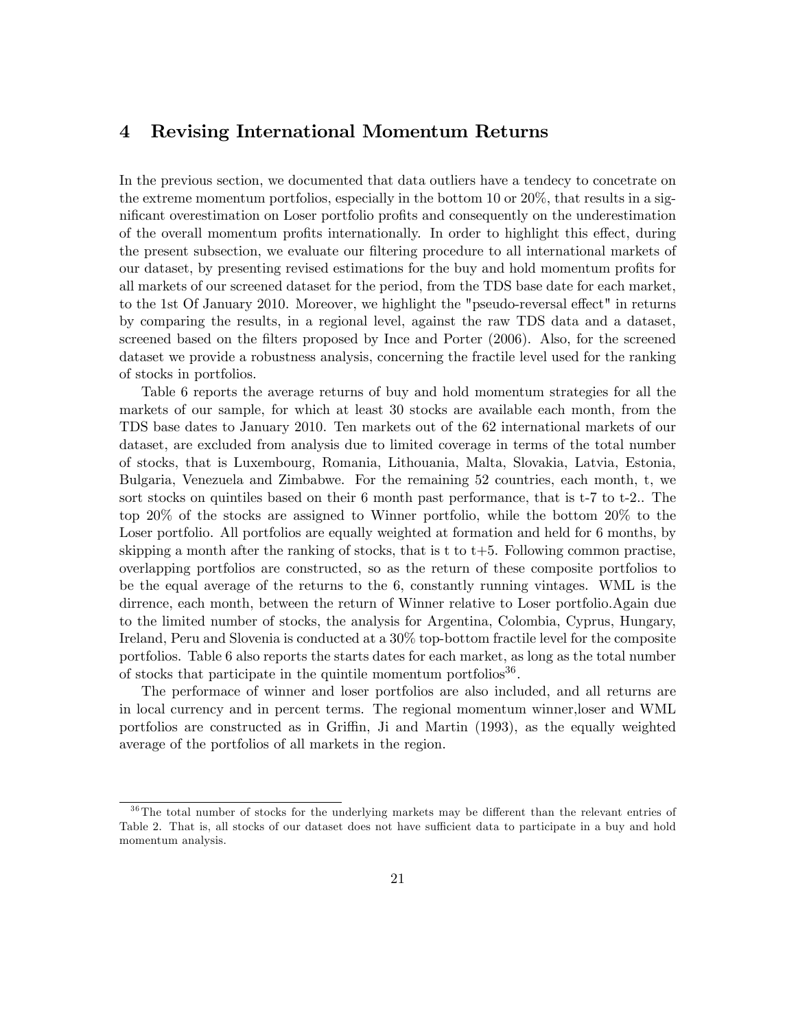# 4 Revising International Momentum Returns

In the previous section, we documented that data outliers have a tendecy to concetrate on the extreme momentum portfolios, especially in the bottom 10 or 20%, that results in a significant overestimation on Loser portfolio profits and consequently on the underestimation of the overall momentum profits internationally. In order to highlight this effect, during the present subsection, we evaluate our filtering procedure to all international markets of our dataset, by presenting revised estimations for the buy and hold momentum profits for all markets of our screened dataset for the period, from the TDS base date for each market, to the 1st Of January 2010. Moreover, we highlight the "pseudo-reversal effect" in returns by comparing the results, in a regional level, against the raw TDS data and a dataset, screened based on the filters proposed by Ince and Porter (2006). Also, for the screened dataset we provide a robustness analysis, concerning the fractile level used for the ranking of stocks in portfolios.

Table 6 reports the average returns of buy and hold momentum strategies for all the markets of our sample, for which at least 30 stocks are available each month, from the TDS base dates to January 2010. Ten markets out of the 62 international markets of our dataset, are excluded from analysis due to limited coverage in terms of the total number of stocks, that is Luxembourg, Romania, Lithouania, Malta, Slovakia, Latvia, Estonia, Bulgaria, Venezuela and Zimbabwe. For the remaining 52 countries, each month, t, we sort stocks on quintiles based on their 6 month past performance, that is t-7 to t-2.. The top 20% of the stocks are assigned to Winner portfolio, while the bottom 20% to the Loser portfolio. All portfolios are equally weighted at formation and held for 6 months, by skipping a month after the ranking of stocks, that is t to  $t+5$ . Following common practise, overlapping portfolios are constructed, so as the return of these composite portfolios to be the equal average of the returns to the 6, constantly running vintages. WML is the dirrence, each month, between the return of Winner relative to Loser portfolio.Again due to the limited number of stocks, the analysis for Argentina, Colombia, Cyprus, Hungary, Ireland, Peru and Slovenia is conducted at a 30% top-bottom fractile level for the composite portfolios. Table 6 also reports the starts dates for each market, as long as the total number of stocks that participate in the quintile momentum portfolios<sup>36</sup>.

The performace of winner and loser portfolios are also included, and all returns are in local currency and in percent terms. The regional momentum winner,loser and WML portfolios are constructed as in Griffin, Ji and Martin (1993), as the equally weighted average of the portfolios of all markets in the region.

 $36$ The total number of stocks for the underlying markets may be different than the relevant entries of Table 2. That is, all stocks of our dataset does not have sufficient data to participate in a buy and hold momentum analysis.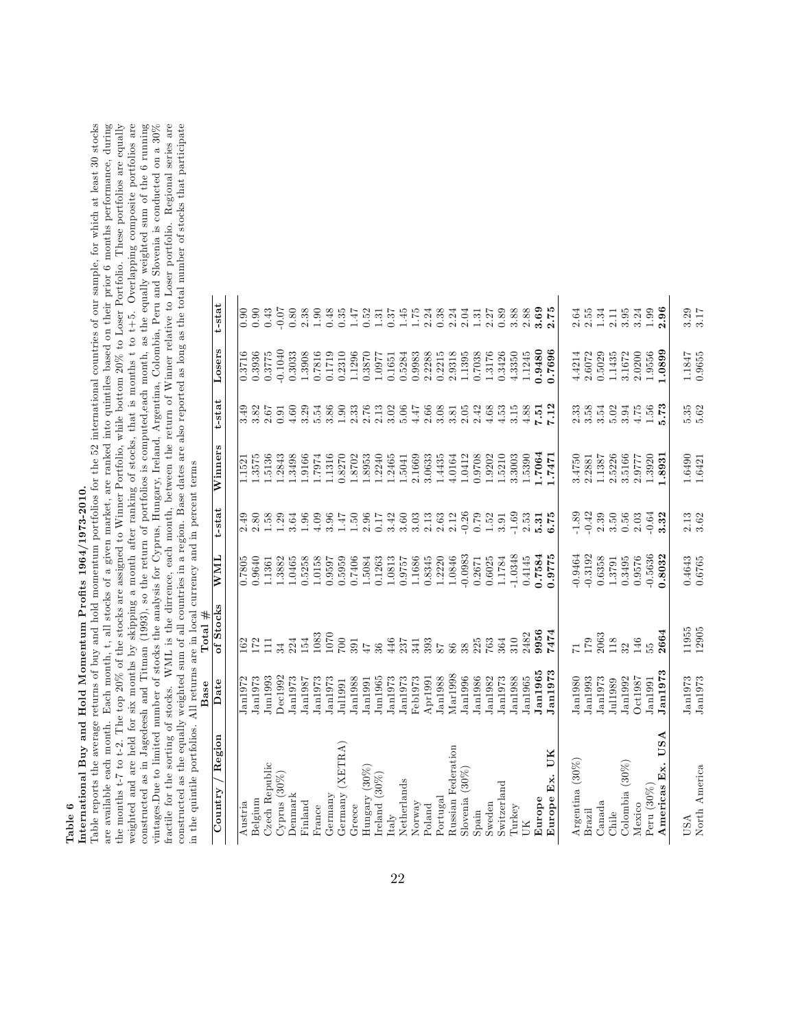# Table 6<br>International Buy and Hold Momentum Profits 1964/1973-2010. International Buy and Hold Momentum ProÖts 1964/1973-2010.

Table reports the average returns of buy and hold momentum portfolios for the 52 international countries of our sample, for which at least 30 stocks are available each month. Each month, t, all stocks of a given market, a the months  $t$ -7 to  $t$ -2. The top 20% of the stocks are assigned to Winner Portfolio, while bottom 20% to Loser Portfolio. These portfolios are equally weighted and are held for six months by skipping a month after ranking of stocks, that is months t to t+5. Overlapping composite portfolios are constructed as in Jagedeesh and Titman (1993), so the return of portfolios is computed, each month, as the equally weighted sum of the 6 running vintages.Due to limited number of stocks the analysis for Cyprus, Hungary, Ireland, Argentina, Colombia, Peru and Slovenia is conducted on a 30% fractile for the sorting of stocks. WML is the dirrence, each month, between the return of Winner relative to Loser portfolio. Regional series are constructed as the equally weighted sum of all countries in a region. Base Table reports the average returns of buy and hold momentum portfolios for the 52 international countries of our sample, for which at least 30 stocks are available each month. Each month, t, all stocks of a given market, are ranked into quintiles based on their prior 6 months performance, during the months t-7 to t-2. The top 20% of the stocks are assigned to Winner Portfolio, while bottom 20% to Loser Portfolio. These portfolios are equally weighted and are held for six months by skipping a month after ranking of stocks, that is months t to t+5. Overlapping composite portfolios are constructed as in Jagedeesh and Titman (1993), so the return of portfolios is computed,each month, as the equally weighted sum of the 6 running fractile for the sorting of stocks. WML is the dirrence, each month, between the return of Winner relative to Loser portfolio. Regional series are constructed as the equally weighted sum of all countries in a region. Base dates are also reported as long as the total number of stocks that participate vintages.Due to limited number of stocks the analysis for Cyprus, Hungary, Ireland, Argentina, Colombia, Peru and Slovenia is conducted on a 30% in the quintile portfolios. All returns are in local currency and in percent terms in the quintile portfolios. All returns are in local currency and in percent terms

|                     | Base                | Total#         |           |         |         |                  |           |                |
|---------------------|---------------------|----------------|-----------|---------|---------|------------------|-----------|----------------|
| Region<br>Country   | Date                | of Stocks      | WML       | t-stat  | Winners | t-stat           | Losers    | t-stat         |
|                     |                     |                |           |         |         |                  |           |                |
| Austria             | J <sub>an1972</sub> | 162            | 0.7805    | 2.49    | 1.1521  | 3.49             | 0.3716    | 0.90           |
| Belgium             | Jan1973             | 172            | 0.9640    | 2.80    | 1.3575  | 3.82             | 0.3936    | 0.90           |
| Czech Republic      | J <sub>un1993</sub> | $\Xi$          | 1.1361    | 1.58    | 1.5136  | 2.67             | 0.3775    | 0.43           |
| $Cyrus(30\%)$       | Dec1992             | 34             | 1.3882    | 1.29    | 1.2843  | 0.91             | $-0.1040$ | $-0.07$        |
| Denmark             | J <sub>an1973</sub> | 224            | 1.0465    | 3.64    | 1.3498  | 4.60             | 0.3033    | 0.80           |
| Finland             | Jan1987             | 154            | 0.5258    | 1.96    | 1.9166  | 3.29             | 1.3908    | 2.38           |
| France              | Jan1973             | 1083           | 1.0158    | 4.09    | 1.7974  | 5.54             | 0.7816    | 0.90           |
| Germany             | Jan1973             | 1070           | 0.9597    | 3.96    | 1.1316  | 3.86             | 0.1719    | 0.48           |
| (XETIRA)<br>Germany | Jul1991             | 700            | 0.5959    | 1.47    | 0.8270  | 1.90             | 0.2310    | 0.35           |
| Greece              | Jan1988             | 391            | 0.7406    | 1.50    | 1.8702  | $2.33$<br>$2.76$ | 1.1296    | $1.47$<br>0.52 |
| Hungary (30%)       | Jan1991             | 47             | 1.5084    | 2.96    | 1.8953  |                  | 0.3870    |                |
| Ireland $(30\%)$    | Jun1965             | 36             | 0.1263    | 0.17    | 1.2240  | 2.13             | 1.0977    | 1.31           |
| Italy               | Jan1973             | 446            | 1.0813    | 3.42    | 1.2465  | 3.02             | 0.1651    | 0.37           |
| Netherlands         | Jan1973             | 237            | 0.9757    | 3.60    | 1.5041  | 5.06             | 0.5284    | 1.45           |
| Norway              | Feb1973             | 341            | 1.1686    | 3.03    | 2.1669  | 4.47             | 0.9983    | 1.75           |
| Poland              | Apr1991             | 393            | 0.8345    | 2.13    | 3.0633  | 2.66             | 2.2288    | 2.24           |
| Portugal            | Jan1988             | $^{\circ}$     | 1.2220    | 2.63    | 1.4435  | 3.08             | 0.2215    | 0.38           |
| Russian Federation  | M <sub>ar1998</sub> | 86             | 1.0846    | 2.12    | 4.0164  | 3.81             | 2.9318    | 2.24           |
| Slovenia $(30\%$    | Jan1996             | 38             | $-0.0983$ | $-0.26$ | 1.0412  | 2.05             | 1.1395    | 2.04           |
| $S$ pain            | Jan1986             | $225$<br>$763$ | 0.2671    | 0.79    | 0.9708  | 2.42             | 0.7038    | 1.31           |
| Sweden              | Jan1982             |                | 0.6025    | 1.52    | 1.9202  | 4.68             | 1.3176    | 2.27           |
| Switzerland         | Jan1973             | 364            | 1.1784    | 3.91    | 1.5210  | 4.53             | 0.3426    | 0.89           |
| Turkey              | Jan1988             | 310            | 1.0348    | $-1.69$ | 3.3003  | $3.15\,$         | 4.3350    | 3.88           |
| UК                  | Jan1965             | 2482           | 0.4145    | 2.53    | 1.5390  | 4.88             | 1.1245    | 2.88           |
| Europe              | Jan1965             | 9956           | 1.7584    | 5.31    | 1.7064  | 7.51             | 0.9480    | 3.69           |
| UК<br>Europe Ex.    | Jan1973             | 7474           | 0.9775    | 6.75    | .7471   | 7.12             | 0.7696    | 2.75           |
| Argentina $(30\%)$  | Jan1980             | $\overline{1}$ | 0.9464    | $-1.89$ | 3.4750  | 2.33             | 4.4214    | 2.64           |
| Brazil              | Jan1993             | 179            | $-0.3192$ | $-0.42$ | 2.2881  | 3.58             | 2.6072    | 2.55           |
| Canada              | Jan1973             | 2063           | 0.6358    | 2.39    | 1.1387  | 3.54             | 0.5029    | 1.34           |
| Chile               | Jul1989             | 118            | 1.3791    | 3.50    | 2.5226  | 5.02             | 1.1435    | 2.11           |
| Colombia $(30\%$    | Jan1992             | 32             | 0.3495    | 0.56    | 3.5166  | 3.94             | 3.1672    | 3.95           |
| Mexico              | Oct1987             | 146            | 0.9576    | 2.03    | 2.9777  | $4.75$           | 2.0200    | 3.24           |
| Peru $(30\%)$       | Jan1991             | ъ5             | $-0.5636$ | $-0.64$ | 1.3920  | 1.56             | 1.9556    | 1.99           |
| USA<br>Americas Ex. | Jan1973             | 2664           | 0.8032    | 3.32    | 1.8931  | 5.73             | 0.0899    | 2.96           |
| USA                 | Jan1973             | 11955          | 0.4643    | 2.13    | 1.6490  | 5.35             | 1.1847    | 3.29           |
| North America       | Jan1973             | 12905          | 0.6765    | 3.62    | 1.6421  | $5.62\,$         | 0.9655    | 3.17           |
|                     |                     |                |           |         |         |                  |           |                |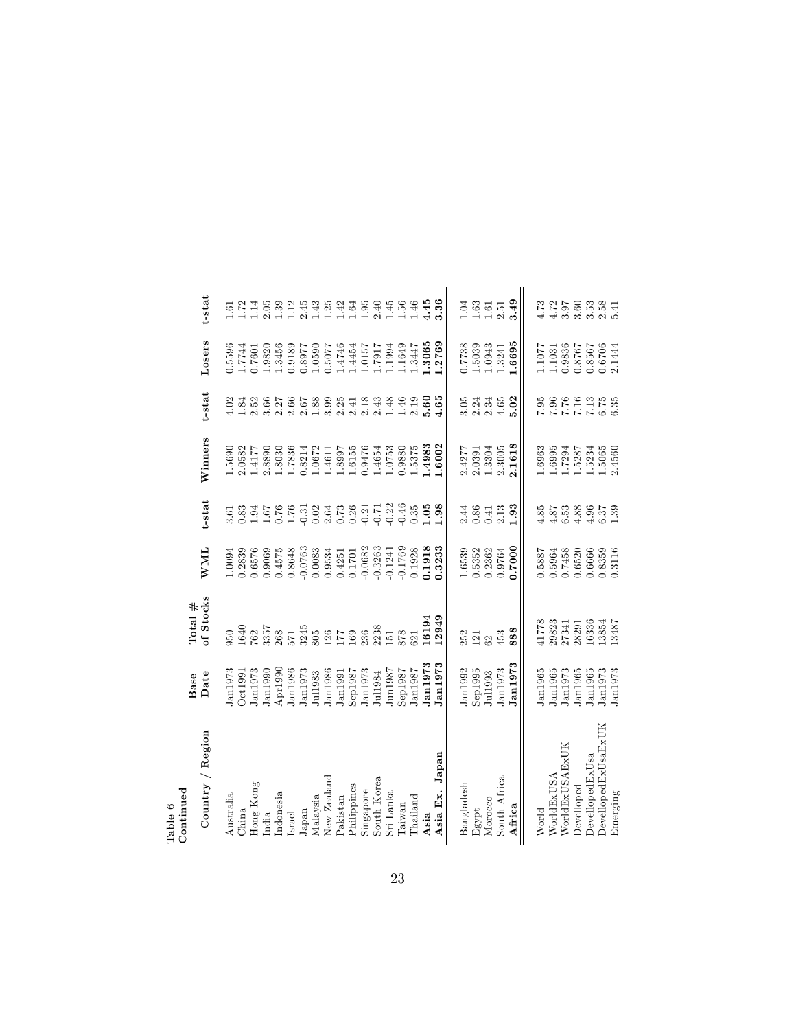| Table 6             |                     |                                        |            |                     |         |                             |                  |                   |
|---------------------|---------------------|----------------------------------------|------------|---------------------|---------|-----------------------------|------------------|-------------------|
| Continued           | Base                | Total $#$                              |            |                     |         |                             |                  |                   |
| Country / Region    | Date                | of Stocks                              | <b>WML</b> | t-stat              | Winners | t-stat                      | Losers           | t-stat            |
| Australia           | tan 1973            | 050                                    | 1.0094     | 3.61                | 1.5690  | 4.02                        | 1.5596           |                   |
| China               | Oct1991             | 1640                                   | 0.2839     | 0.83                | 2.0582  | 1.84                        | 1.7744           | 1.72              |
| Hong Kong           | J <sub>an1973</sub> |                                        | 0.6576     |                     | 1.4177  |                             | 1.7601           | 1.14              |
| India               | J <sub>an1990</sub> | 762<br>3357                            | 0.9069     |                     | 2.8890  |                             | 1.9820           | 2.05              |
| ndonesia            | Apr1990             | 268                                    | 0.4575     |                     | 1.8030  |                             | 1.3456           | 1.39              |
| <b>Israel</b>       | Jan1986             | 571<br>3245<br>805                     | 0.8648     |                     | 1.7836  |                             | 0.9189           | 1.12              |
| Japan               | J <sub>an1973</sub> |                                        | $-0.0763$  |                     | 0.8214  |                             | 1268.0           | $2.43844594$      |
| Malaysia            | Jul1983             |                                        | 0.0083     |                     | 1.0672  |                             | 1.0590           |                   |
| New Zealand         | Jan1986             |                                        | 0.9534     |                     | 1.4611  |                             | 0.5077           |                   |
| Pakistan            | J <sub>an1991</sub> | $\frac{126}{17}$<br>$\frac{169}{2338}$ | 0.4251     |                     | 1.8997  |                             | 1.4746           |                   |
| Philippines         | $\rm Seg$ 1987      |                                        | 0.1701     |                     | 1.6155  |                             | 1.4454           |                   |
| Singapore           | Jan1973             |                                        | $-0.0682$  |                     | 0.9476  |                             | 1.0157           |                   |
| South Korea         | Jul1984             |                                        | $-0.3263$  |                     | 1.4654  | $2.341$<br>$2.43$<br>$2.43$ | 1.1917           |                   |
| Sri Lanka           | Jun1987             | $\overline{51}$                        | $-0.1241$  |                     | 1.0753  | $1.48$<br>$1.46$            | 1.1994           |                   |
| Taiwan              | Sep1987             | 878                                    | $-0.1769$  |                     | 0.9880  |                             | 1.1649           | $1.56$<br>$1.56$  |
| Thailand            | Jan1987             | 321                                    | 0.1928     | 0.35                | 1.5375  | $\frac{2.19}{5.60}$         | 1.3447           |                   |
| Asia                | Jan1973             | 16194                                  | 0.1918     | 1.05                | .4983   |                             | .3065            | 4.45              |
| Asia Ex. Japan      | Jan1973             | 12949                                  | 0.3233     | 1.98                | 1.6002  | 4.65                        | 1.2769           | 3.36              |
| Bangladesh          | Jan1992             | 252                                    | 1.6539     | 2.44                | 2.4277  |                             | 0.7738           | 1.04              |
| Egypt               | Sep1995             | 121                                    | 0.5352     | 0.86                | 2.0391  |                             | 1.5039           | 1.63              |
| Morocco             | Jul1993             | 62                                     | 0.2362     | 0.41                | 1.3304  | $3.34$<br>$2.34$<br>$2.34$  | 1.0943           | $1.61\,$          |
| South Africa        | Jan1973             | 453                                    | 0.9764     | $2.13\,$            | 2.3005  | $4.65$                      | 1.3241           | 2.51              |
| Africa              | Jan1973             | 888                                    | 0.7000     | 1.93                | 2.1618  | 5.02                        | 1.6695           | 3.49              |
| World               | Jan1965             |                                        | 0.5887     | 4.85                | 1.6963  |                             | 1.1077           | 4.73              |
| WorldExUSA          | Jan1965             |                                        | 0.5964     | 4.87                | 1.6995  |                             | 1.1031           | $4.72 \over 3.97$ |
| WorldExUSAExUK      | Jan1973             | 41778<br>29823<br>27341                | 0.7458     | 6.53                | 1.7294  |                             | 0.9836           |                   |
| Develloped          | Jan1965             | 28291                                  | 0.6520     | 4.88                | 1.5287  |                             | 0.8767           | 3.60              |
| DevellopedExUsa     | Jan1965             | 16336                                  | 0.6666     | $\frac{4.96}{6.37}$ | 1.5234  |                             | 0.8567           | $3.58$<br>$2.541$ |
| DevellopedExUsaExUK | Jan1973             | 13854<br>13487                         | 0.8359     |                     | 1.5065  |                             | 0.6706<br>2.1444 |                   |
| Emerging            | Jan1973             |                                        | 0.3116     |                     | 2.4560  |                             |                  |                   |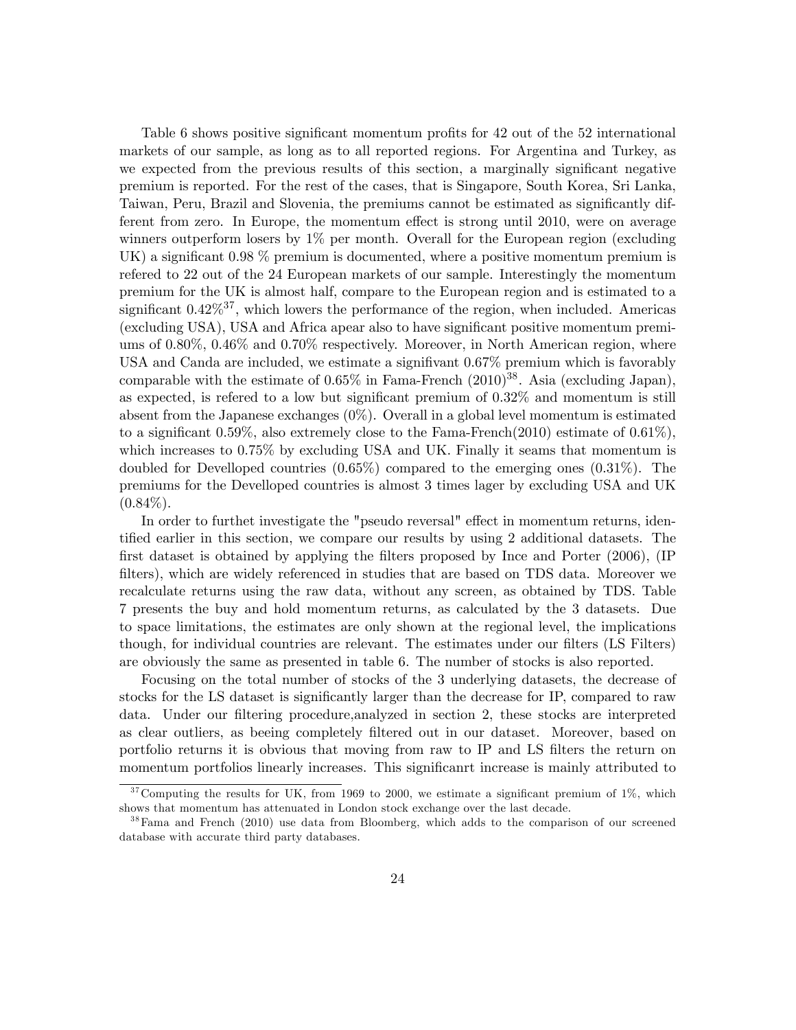Table 6 shows positive significant momentum profits for 42 out of the 52 international markets of our sample, as long as to all reported regions. For Argentina and Turkey, as we expected from the previous results of this section, a marginally significant negative premium is reported. For the rest of the cases, that is Singapore, South Korea, Sri Lanka, Taiwan, Peru, Brazil and Slovenia, the premiums cannot be estimated as significantly different from zero. In Europe, the momentum effect is strong until 2010, were on average winners outperform losers by 1% per month. Overall for the European region (excluding UK) a significant  $0.98\%$  premium is documented, where a positive momentum premium is refered to 22 out of the 24 European markets of our sample. Interestingly the momentum premium for the UK is almost half, compare to the European region and is estimated to a significant  $0.42\%^{37}$ , which lowers the performance of the region, when included. Americas (excluding USA), USA and Africa apear also to have significant positive momentum premiums of 0.80%, 0.46% and 0.70% respectively. Moreover, in North American region, where USA and Canda are included, we estimate a signifivant  $0.67\%$  premium which is favorably comparable with the estimate of  $0.65\%$  in Fama-French  $(2010)^{38}$ . Asia (excluding Japan), as expected, is refered to a low but significant premium of  $0.32\%$  and momentum is still absent from the Japanese exchanges (0%). Overall in a global level momentum is estimated to a significant 0.59%, also extremely close to the Fama-French(2010) estimate of 0.61%), which increases to 0.75% by excluding USA and UK. Finally it seams that momentum is doubled for Develloped countries (0.65%) compared to the emerging ones (0.31%). The premiums for the Develloped countries is almost 3 times lager by excluding USA and UK  $(0.84\%).$ 

In order to furthet investigate the "pseudo reversal" effect in momentum returns, identified earlier in this section, we compare our results by using 2 additional datasets. The first dataset is obtained by applying the filters proposed by Ince and Porter  $(2006)$ ,  $(IP)$ filters), which are widely referenced in studies that are based on TDS data. Moreover we recalculate returns using the raw data, without any screen, as obtained by TDS. Table 7 presents the buy and hold momentum returns, as calculated by the 3 datasets. Due to space limitations, the estimates are only shown at the regional level, the implications though, for individual countries are relevant. The estimates under our filters (LS Filters) are obviously the same as presented in table 6. The number of stocks is also reported.

Focusing on the total number of stocks of the 3 underlying datasets, the decrease of stocks for the LS dataset is significantly larger than the decrease for IP, compared to raw data. Under our filtering procedure, analyzed in section 2, these stocks are interpreted as clear outliers, as beeing completely Öltered out in our dataset. Moreover, based on portfolio returns it is obvious that moving from raw to IP and LS filters the return on momentum portfolios linearly increases. This significanrt increase is mainly attributed to

 $37$  Computing the results for UK, from 1969 to 2000, we estimate a significant premium of 1%, which shows that momentum has attenuated in London stock exchange over the last decade.

<sup>&</sup>lt;sup>38</sup>Fama and French (2010) use data from Bloomberg, which adds to the comparison of our screened database with accurate third party databases.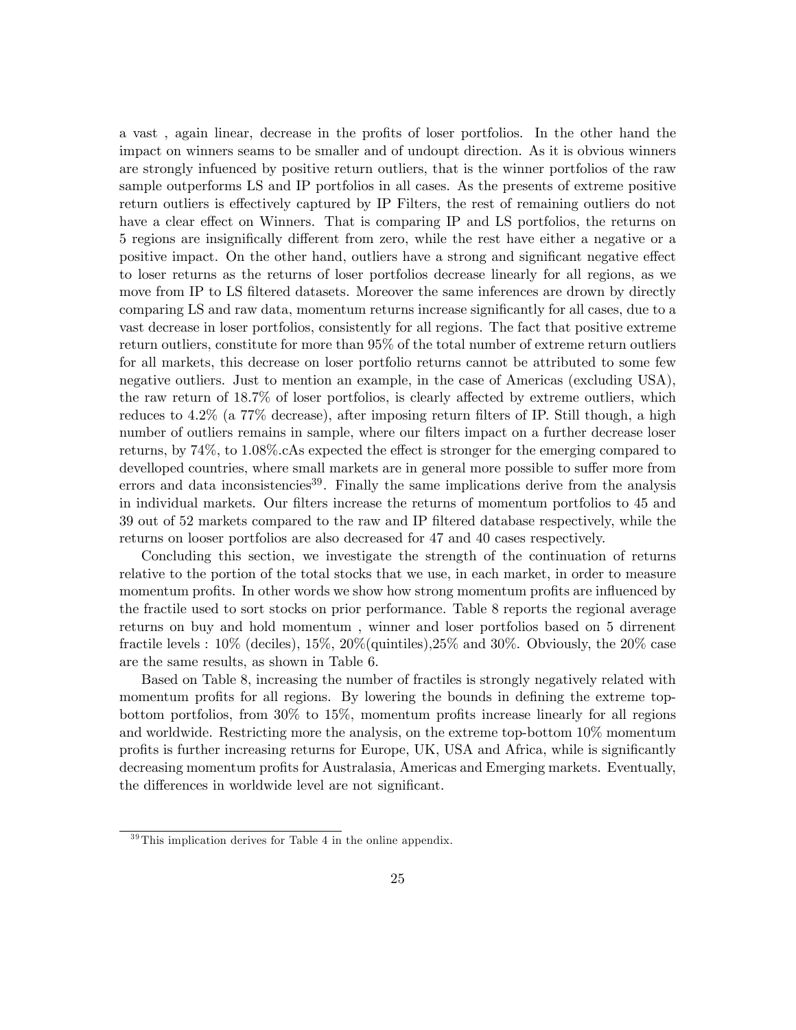a vast, again linear, decrease in the profits of loser portfolios. In the other hand the impact on winners seams to be smaller and of undoupt direction. As it is obvious winners are strongly infuenced by positive return outliers, that is the winner portfolios of the raw sample outperforms LS and IP portfolios in all cases. As the presents of extreme positive return outliers is effectively captured by IP Filters, the rest of remaining outliers do not have a clear effect on Winners. That is comparing IP and LS portfolios, the returns on 5 regions are insignifically different from zero, while the rest have either a negative or a positive impact. On the other hand, outliers have a strong and significant negative effect to loser returns as the returns of loser portfolios decrease linearly for all regions, as we move from IP to LS filtered datasets. Moreover the same inferences are drown by directly comparing LS and raw data, momentum returns increase significantly for all cases, due to a vast decrease in loser portfolios, consistently for all regions. The fact that positive extreme return outliers, constitute for more than 95% of the total number of extreme return outliers for all markets, this decrease on loser portfolio returns cannot be attributed to some few negative outliers. Just to mention an example, in the case of Americas (excluding USA), the raw return of  $18.7\%$  of loser portfolios, is clearly affected by extreme outliers, which reduces to  $4.2\%$  (a  $77\%$  decrease), after imposing return filters of IP. Still though, a high number of outliers remains in sample, where our filters impact on a further decrease loser returns, by  $74\%$ , to  $1.08\%$ . CAs expected the effect is stronger for the emerging compared to develloped countries, where small markets are in general more possible to suffer more from errors and data inconsistencies<sup>39</sup>. Finally the same implications derive from the analysis in individual markets. Our filters increase the returns of momentum portfolios to 45 and 39 out of 52 markets compared to the raw and IP Öltered database respectively, while the returns on looser portfolios are also decreased for 47 and 40 cases respectively.

Concluding this section, we investigate the strength of the continuation of returns relative to the portion of the total stocks that we use, in each market, in order to measure momentum profits. In other words we show how strong momentum profits are influenced by the fractile used to sort stocks on prior performance. Table 8 reports the regional average returns on buy and hold momentum , winner and loser portfolios based on 5 dirrenent fractile levels : 10% (deciles), 15%, 20%(quintiles),25% and 30%. Obviously, the 20% case are the same results, as shown in Table 6.

Based on Table 8, increasing the number of fractiles is strongly negatively related with momentum profits for all regions. By lowering the bounds in defining the extreme topbottom portfolios, from  $30\%$  to  $15\%$ , momentum profits increase linearly for all regions and worldwide. Restricting more the analysis, on the extreme top-bottom 10% momentum profits is further increasing returns for Europe, UK, USA and Africa, while is significantly decreasing momentum profits for Australasia, Americas and Emerging markets. Eventually, the differences in worldwide level are not significant.

 $39$ This implication derives for Table 4 in the online appendix.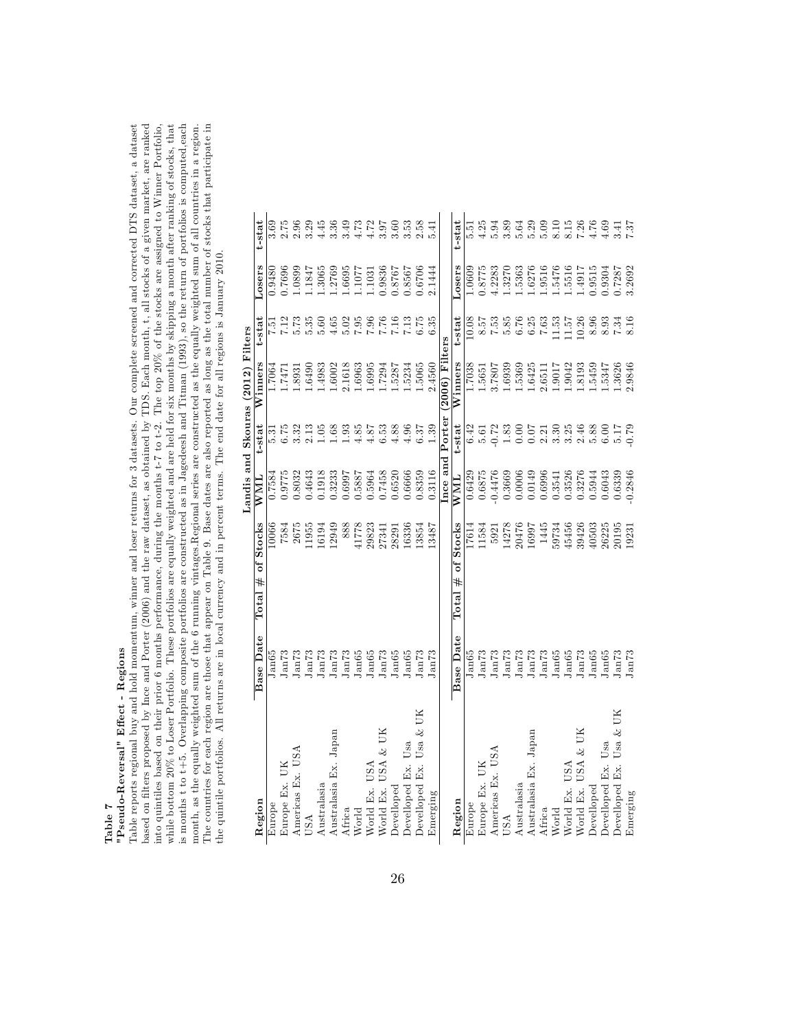# Table 7<br>"Pseudo-Reversal" Effect - Regions  $"Pseudo-Reversal"$  Effect - Regions

based on filters proposed by Ince and Porter (2006) and the raw dataset, as obtained by TDS. Each month, t, all stocks of a given market, are ranked into quintiles based on their prior 6 months performance, during the months t-7 to t-2. The top 20% of the stocks are assigned to Winner Portfolio, while bottom 20% to Loser Portfolio, These portfolios are equally weighte is months  $t$  to  $t+5$ . Overlapping composite portfolios are constructed as in Jagedeesh and Titman (1993), so the return of portfolios is computed,each month, as the equally weighted sum of the  $6$  running vintages.Regional series are constructed as the equally weighted sum of all countries in a region.<br>The countries for each region are those that appear on Table 9. Base Table reports regional buy and hold momentum, winner and loser returns for 3 datasets. Our complete screened and corrected DTS dataset, a dataset based on filters proposed by Ince and Porter (2006) and the raw dataset, as obtained by TDS. Each month, t, all stocks of a given market, are ranked is months t to t+5. Overlapping composite portfolios are constructed as in Jagedeesh and Titman (1993), so the return of portfolios is computed,each The countries for each region are those that appear on Table 9. Base dates are also reported as long as the total number of stocks that participate in Table reports regional buy and hold momentum, winner and loser returns for 3 datasets. Our complete screened and corrected DTS dataset, a dataset into quintiles based on their prior 6 months performance, during the months t-7 to t-2. The top 20% of the stocks are assigned to Winner Portfolio, while bottom 20% to Loser Portfolio. These portfolios are equally weighted and are held for six months by skipping a month after ranking of stocks, that month, as the equally weighted sum of the 6 running vintages.Regional series are constructed as the equally weighted sum of all countries in a region. the quintile portfolios. All returns are in local currency and in percent terms. The end date for all regions is January 2010.

|                            |                   |                                    |               |                 | Landis and Skouras (2012) Filters |               |                  |                |
|----------------------------|-------------------|------------------------------------|---------------|-----------------|-----------------------------------|---------------|------------------|----------------|
| Region                     | Base Date         | Total $#$ of Stocks                | $_{\rm{WML}}$ | t-stat          | Winners                           | t-stat        | Losers           | t-stat         |
| Europe                     | Jan65             | 10066                              | 1.7584        | $\frac{31}{2}$  | .7064                             | $\frac{1}{2}$ | 0.9480           | 3.69           |
| Europe Ex. UK              | Jan73             | 7584                               | 0.9775        | 6.75            | 1471                              | 7.12          | 1.7696           |                |
| Americas Ex. USA           | Jan73             | 2675                               | 0.8032        | 3.32            | .8931                             | 5.73          | 1.0899           | 2.96           |
| USA                        | Jan73             | 1955                               | 0.4643        | 2.13            | .6490                             | 5.35          | .1847            | 3.29           |
| Australasia                | Jan73             | 16194                              | 0.1918        | 1.05            | .4983                             | 5.60          | 1.3065           | 4.45           |
| Australasia Ex. Japan      | J <sub>an73</sub> | 12949                              | 0.3233        | 1.68            | .6002                             | 4.65          | 1.2769           | 3.36           |
| Africa                     | Jan73             | 888                                | 0.6997        | 1.93            | 2.1618                            | 5.02          | 1.6695<br>1.1077 | 3.49           |
| World                      | Jan65             | 41778                              | 0.5887        | 4.85            | 1.6963                            | 7.95          |                  | 4.73           |
| World Ex. USA              | Jan65             | 29823                              | 0.5964        | 4.87            | $-6995$                           | 7.96          | 1.1031           | 4.72           |
| World Ex. USA & UK         | Jan73             | 27341                              | 0.7458        | 6.53            | .7294                             | 7.76          | 0.9836           | 8.97           |
| Develloped                 | Jan65             | 28291                              | 0.6520        | 4.88            | .5287                             | 7.16          | 1928.0           | 3.60           |
| Develloped Ex. Usa         | Jan65             | 16336                              | 0.6666        | 4.96            | .5234                             | 7.13          | 1.8567           | 3.53           |
| Usa & UK<br>Develloped Ex. | Jan73             | 13854                              | 0.8359        | 6.37            | .5065                             | 6.75          | 0.6706           | 2.58           |
| Emerging                   | Jan73             | 13487                              | 0.3116        | 1.39            | 2.4560                            | 6.35          | 2.1444           | 5.41           |
|                            |                   |                                    |               | Ince and Porter | (2006) Filters                    |               |                  |                |
| Region                     | <b>Base Date</b>  | Stocks<br>ð<br>#<br>$_{\rm Total}$ | WML           | t-stat          | Winners                           | t-stat        | Losers           | t-stat         |
| Europe                     | $_{\rm lan65}$    | 17614                              | 0.6429        | 6.42            | .7038                             | 10.08         | 1.0609           | $\frac{51}{2}$ |
| Europe Ex. UK              | Jan73             | 1584                               | 0.6875        | 5.61            | .5651                             | S.57          | 1.8775           | 4.25           |
| Americas Ex. USA           | Jan73             | 5921                               | $-0.4476$     | $-0.72$         | 1082.                             | 7.53          | 1.2283           | 5.94           |
| USA                        | Jan <sup>73</sup> | 14278                              | 0.3669        | 1.83            | .6939                             | 5.85          | .3270            | 3.89           |
| Australasia                | Jan73             | 20476                              | 0.0006        | 0.00            | .5369                             | 6.76          | 1.5363           | 5.64           |
| Australasia Ex. Japan      | $J\rm{an}73$      | 16997                              | 0.0149        | 0.07            | 6425                              | 6.25          | 1.6276           | 5.29           |
| Africa                     | J <sub>an73</sub> | 1445                               | 0.6996        | 2.21            | 2.6511                            | 7.63          | 1.9516           | 5.09           |
| World                      | Jan65             | 59734                              | 0.3541        | 3.30            | 7106                              | 1.53          | 1.5476           | 8.10           |
| World Ex. USA              | Jan65             | 45456                              | 0.3526        | 3.25            | .9042                             | 1.57          | 1.5516           | 8.15           |
| World Ex. USA & UK         | Jan73             | 39426                              | 0.3276        | 2.46            | 8193                              | 10.26         | 1.4917           | 7.26           |
| Develloped                 | Jan65             | 40503                              | 0.5944        | 5.88            | 5459                              | 8.96          | 0.9515           | 4.76           |
| Develloped Ex. Usa         | Jan65             | 26225                              | 0.6043        | 6.00            | 5347                              | 8.93          | 1.9304           | 4.69           |
| Usa & UK<br>Develloped Ex. | Jan73             | 20195                              | 0.6339        | 5.17            | .3626                             | 7.34          | 1.7287           | 3.41           |
| Emerging                   | Jan73             | 19231                              | 0.2846        | 0.79            | 2.9846                            | 8.16          | 3.2692           | 7.87           |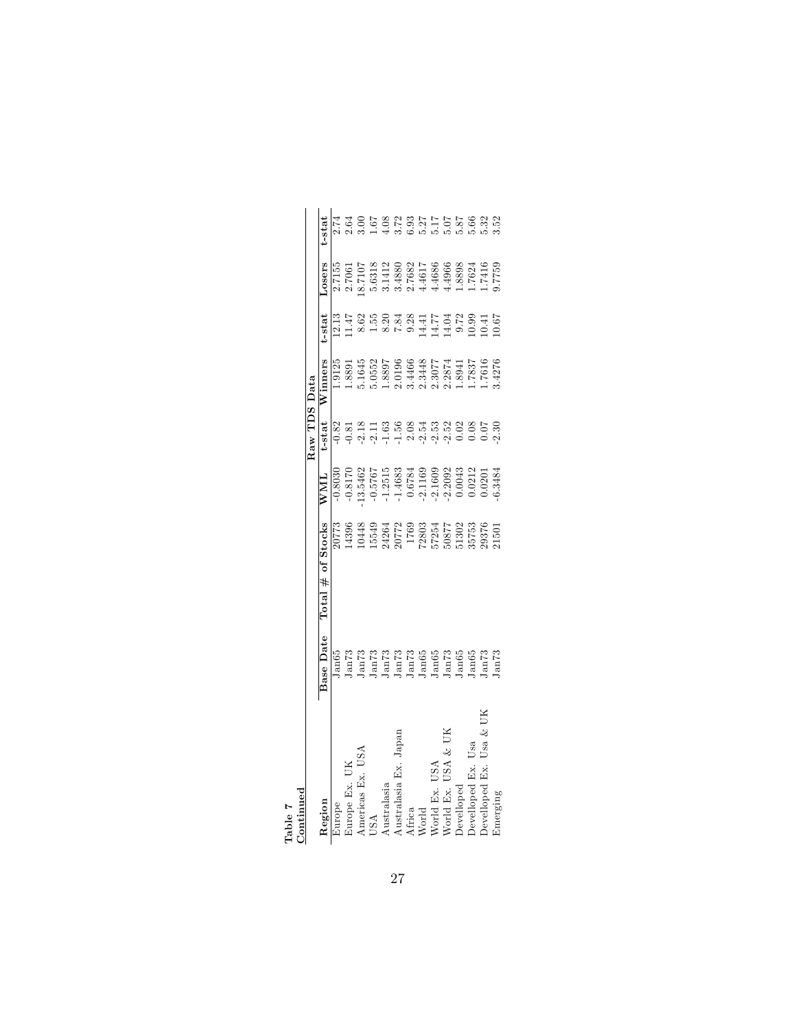| $50$ menta                   |                                                                                                                  |                                                                                                   |                                                                                                                                                                                                                                                                                       |                                                                                                                                         |                                                                                                                                            |       |       |                   |
|------------------------------|------------------------------------------------------------------------------------------------------------------|---------------------------------------------------------------------------------------------------|---------------------------------------------------------------------------------------------------------------------------------------------------------------------------------------------------------------------------------------------------------------------------------------|-----------------------------------------------------------------------------------------------------------------------------------------|--------------------------------------------------------------------------------------------------------------------------------------------|-------|-------|-------------------|
|                              |                                                                                                                  |                                                                                                   |                                                                                                                                                                                                                                                                                       | Raw TDS Data                                                                                                                            |                                                                                                                                            |       |       |                   |
| Region                       | <b>Base Date</b>                                                                                                 | of Stocks<br>Total#                                                                               | $\overline{N}$ ML                                                                                                                                                                                                                                                                     | t-stat                                                                                                                                  | Vinners                                                                                                                                    | -stat | osers | $t - s\bar{t}$ at |
| <b>urope</b>                 |                                                                                                                  |                                                                                                   | $-0.8030$                                                                                                                                                                                                                                                                             |                                                                                                                                         | .9125                                                                                                                                      |       |       | 2.74              |
| urope Ex. UK                 |                                                                                                                  | 20773<br>L4396                                                                                    |                                                                                                                                                                                                                                                                                       |                                                                                                                                         |                                                                                                                                            |       |       | 2.64              |
| mericas Ex. US.              |                                                                                                                  |                                                                                                   |                                                                                                                                                                                                                                                                                       |                                                                                                                                         |                                                                                                                                            |       |       |                   |
| JSA                          | ando<br>Langs Cardinal<br>Langs Cardinal<br>Langs Cardinal<br>Langs Cardinal<br>Langs Cardinal<br>Langs Cardinal | 10448<br>1554261772<br>20772 1769<br>17857257725758<br>150377725758292011<br>20877782202020215011 | $\begin{array}{l} 70.8176 \\ 9.5767 \\ 12.5483 \\ 9.6767 \\ 1.46383 \\ 1.46383 \\ 1.46383 \\ 1.46383 \\ 1.46383 \\ 1.46383 \\ 1.46383 \\ 1.46383 \\ 1.46384 \\ 1.46384 \\ 1.46384 \\ 1.46384 \\ 1.46384 \\ 1.46384 \\ 1.46384 \\ 1.46384 \\ 1.46384 \\ 1.46384 \\ 1.46384 \\ 1.46384$ | $0.225$ $0.255$ $0.255$ $0.255$ $0.255$ $0.255$ $0.255$ $0.255$ $0.255$ $0.255$ $0.255$ $0.255$ $0.255$ $0.255$ $0.255$ $0.255$ $0.255$ | $\begin{array}{r} 1.8891\\ 5.1645\\ 5.0552\\ 2.0196\\ 3.4466\\ 2.3977\\ 2.3446\\ 2.3977\\ 1.7837\\ 1.7837\\ 1.7616\\ 1.7616\\ \end{array}$ |       |       |                   |
| $A {\it ustral} as i$        |                                                                                                                  |                                                                                                   |                                                                                                                                                                                                                                                                                       |                                                                                                                                         |                                                                                                                                            |       |       |                   |
| Australasia Ex. Japan        |                                                                                                                  |                                                                                                   |                                                                                                                                                                                                                                                                                       |                                                                                                                                         |                                                                                                                                            |       |       |                   |
|                              |                                                                                                                  |                                                                                                   |                                                                                                                                                                                                                                                                                       |                                                                                                                                         |                                                                                                                                            |       |       |                   |
| Africa<br>World<br>World Ex. |                                                                                                                  |                                                                                                   |                                                                                                                                                                                                                                                                                       |                                                                                                                                         |                                                                                                                                            |       |       |                   |
| USA                          |                                                                                                                  |                                                                                                   |                                                                                                                                                                                                                                                                                       |                                                                                                                                         |                                                                                                                                            |       |       |                   |
| USA & UI<br>Vorld Ex.        |                                                                                                                  |                                                                                                   |                                                                                                                                                                                                                                                                                       |                                                                                                                                         |                                                                                                                                            |       |       |                   |
| <b>Pevelloped</b>            |                                                                                                                  |                                                                                                   |                                                                                                                                                                                                                                                                                       |                                                                                                                                         |                                                                                                                                            |       |       |                   |
| Usa<br>evelloped Ex.         |                                                                                                                  |                                                                                                   |                                                                                                                                                                                                                                                                                       |                                                                                                                                         |                                                                                                                                            |       |       |                   |
| Usa<br>Fx.                   |                                                                                                                  |                                                                                                   |                                                                                                                                                                                                                                                                                       |                                                                                                                                         |                                                                                                                                            |       |       |                   |
| ±merging                     |                                                                                                                  |                                                                                                   |                                                                                                                                                                                                                                                                                       |                                                                                                                                         |                                                                                                                                            |       |       |                   |

Table 7 Continued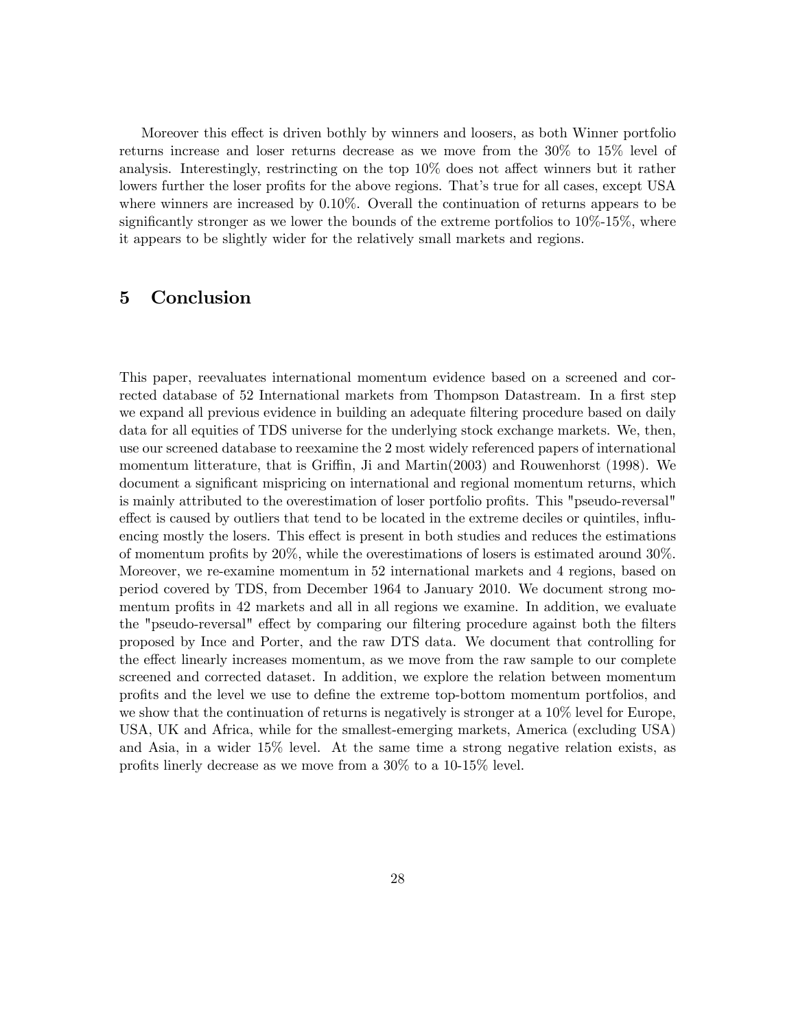Moreover this effect is driven bothly by winners and loosers, as both Winner portfolio returns increase and loser returns decrease as we move from the 30% to 15% level of analysis. Interestingly, restrincting on the top  $10\%$  does not affect winners but it rather lowers further the loser profits for the above regions. That's true for all cases, except USA where winners are increased by 0.10%. Overall the continuation of returns appears to be significantly stronger as we lower the bounds of the extreme portfolios to  $10\%$ -15%, where it appears to be slightly wider for the relatively small markets and regions.

# 5 Conclusion

This paper, reevaluates international momentum evidence based on a screened and corrected database of 52 International markets from Thompson Datastream. In a first step we expand all previous evidence in building an adequate filtering procedure based on daily data for all equities of TDS universe for the underlying stock exchange markets. We, then, use our screened database to reexamine the 2 most widely referenced papers of international momentum litterature, that is Griffin, Ji and Martin $(2003)$  and Rouwenhorst (1998). We document a significant mispricing on international and regional momentum returns, which is mainly attributed to the overestimation of loser portfolio profits. This "pseudo-reversal" effect is caused by outliers that tend to be located in the extreme deciles or quintiles, influencing mostly the losers. This effect is present in both studies and reduces the estimations of momentum profits by  $20\%$ , while the overestimations of losers is estimated around  $30\%$ . Moreover, we re-examine momentum in 52 international markets and 4 regions, based on period covered by TDS, from December 1964 to January 2010. We document strong momentum profits in 42 markets and all in all regions we examine. In addition, we evaluate the "pseudo-reversal" effect by comparing our filtering procedure against both the filters proposed by Ince and Porter, and the raw DTS data. We document that controlling for the effect linearly increases momentum, as we move from the raw sample to our complete screened and corrected dataset. In addition, we explore the relation between momentum proÖts and the level we use to deÖne the extreme top-bottom momentum portfolios, and we show that the continuation of returns is negatively is stronger at a 10% level for Europe, USA, UK and Africa, while for the smallest-emerging markets, America (excluding USA) and Asia, in a wider 15% level. At the same time a strong negative relation exists, as profits linerly decrease as we move from a  $30\%$  to a 10-15% level.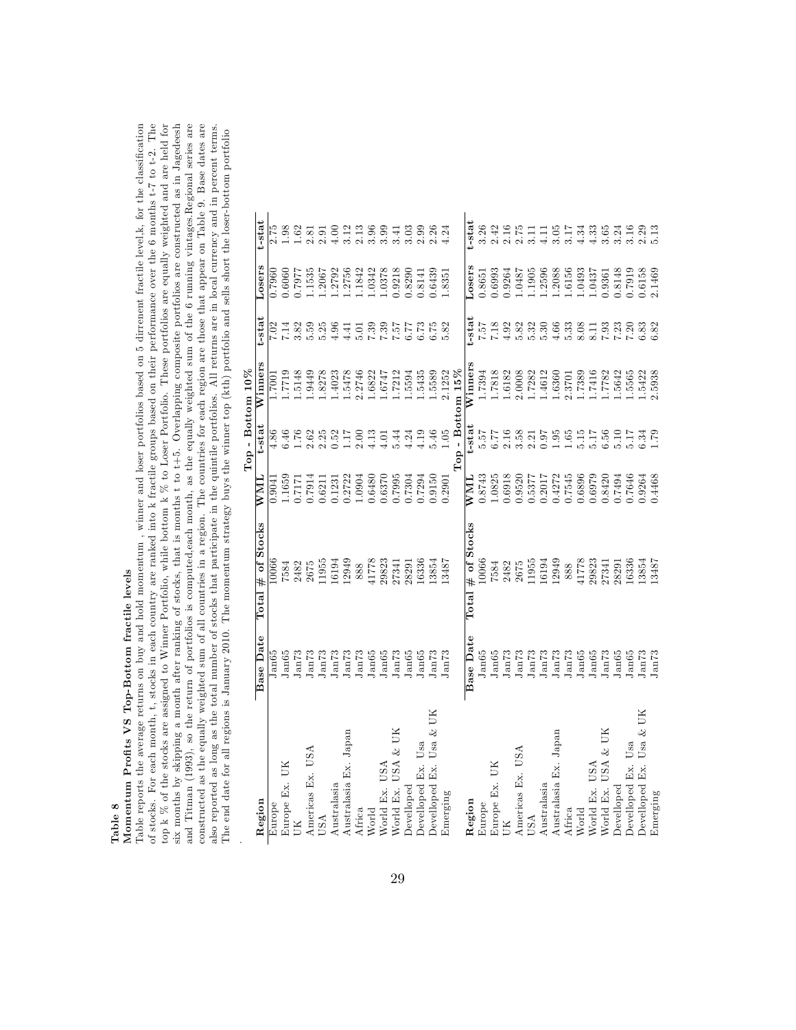# Table 8<br>Momentum Profits VS Top-Bottom fractile levels Momentum Profits VS Top-Bottom fractile levels

and Titman (1993), so the return of portfolios is computed,each month, as the equally weighted sum of the 6 running vintages.Regional series are constructed as the equally weighted sum of all countries in a region. The cou Table reports the average returns on buy and hold momentum, winner and loser portfolios based on 5 dirrenent fractile level,k, for the classification of stocks. For each month, t, stocks in each country are ranked into k fractile groups based on their performance over the 6 months t-7 to t-2. The top k  $%$  of the stocks are assigned to Winner Portfolio, while bottom k six months by skipping a month after ranking of stocks, that is months t to t+5. Overlapping composite portfolios are constructed as in Jagedeesh Table reports the average returns on buy and hold momentum , winner and loser portfolios based on 5 dirrenent fractile level,k, for the classification of stocks. For each month, t, stocks in each country are ranked into k fractile groups based on their performance over the 6 months t-7 to t-2. The top k % of the stocks are assigned to Winner Portfolio, while bottom k % to Loser Portfolio. These portfolios are equally weighted and are held for six months by skipping a month after ranking of stocks, that is months t to t+5. Overlapping composite portfolios are constructed as in Jagedeesh and Titman (1993), so the return of portfolios is computed,each month, as the equally weighted sum of the 6 running vintages.Regional series are constructed as the equally weighted sum of all countries in a region. The countries for each region are those that appear on Table 9. Base dates are also reported as long as the total number of stocks that participate in the quintile portfolios. All returns are in local currency and in percent terms.  $\texttt{bottom}$  portfolio The end date for all regions is January 2010. The momentum strategy buys the winner top (kth) portfolio and sells short the loser-bottom portfolio  $\tilde{\rm H}$ 

|                                  |                    |                                  |                       | Top - Bottom 10%   |         |                            |        |                                                                          |
|----------------------------------|--------------------|----------------------------------|-----------------------|--------------------|---------|----------------------------|--------|--------------------------------------------------------------------------|
| Region                           | <b>Base Date</b>   | $\#$ of Stocks<br>$_{\rm Total}$ | $\overline{\text{W}}$ | t-stat             | Winners | t-stal                     | Losers | t-stat                                                                   |
| Europe                           | Jan65              | 0066                             | 0.9041                | $\frac{86}{4}$     | 1007.1  | $\frac{2}{\cdot}$          | 0.7960 |                                                                          |
| Europe Ex. UK                    | lan65              | 7584                             | L.1659                | 6.46               | 6122    | 7.14                       | 0.6060 | 0.98                                                                     |
|                                  | Jan73              | 2482                             | 0.7171                |                    | .5148   | 3.82                       | 17977  | 1.62                                                                     |
| Americas Ex. USA                 | $_{\rm Ia173}$     | 2675                             | 0.7914                | 1.76<br>2.62       | 1.9449  | 5.59                       | 1.535  | 2.81                                                                     |
| <b>JSA</b>                       | Jan73              | 11955                            | 0.6211                | 2.25               | 1.8278  | 5.25                       | 1.2067 | 2.91                                                                     |
| Australasia                      | Jan73              | 16194                            | 0.1231                | 0.52               | 1.4023  | 4.96                       | .2792  | $\begin{array}{c} 0.00 \\ 0.01 \\ 0.01 \\ 0.000 \\ 0.000 \\ \end{array}$ |
| Australasia Ex. Japan            | Jan73              | 12949                            | 0.2722                | 1.17               | 1.5478  | 4.41                       | .2756  |                                                                          |
| Africa                           | $_{\rm Jan73}$     | 888                              | 1.0904                | 2.00               | 2.2746  | 5.01                       | 1.842  |                                                                          |
| World                            | Jan65              | 41778                            | 0.6480                | 4.13               | 1.6822  | 1798<br>1987<br>1987       | 1.0342 |                                                                          |
| World Ex. USA                    | Jan65              | 29823                            | 0.6370                | 4.01               | 1.6747  |                            | 1.0378 |                                                                          |
| World Ex. USA & UK               | Jan73              | 27341                            | 0.7995                | 5.44               | 1.7212  |                            | 0.9218 |                                                                          |
| Develloped                       | Jan65              | 28291                            | 0.7304                | 4.24               | 1.5594  |                            | 0.8290 |                                                                          |
| Usa<br>Develloped Ex.            | lan65              | 16336                            | 0.7294                | 4.19               | 1.5435  | 6.73                       | 1.8141 |                                                                          |
| UК<br>Usa $\&$<br>Develloped Ex. | Jan73              | 13854                            | 0.9150                | 5.46               | 1.5589  | 6.75                       | 0.6439 |                                                                          |
| Emerging                         | lan73              | 13487                            | 0.2901                | 1.05               | 2.1252  | 5.82                       | 1.8351 | 4.24                                                                     |
|                                  |                    |                                  |                       | $Top - Bottom 15%$ |         |                            |        |                                                                          |
| Region                           | <b>Base Date</b>   | $#$ of Stocks<br>$_{\rm Total}$  | $_{\rm NMI}$          | $t$ -stat          | Winners | $t$ -stat                  | casers | t-stat                                                                   |
| Europe                           | Jan65              | 10066                            | 0.8743                | 5.57               | 1.7394  | 757                        | 1.8651 | 3.26                                                                     |
| Europe Ex. UK                    | Jan65              | 7584                             | 1.0825                | 6.77               | 1.7818  | 7.18                       | 0.6993 | 2.42                                                                     |
|                                  | Jan73              | 2482                             | 0.6918                | 2.16               | 1.6182  | 4.92                       | 0.9264 |                                                                          |
| Americas Ex. USA                 | Jan73              | 2675                             | 0.9520                | 3.58               | 2.0008  | 5.82                       | 1.6487 | $2.16\phantom{}2.75$                                                     |
| USA                              | Jan73              | 11955                            | 0.5377                | 2.21               | 1.7282  | 5.32                       | 1.1905 | 3.11                                                                     |
| Australasia                      | Jan73              | 16194                            | 0.2017                | 0.97               | 1.4612  | 5.30                       | 1.2596 | 4.11                                                                     |
| Australasia Ex. Japan            | Jan73              | 12949                            | 0.4272                | 1.95               | 1.6360  | 4.66                       | 1.2088 | 3.05                                                                     |
| Africa                           | Jan73              | 888                              | 0.7545                | 1.65               | 2.3701  |                            | 1.6156 |                                                                          |
| World                            | J <sub>an65</sub>  | 41778                            | 0.6896                | $5.15$             | 1.7389  | $\frac{5.33}{8.08}$        | 1.0493 |                                                                          |
| World Ex. USA                    | Jan65              | 29823                            | 0.6979                | 5.17               | 1.7416  | 8.11<br>7.93               | 1.0437 | $3.33$<br>$4.33$<br>$4.33$                                               |
| USA & UK<br>World Ex.            | Ja <sub>n</sub> 73 | 27341                            | 0.8420                | 6.56               | 1.7782  |                            | 1.9361 | 3.65                                                                     |
| Develloped                       | Jan65              | 28291                            | 0.7494                | 5.10               | 1.5642  | $7.23$<br>$7.20$<br>$6.33$ | 0.8148 |                                                                          |
| Develloped Ex. Usa               | Jan65              | 16336                            | 0.7646                | 5.17               | 1.5565  |                            | 0.7919 |                                                                          |
| Usa $\&$ UK<br>Develloped Ex.    | Jan73              | 13854                            | 0.9264                | 6.34               | 1.5422  |                            | 0.6158 |                                                                          |
| Emerging                         | Jan73              | 13487                            | 0.4468                | 1.79               | 2.5938  | 3.82                       | 2.1469 |                                                                          |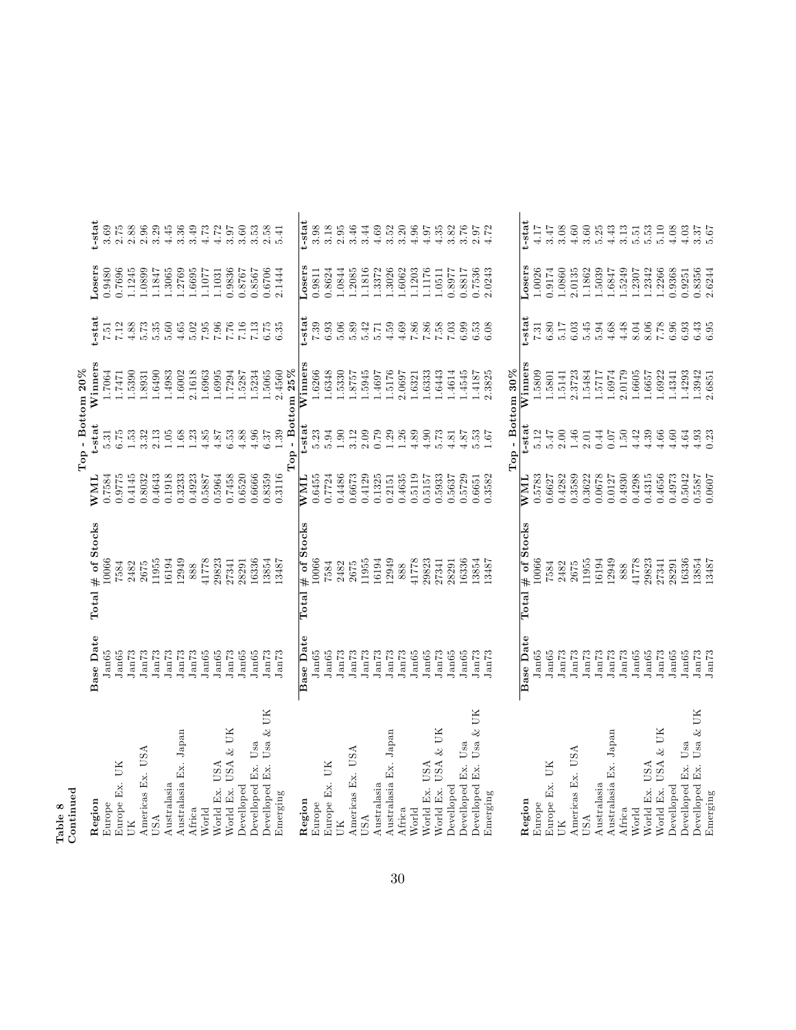| ו המונח הבנ                |                    |                      |                         |          | $Top - Bottom 20%$                      |           |               |          |
|----------------------------|--------------------|----------------------|-------------------------|----------|-----------------------------------------|-----------|---------------|----------|
| Region                     | <b>Base Date</b>   | # of Stocks<br>Total | <b>WML</b>              | t-stat   | Winners                                 | t-stat    | osers         | t-stat   |
| Europe                     | Jan65              | 10066                | 0.7584                  | 5.31     | 1.7064                                  | 7.51      | 0.9480        | 3.69     |
| Europe Ex. UK              | Jan65              | 7584                 | 0.9775                  | 6.75     | 1.7471                                  | 7.12      | 0.7696        | 2.75     |
| ЯÚ                         | Ja <sub>n</sub> 73 | 2482                 | 0.4145                  | 1.53     | 1.5390                                  | 4.88      | 1.1245        | 2.88     |
| Americas Ex. USA           | Jan73              | 2675                 | 0.8032                  | 3.32     | 1.8931                                  | 5.73      | 1.0899        | 2.96     |
| USA                        | Jan73              | 11955                | 0.4643                  | 2.13     | 1.6490                                  | 5.35      | 1.1847        | 3.29     |
| Australasia                | Jan73              | 16194                | 0.1918                  | 1.05     | 1.4983                                  | 5.60      | 1.3065        | 4.45     |
| Australasia Ex. Japan      | Jan73              | 12949                | 0.3233                  | 1.68     | 1.6002                                  | $4.65$    | 1.2769        | 3.36     |
| Africa                     | Jan73              | 888                  | 0.4923                  | 1.23     | 2.1618                                  | 5.02      | 1.6695        | 3.49     |
| World                      | Jan65              | 41778                | 0.5887                  | 4.85     | 1.6963                                  | $7.95\,$  | 1.1077        | 4.73     |
| World Ex. USA              | Jan65              | 29823                | 0.5964                  | 4.87     | 1.6995                                  | 7.96      | 1.1031        | 4.72     |
| World Ex. USA & UK         | Jan73              | 27341                | 0.7458                  | 6.53     | 1.7294                                  | 7.76      | 0.9836        | 3.97     |
| Develloped                 | Jan65              | 28291                | 0.6520                  | 4.88     | 1.5287                                  | 7.16      | 0.8767        | 3.60     |
| Usa<br>Develloped Ex.      | Jan65              | 16336                | 0.6666                  | 4.96     | 1.5234                                  | $7.13$    | 0.8567        | 3.53     |
| Usa & UK<br>Develloped Ex. | Jan73              | 13854                | 0.8359                  | 6.37     | 1.5065                                  | 6.75      | 0.6706        | 2.58     |
| Emerging                   | Jan73              | 13487                | 0.3116                  | 1.39     | 2.4560                                  | 6.35      | 2.1444        | 5.41     |
|                            |                    |                      |                         |          | $\mathbb{T}\mathrm{op}$ - Bottom $25\%$ |           |               |          |
| Region                     | <b>Base Date</b>   | # of Stocks<br>Total | WML                     | t-stat   | Winners                                 | $t$ -stat | Losers        | t-stat   |
| Europe                     | Jan65              | 10066                | 0.6455                  | 5.23     | 1.6266                                  | 7.39      | 0.9811        | 3.98     |
| Europe Ex. UK              | Jan65              | 7584                 | 0.7724                  | 5.94     | 1.6348                                  | 6.93      | 0.8624        | 3.18     |
| ЙÚ                         | Jan73              | 2482                 | 0.4486                  | $1.90\,$ | 1.5330                                  | 5.06      | 1.0844        | 2.95     |
| Americas Ex. USA           | Jan73              | 2675                 | 0.6673                  | 3.12     | 1.8757                                  | 5.89      | 1.2085        | 3.46     |
| USA                        | Jan73              | 11955                | 0.4129                  | 2.09     | 1.5945                                  | 5.42      | 1.1816        | 3.44     |
| Australasia                | $J\rm{an}73$       | 16194                | 0.1325                  | 0.79     | 1.4697                                  | 5.71      | 1.3372        | 4.69     |
| Australasia Ex. Japan      | Jan73              | 12949                | 0.2151                  | 1.29     | 1.5176                                  | 4.59      | 1.3026        | $3.52\,$ |
| Africa                     | Jan73              | 888                  | 0.4635                  | 1.26     | 2.0697                                  | 4.69      | 1.6062        | 3.20     |
| World                      | Jan65              | 41778                | 0.5119                  | 4.89     | 1.6321                                  | 7.86      | 1.1203        | 4.96     |
| World Ex. USA              | Jan65              | 29823                | 0.5157                  | 4.90     | 1.6333                                  | 7.86      | 1176          | 4.97     |
| World Ex. USA & UK         | J <sub>an73</sub>  | 27341                | 0.5933                  | 5.73     | 1.6443                                  | 7.58      | 1.0511        | 4.35     |
| Develloped                 | Jan65              | 28291                | 0.5637                  | 4.81     | 1.4614                                  | 7.03      | 1768.0        | 3.82     |
| Usa<br>Develloped Ex.      | Jan65              | 16336                | 0.5729                  | 4.87     | 1.4545                                  | 6.99      | 188.0         | 3.76     |
| Develloped Ex. Usa & UK    | Jan73              | 13854                | 0.6651                  | 5.53     | 1.4187                                  | 6.53      | 0.7536        | 2.97     |
| Emerging                   | Jan73              | 13487                | 0.3582                  | 1.67     | 2.3825                                  | 6.08      | 2.0243        | 4.72     |
|                            |                    |                      |                         |          | Top - Bottom 30%                        |           |               |          |
| Region                     | <b>Base Date</b>   | # of Stocks<br>Total | $\overline{\text{NML}}$ | t-stat   | <b>Winners</b>                          | t-stat    | <b>Losers</b> | t-stat   |
| Europe                     | Jan65              | 10066                | 0.5783                  | 5.12     | 1.5809                                  | 7.31      | 1.0026        | 4.17     |
| Europe Ex. UK              | Jan65              | 7584                 | 0.6627                  | 5.47     | 1.5801                                  | 6.80      | 1.9174        | 3.47     |
| UК                         | Jan73              | 2482                 | 0.4282                  | 2.00     | 1.5141                                  | 5.17      | 1.0860        | 3.08     |
| Americas Ex. USA           | Jan73              | 2675                 | 0.3589                  | 1.46     | 2.3723                                  | 6.03      | 2.0135        | $4.60$   |
| USA                        | Jan73              | 11955                | 0.3622                  | 2.01     | 1.5484                                  | 5.45      | 1.1862        | 3.60     |
| Australasia                | Ja <sub>n</sub> 73 | 16194                | 0.0678                  | 0.44     | 1.5717                                  | 5.94      | 1.5039        | 5.25     |
| Australasia Ex. Japan      | Jan73              | 12949                | 0.0127                  | 0.07     | 1.6974                                  | 4.68      | 1.6847        | 4.43     |
| Africa                     | Ja <sub>n</sub> 73 | 888                  | 0.4930                  | 1.50     | 2.0179                                  | 4.48      | 1.5249        | 3.13     |
| World                      | Jan65              | 41778                | 0.4298                  | 4.42     | 1.6605                                  | 8.04      | 1.2307        | 5.51     |
| World Ex. USA              | Jan65              | 29823                | 0.4315                  | 4.39     | 1.6657                                  | 8.06      | 1.2342        | 5.53     |
| World Ex. USA & UK         | Jan73              | 27341                | 0.4656                  | 4.66     | 1.6922                                  | 7.78      | 1.2266        | 5.10     |
| Develloped                 | Jan65              | 28291                | 0.4973                  | $4.60$   | 1.4341                                  | 6.96      | 0.9368        | 4.08     |
| Develloped Ex. Usa         | Jan65              | 16336                | 0.5042                  | 4.64     | 1.4293                                  | 6.93      | 0.9251        | 4.03     |
| Develloped Ex. Usa & UK    | Jan73              | 13854                | 0.5587                  | 4.93     | 1.3942                                  | 6.43      | 0.8356        | 3.37     |
| Emerging                   | Jan73              | 13487                | 0.0607                  | 0.23     | 2.6851                                  | 6.95      | 2.6244        | 5.67     |

Table 8 Continued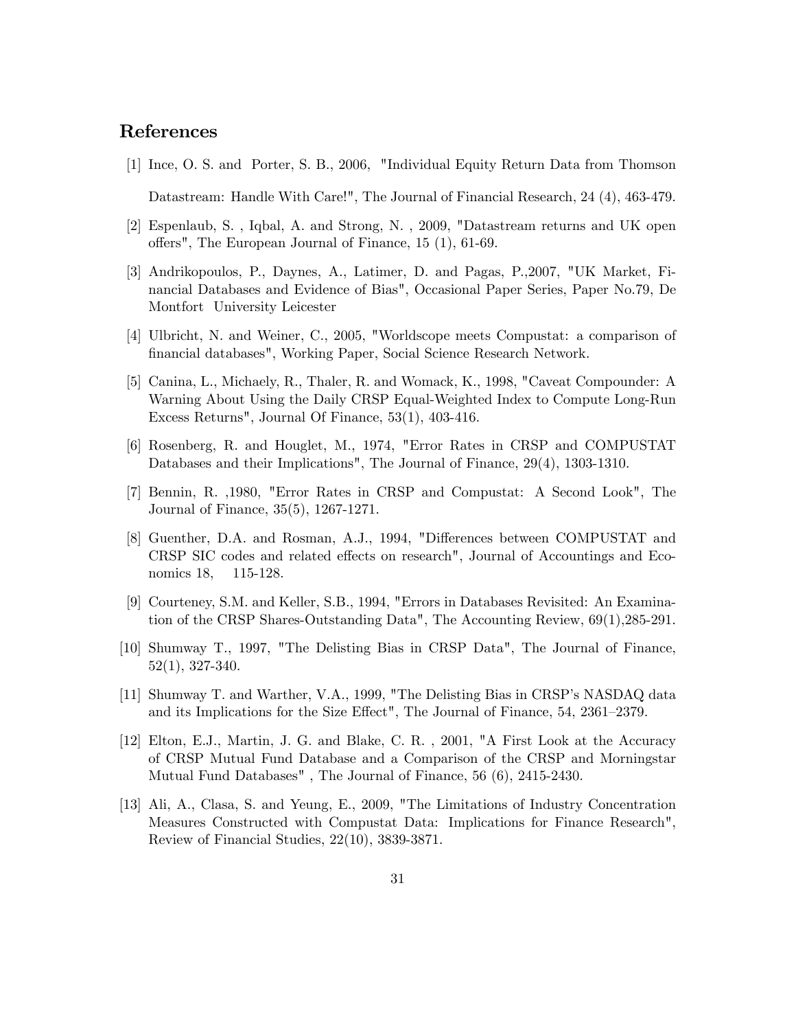# References

- [1] Ince, O. S. and Porter, S. B., 2006, "Individual Equity Return Data from Thomson Datastream: Handle With Care!", The Journal of Financial Research, 24 (4), 463-479.
- [2] Espenlaub, S. , Iqbal, A. and Strong, N. , 2009, "Datastream returns and UK open offers", The European Journal of Finance,  $15(1)$ ,  $61-69$ .
- [3] Andrikopoulos, P., Daynes, A., Latimer, D. and Pagas, P.,2007, "UK Market, Financial Databases and Evidence of Bias", Occasional Paper Series, Paper No.79, De Montfort University Leicester
- [4] Ulbricht, N. and Weiner, C., 2005, "Worldscope meets Compustat: a comparison of Önancial databases", Working Paper, Social Science Research Network.
- [5] Canina, L., Michaely, R., Thaler, R. and Womack, K., 1998, "Caveat Compounder: A Warning About Using the Daily CRSP Equal-Weighted Index to Compute Long-Run Excess Returns", Journal Of Finance, 53(1), 403-416.
- [6] Rosenberg, R. and Houglet, M., 1974, "Error Rates in CRSP and COMPUSTAT Databases and their Implications", The Journal of Finance, 29(4), 1303-1310.
- [7] Bennin, R. ,1980, "Error Rates in CRSP and Compustat: A Second Look", The Journal of Finance, 35(5), 1267-1271.
- [8] Guenther, D.A. and Rosman, A.J., 1994, "Differences between COMPUSTAT and CRSP SIC codes and related effects on research", Journal of Accountings and Economics 18, 115-128.
- [9] Courteney, S.M. and Keller, S.B., 1994, "Errors in Databases Revisited: An Examination of the CRSP Shares-Outstanding Data", The Accounting Review, 69(1),285-291.
- [10] Shumway T., 1997, "The Delisting Bias in CRSP Data", The Journal of Finance, 52(1), 327-340.
- [11] Shumway T. and Warther, V.A., 1999, "The Delisting Bias in CRSP's NASDAQ data and its Implications for the Size Effect", The Journal of Finance,  $54$ ,  $2361-2379$ .
- [12] Elton, E.J., Martin, J. G. and Blake, C. R. , 2001, "A First Look at the Accuracy of CRSP Mutual Fund Database and a Comparison of the CRSP and Morningstar Mutual Fund Databases" , The Journal of Finance, 56 (6), 2415-2430.
- [13] Ali, A., Clasa, S. and Yeung, E., 2009, "The Limitations of Industry Concentration Measures Constructed with Compustat Data: Implications for Finance Research", Review of Financial Studies, 22(10), 3839-3871.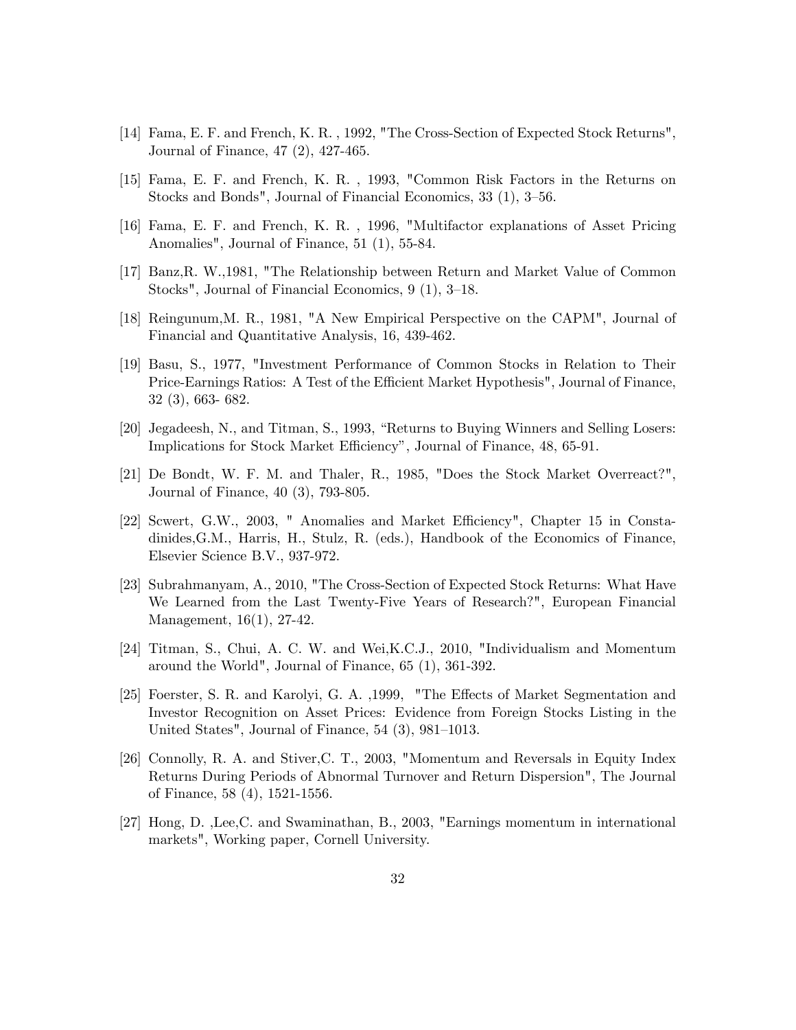- [14] Fama, E. F. and French, K. R. , 1992, "The Cross-Section of Expected Stock Returns", Journal of Finance, 47 (2), 427-465.
- [15] Fama, E. F. and French, K. R. , 1993, "Common Risk Factors in the Returns on Stocks and Bonds", Journal of Financial Economics,  $33(1)$ ,  $3-56$ .
- [16] Fama, E. F. and French, K. R. , 1996, "Multifactor explanations of Asset Pricing Anomalies", Journal of Finance, 51 (1), 55-84.
- [17] Banz,R. W.,1981, "The Relationship between Return and Market Value of Common Stocks", Journal of Financial Economics,  $9(1)$ ,  $3-18$ .
- [18] Reingunum,M. R., 1981, "A New Empirical Perspective on the CAPM", Journal of Financial and Quantitative Analysis, 16, 439-462.
- [19] Basu, S., 1977, "Investment Performance of Common Stocks in Relation to Their Price-Earnings Ratios: A Test of the Efficient Market Hypothesis", Journal of Finance, 32 (3), 663- 682.
- [20] Jegadeesh, N., and Titman, S., 1993, "Returns to Buying Winners and Selling Losers: Implications for Stock Market Efficiency", Journal of Finance, 48, 65-91.
- [21] De Bondt, W. F. M. and Thaler, R., 1985, "Does the Stock Market Overreact?", Journal of Finance, 40 (3), 793-805.
- [22] Scwert, G.W., 2003, " Anomalies and Market Efficiency", Chapter 15 in Constadinides,G.M., Harris, H., Stulz, R. (eds.), Handbook of the Economics of Finance, Elsevier Science B.V., 937-972.
- [23] Subrahmanyam, A., 2010, "The Cross-Section of Expected Stock Returns: What Have We Learned from the Last Twenty-Five Years of Research?", European Financial Management, 16(1), 27-42.
- [24] Titman, S., Chui, A. C. W. and Wei,K.C.J., 2010, "Individualism and Momentum around the World", Journal of Finance, 65 (1), 361-392.
- [25] Foerster, S. R. and Karolyi, G. A. ,1999, "The Effects of Market Segmentation and Investor Recognition on Asset Prices: Evidence from Foreign Stocks Listing in the United States", Journal of Finance,  $54$  (3),  $981-1013$ .
- [26] Connolly, R. A. and Stiver,C. T., 2003, "Momentum and Reversals in Equity Index Returns During Periods of Abnormal Turnover and Return Dispersion", The Journal of Finance, 58 (4), 1521-1556.
- [27] Hong, D. ,Lee,C. and Swaminathan, B., 2003, "Earnings momentum in international markets", Working paper, Cornell University.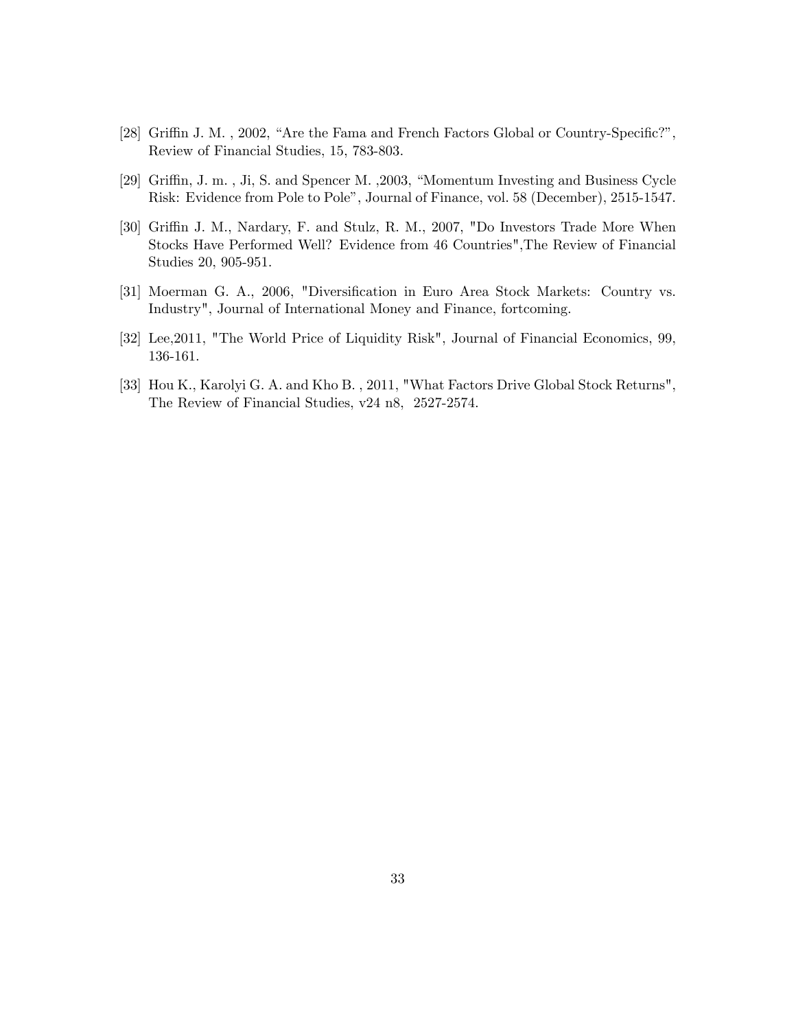- [28] Griffin J. M., 2002, "Are the Fama and French Factors Global or Country-Specific?", Review of Financial Studies, 15, 783-803.
- [29] Griffin, J. m., Ji, S. and Spencer M., 2003, "Momentum Investing and Business Cycle Risk: Evidence from Pole to Poleî, Journal of Finance, vol. 58 (December), 2515-1547.
- [30] Griffin J. M., Nardary, F. and Stulz, R. M., 2007, "Do Investors Trade More When Stocks Have Performed Well? Evidence from 46 Countries",The Review of Financial Studies 20, 905-951.
- [31] Moerman G. A., 2006, "Diversification in Euro Area Stock Markets: Country vs. Industry", Journal of International Money and Finance, fortcoming.
- [32] Lee,2011, "The World Price of Liquidity Risk", Journal of Financial Economics, 99, 136-161.
- [33] Hou K., Karolyi G. A. and Kho B. , 2011, "What Factors Drive Global Stock Returns", The Review of Financial Studies, v24 n8, 2527-2574.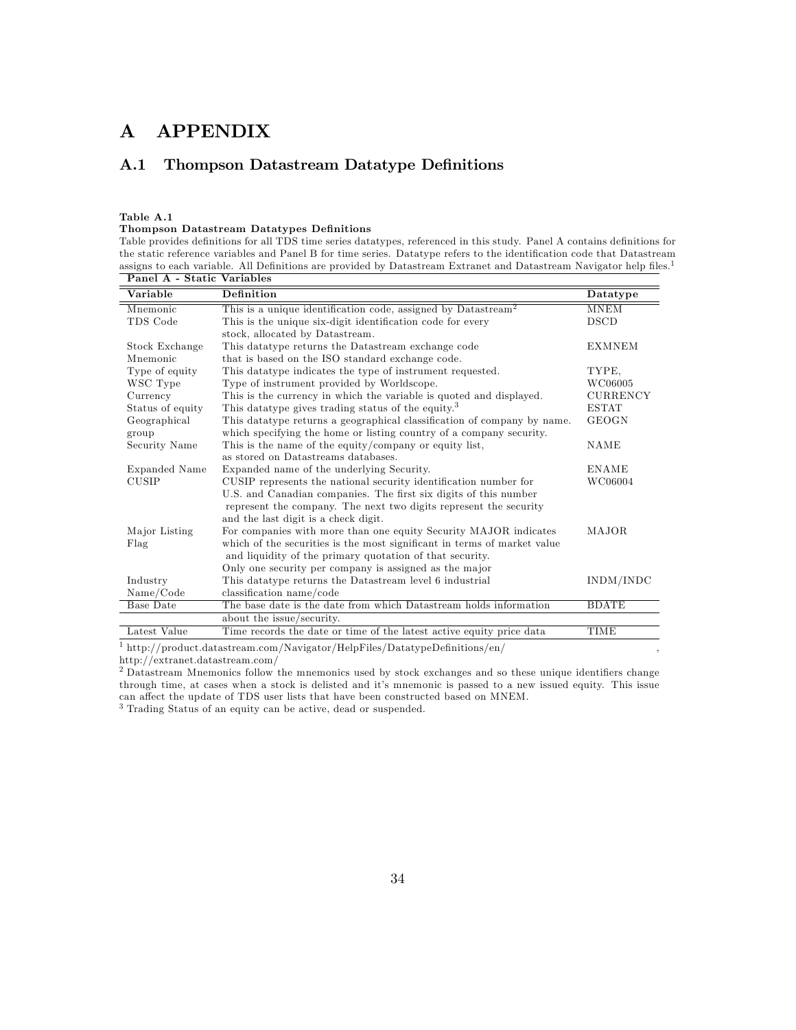# A APPENDIX

# A.1 Thompson Datastream Datatype Definitions

Table A.1

### Thompson Datastream Datatypes Definitions

Table provides definitions for all TDS time series datatypes, referenced in this study. Panel A contains definitions for the static reference variables and Panel B for time series. Datatype refers to the identification code that Datastream assigns to each variable. All Definitions are provided by Datastream Extranet and Datastream Navigator help files.<sup>1</sup>

| Panel A - Static Variables |                                                                           |                 |
|----------------------------|---------------------------------------------------------------------------|-----------------|
| Variable                   | <b>Definition</b>                                                         | <b>Datatype</b> |
| Mnemonic                   | This is a unique identification code, assigned by Datastream <sup>2</sup> | <b>MNEM</b>     |
| TDS Code                   | This is the unique six-digit identification code for every                | <b>DSCD</b>     |
|                            | stock, allocated by Datastream.                                           |                 |
| Stock Exchange             | This datatype returns the Datastream exchange code                        | <b>EXMNEM</b>   |
| Mnemonic                   | that is based on the ISO standard exchange code.                          |                 |
| Type of equity             | This data type indicates the type of instrument requested.                | TYPE.           |
| WSC Type                   | Type of instrument provided by Worldscope.                                | WC06005         |
| Currency                   | This is the currency in which the variable is quoted and displayed.       | <b>CURRENCY</b> |
| Status of equity           | This data type gives trading status of the equity. <sup>3</sup>           | <b>ESTAT</b>    |
| Geographical               | This data type returns a geographical classification of company by name.  | <b>GEOGN</b>    |
| group                      | which specifying the home or listing country of a company security.       |                 |
| Security Name              | This is the name of the equity/company or equity list,                    | <b>NAME</b>     |
|                            | as stored on Datastreams databases.                                       |                 |
| Expanded Name              | Expanded name of the underlying Security.                                 | ENAME           |
| <b>CUSIP</b>               | CUSIP represents the national security identification number for          | WC06004         |
|                            | U.S. and Canadian companies. The first six digits of this number          |                 |
|                            | represent the company. The next two digits represent the security         |                 |
|                            | and the last digit is a check digit.                                      |                 |
| Major Listing              | For companies with more than one equity Security MAJOR indicates          | <b>MAJOR</b>    |
| Flag                       | which of the securities is the most significant in terms of market value  |                 |
|                            | and liquidity of the primary quotation of that security.                  |                 |
|                            | Only one security per company is assigned as the major                    |                 |
| Industry                   | This data type returns the Datastream level 6 industrial                  | INDM/INDC       |
| Name/Code                  | classification name/code                                                  |                 |
| <b>Base Date</b>           | The base date is the date from which Datastream holds information         | <b>BDATE</b>    |
|                            | about the issue/security.                                                 |                 |
| Latest Value               | Time records the date or time of the latest active equity price data      | TIME            |
|                            | $\sqrt{2}$                                                                |                 |

<sup>1</sup> http://product.datastream.com/Navigator/HelpFiles/DatatypeDefinitions/en/ http://extranet.datastream.com/

<sup>2</sup> Datastream Mnemonics follow the mnemonics used by stock exchanges and so these unique identifiers change through time, at cases when a stock is delisted and it's mnemonic is passed to a new issued equity. This issue can affect the update of TDS user lists that have been constructed based on MNEM.

<sup>3</sup> Trading Status of an equity can be active, dead or suspended.